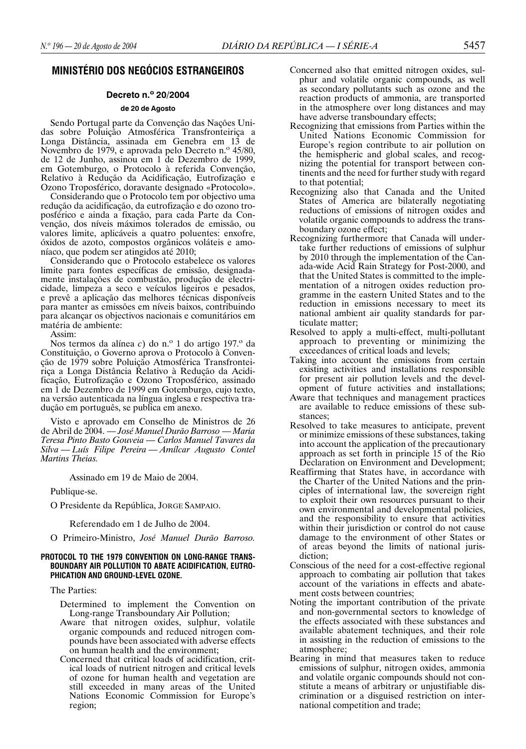## **MINISTÉRIO DOS NEGÓCIOS ESTRANGEIROS**

### **Decreto n.o 20/2004**

### **de 20 de Agosto**

Sendo Portugal parte da Convenção das Nações Unidas sobre Poluição Atmosférica Transfronteiriça a Longa Distância, assinada em Genebra em 13 de Novembro de 1979, e aprovada pelo Decreto n.º 45/80, de 12 de Junho, assinou em 1 de Dezembro de 1999, em Gotemburgo, o Protocolo à referida Convenção, Relativo à Redução da Acidificação, Eutrofização e Ozono Troposférico, doravante designado «Protocolo».

Considerando que o Protocolo tem por objectivo uma redução da acidificação, da eutrofização e do ozono troposférico e ainda a fixação, para cada Parte da Convenção, dos níveis máximos tolerados de emissão, ou valores limite, aplicáveis a quatro poluentes: enxofre, óxidos de azoto, compostos orgânicos voláteis e amoníaco, que podem ser atingidos até 2010;

Considerando que o Protocolo estabelece os valores limite para fontes específicas de emissão, designadamente instalações de combustão, produção de electricidade, limpeza a seco e veículos ligeiros e pesados, e prevê a aplicação das melhores técnicas disponíveis para manter as emissões em níveis baixos, contribuindo para alcançar os objectivos nacionais e comunitários em matéria de ambiente:

Assim:

Nos termos da alínea *c*) do n.º 1 do artigo 197.º da Constituição, o Governo aprova o Protocolo à Convenção de 1979 sobre Poluição Atmosférica Transfronteiriça a Longa Distância Relativo à Redução da Acidificação, Eutrofização e Ozono Troposférico, assinado em 1 de Dezembro de 1999 em Gotemburgo, cujo texto, na versão autenticada na língua inglesa e respectiva tradução em português, se publica em anexo.

Visto e aprovado em Conselho de Ministros de 26 de Abril de 2004. — *José Manuel Durão Barroso — Maria Teresa Pinto Basto Gouveia — Carlos Manuel Tavares da Silva — Luís Filipe Pereira — Amílcar Augusto Contel Martins Theias.*

Assinado em 19 de Maio de 2004.

Publique-se.

O Presidente da República, JORGE SAMPAIO.

Referendado em 1 de Julho de 2004.

O Primeiro-Ministro, *José Manuel Durão Barroso.*

### **PROTOCOL TO THE 1979 CONVENTION ON LONG-RANGE TRANS-BOUNDARY AIR POLLUTION TO ABATE ACIDIFICATION, EUTRO-PHICATION AND GROUND-LEVEL OZONE.**

The Parties:

- Determined to implement the Convention on Long-range Transboundary Air Pollution;
- Aware that nitrogen oxides, sulphur, volatile organic compounds and reduced nitrogen compounds have been associated with adverse effects on human health and the environment;
- Concerned that critical loads of acidification, critical loads of nutrient nitrogen and critical levels of ozone for human health and vegetation are still exceeded in many areas of the United Nations Economic Commission for Europe's region;
- Concerned also that emitted nitrogen oxides, sulphur and volatile organic compounds, as well as secondary pollutants such as ozone and the reaction products of ammonia, are transported in the atmosphere over long distances and may have adverse transboundary effects;
- Recognizing that emissions from Parties within the United Nations Economic Commission for Europe's region contribute to air pollution on the hemispheric and global scales, and recognizing the potential for transport between continents and the need for further study with regard to that potential;
- Recognizing also that Canada and the United States of America are bilaterally negotiating reductions of emissions of nitrogen oxides and volatile organic compounds to address the transboundary ozone effect;
- Recognizing furthermore that Canada will undertake further reductions of emissions of sulphur by 2010 through the implementation of the Canada-wide Acid Rain Strategy for Post-2000, and that the United States is committed to the implementation of a nitrogen oxides reduction programme in the eastern United States and to the reduction in emissions necessary to meet its national ambient air quality standards for particulate matter;
- Resolved to apply a multi-effect, multi-pollutant approach to preventing or minimizing the exceedances of critical loads and levels;
- Taking into account the emissions from certain existing activities and installations responsible for present air pollution levels and the development of future activities and installations;
- Aware that techniques and management practices are available to reduce emissions of these substances;
- Resolved to take measures to anticipate, prevent or minimize emissions of these substances, taking into account the application of the precautionary approach as set forth in principle 15 of the Rio Declaration on Environment and Development;
- Reaffirming that States have, in accordance with the Charter of the United Nations and the principles of international law, the sovereign right to exploit their own resources pursuant to their own environmental and developmental policies, and the responsibility to ensure that activities within their jurisdiction or control do not cause damage to the environment of other States or of areas beyond the limits of national jurisdiction;
- Conscious of the need for a cost-effective regional approach to combating air pollution that takes account of the variations in effects and abatement costs between countries;
- Noting the important contribution of the private and non-governmental sectors to knowledge of the effects associated with these substances and available abatement techniques, and their role in assisting in the reduction of emissions to the atmosphere;
- Bearing in mind that measures taken to reduce emissions of sulphur, nitrogen oxides, ammonia and volatile organic compounds should not constitute a means of arbitrary or unjustifiable discrimination or a disguised restriction on international competition and trade;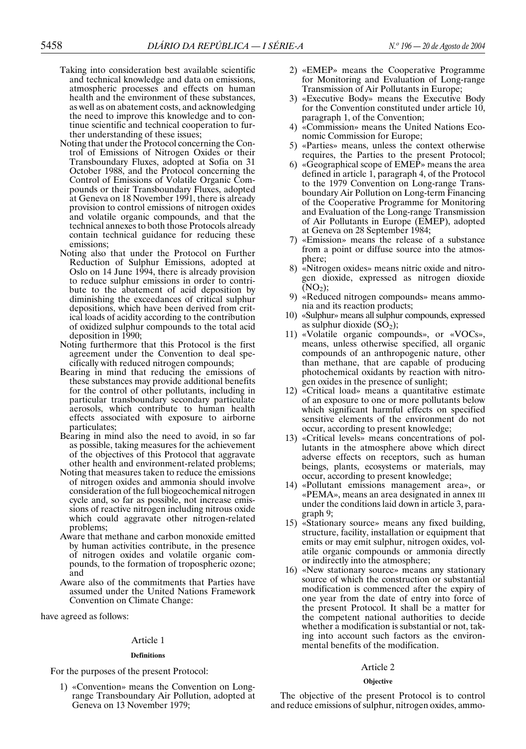- Taking into consideration best available scientific and technical knowledge and data on emissions, atmospheric processes and effects on human health and the environment of these substances, as well as on abatement costs, and acknowledging the need to improve this knowledge and to continue scientific and technical cooperation to further understanding of these issues;
- Noting that under the Protocol concerning the Control of Emissions of Nitrogen Oxides or their Transboundary Fluxes, adopted at Sofia on 31 October 1988, and the Protocol concerning the Control of Emissions of Volatile Organic Compounds or their Transboundary Fluxes, adopted at Geneva on 18 November 1991, there is already provision to control emissions of nitrogen oxides and volatile organic compounds, and that the technical annexes to both those Protocols already contain technical guidance for reducing these emissions;
- Noting also that under the Protocol on Further Reduction of Sulphur Emissions, adopted at Oslo on 14 June 1994, there is already provision to reduce sulphur emissions in order to contribute to the abatement of acid deposition by diminishing the exceedances of critical sulphur depositions, which have been derived from critical loads of acidity according to the contribution of oxidized sulphur compounds to the total acid deposition in 1990;
- Noting furthermore that this Protocol is the first agreement under the Convention to deal specifically with reduced nitrogen compounds;
- Bearing in mind that reducing the emissions of these substances may provide additional benefits for the control of other pollutants, including in particular transboundary secondary particulate aerosols, which contribute to human health effects associated with exposure to airborne particulates;
- Bearing in mind also the need to avoid, in so far as possible, taking measures for the achievement of the objectives of this Protocol that aggravate other health and environment-related problems;
- Noting that measures taken to reduce the emissions of nitrogen oxides and ammonia should involve consideration of the full biogeochemical nitrogen cycle and, so far as possible, not increase emissions of reactive nitrogen including nitrous oxide which could aggravate other nitrogen-related problems;
- Aware that methane and carbon monoxide emitted by human activities contribute, in the presence of nitrogen oxides and volatile organic compounds, to the formation of tropospheric ozone; and
- Aware also of the commitments that Parties have assumed under the United Nations Framework Convention on Climate Change:

have agreed as follows:

### Article 1

### **Definitions**

For the purposes of the present Protocol:

1) «Convention» means the Convention on Longrange Transboundary Air Pollution, adopted at Geneva on 13 November 1979;

- 2) «EMEP» means the Cooperative Programme for Monitoring and Evaluation of Long-range Transmission of Air Pollutants in Europe;
- 3) «Executive Body» means the Executive Body for the Convention constituted under article 10, paragraph 1, of the Convention;
- 4) «Commission» means the United Nations Economic Commission for Europe;
- 5) «Parties» means, unless the context otherwise requires, the Parties to the present Protocol;
- 6) «Geographical scope of EMEP» means the area defined in article 1, paragraph 4, of the Protocol to the 1979 Convention on Long-range Transboundary Air Pollution on Long-term Financing of the Cooperative Programme for Monitoring and Evaluation of the Long-range Transmission of Air Pollutants in Europe (EMEP), adopted at Geneva on 28 September 1984;
- 7) «Emission» means the release of a substance from a point or diffuse source into the atmosphere;
- 8) «Nitrogen oxides» means nitric oxide and nitrogen dioxide, expressed as nitrogen dioxide  $(NO<sub>2</sub>)$ ;
- 9) «Reduced nitrogen compounds» means ammonia and its reaction products;
- 10) «Sulphur» means all sulphur compounds, expressed as sulphur dioxide  $(SO<sub>2</sub>)$ ;
- 11) «Volatile organic compounds», or «VOCs», means, unless otherwise specified, all organic compounds of an anthropogenic nature, other than methane, that are capable of producing photochemical oxidants by reaction with nitrogen oxides in the presence of sunlight;
- 12) «Critical load» means a quantitative estimate of an exposure to one or more pollutants below which significant harmful effects on specified sensitive elements of the environment do not occur, according to present knowledge;
- 13) «Critical levels» means concentrations of pollutants in the atmosphere above which direct adverse effects on receptors, such as human beings, plants, ecosystems or materials, may occur, according to present knowledge;
- 14) «Pollutant emissions management area», or «PEMA», means an area designated in annex III under the conditions laid down in article 3, paragraph 9;
- 15) «Stationary source» means any fixed building, structure, facility, installation or equipment that emits or may emit sulphur, nitrogen oxides, volatile organic compounds or ammonia directly or indirectly into the atmosphere;
- 16) «New stationary source» means any stationary source of which the construction or substantial modification is commenced after the expiry of one year from the date of entry into force of the present Protocol. It shall be a matter for the competent national authorities to decide whether a modification is substantial or not, taking into account such factors as the environmental benefits of the modification.

### Article 2

### **Objective**

The objective of the present Protocol is to control and reduce emissions of sulphur, nitrogen oxides, ammo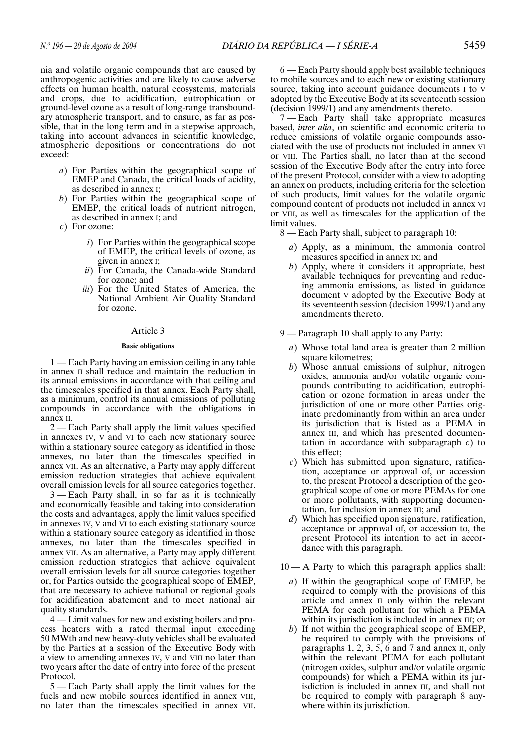nia and volatile organic compounds that are caused by anthropogenic activities and are likely to cause adverse effects on human health, natural ecosystems, materials and crops, due to acidification, eutrophication or ground-level ozone as a result of long-range transboundary atmospheric transport, and to ensure, as far as possible, that in the long term and in a stepwise approach, taking into account advances in scientific knowledge, atmospheric depositions or concentrations do not exceed:

- *a*) For Parties within the geographical scope of EMEP and Canada, the critical loads of acidity, as described in annex I;
- *b*) For Parties within the geographical scope of EMEP, the critical loads of nutrient nitrogen, as described in annex I; and
- *c*) For ozone:
	- *i*) For Parties within the geographical scope of EMEP, the critical levels of ozone, as given in annex I;
	- *ii*) For Canada, the Canada-wide Standard for ozone; and
	- *iii*) For the United States of America, the National Ambient Air Quality Standard for ozone.

### Article 3

### **Basic obligations**

1 — Each Party having an emission ceiling in any table in annex II shall reduce and maintain the reduction in its annual emissions in accordance with that ceiling and the timescales specified in that annex. Each Party shall, as a minimum, control its annual emissions of polluting compounds in accordance with the obligations in annex II.

2 — Each Party shall apply the limit values specified in annexes IV, V and VI to each new stationary source within a stationary source category as identified in those annexes, no later than the timescales specified in annex VII. As an alternative, a Party may apply different emission reduction strategies that achieve equivalent overall emission levels for all source categories together.

3 — Each Party shall, in so far as it is technically and economically feasible and taking into consideration the costs and advantages, apply the limit values specified in annexes IV, V and VI to each existing stationary source within a stationary source category as identified in those annexes, no later than the timescales specified in annex VII. As an alternative, a Party may apply different emission reduction strategies that achieve equivalent overall emission levels for all source categories together or, for Parties outside the geographical scope of EMEP, that are necessary to achieve national or regional goals for acidification abatement and to meet national air quality standards.

4 — Limit values for new and existing boilers and process heaters with a rated thermal input exceeding 50 MWth and new heavy-duty vehicles shall be evaluated by the Parties at a session of the Executive Body with a view to amending annexes IV, V and VIII no later than two years after the date of entry into force of the present Protocol.

5 — Each Party shall apply the limit values for the fuels and new mobile sources identified in annex VIII, no later than the timescales specified in annex VII.

6 — Each Party should apply best available techniques to mobile sources and to each new or existing stationary source, taking into account guidance documents I to V adopted by the Executive Body at its seventeenth session (decision 1999/1) and any amendments thereto.

7 — Each Party shall take appropriate measures based, *inter alia*, on scientific and economic criteria to reduce emissions of volatile organic compounds associated with the use of products not included in annex VI or VIII. The Parties shall, no later than at the second session of the Executive Body after the entry into force of the present Protocol, consider with a view to adopting an annex on products, including criteria for the selection of such products, limit values for the volatile organic compound content of products not included in annex VI or VIII, as well as timescales for the application of the limit values.

8 — Each Party shall, subject to paragraph 10:

- *a*) Apply, as a minimum, the ammonia control measures specified in annex IX; and
- *b*) Apply, where it considers it appropriate, best available techniques for preventing and reducing ammonia emissions, as listed in guidance document V adopted by the Executive Body at its seventeenth session (decision 1999/1) and any amendments thereto.
- 9 Paragraph 10 shall apply to any Party:
	- *a*) Whose total land area is greater than 2 million square kilometres;
	- *b*) Whose annual emissions of sulphur, nitrogen oxides, ammonia and/or volatile organic compounds contributing to acidification, eutrophication or ozone formation in areas under the jurisdiction of one or more other Parties originate predominantly from within an area under its jurisdiction that is listed as a PEMA in annex III, and which has presented documentation in accordance with subparagraph *c*) to this effect;
	- *c*) Which has submitted upon signature, ratification, acceptance or approval of, or accession to, the present Protocol a description of the geographical scope of one or more PEMAs for one or more pollutants, with supporting documentation, for inclusion in annex III; and
	- *d*) Which has specified upon signature, ratification, acceptance or approval of, or accession to, the present Protocol its intention to act in accordance with this paragraph.
- $10 A$  Party to which this paragraph applies shall:
	- *a*) If within the geographical scope of EMEP, be required to comply with the provisions of this article and annex II only within the relevant PEMA for each pollutant for which a PEMA within its jurisdiction is included in annex III; or
	- *b*) If not within the geographical scope of EMEP, be required to comply with the provisions of paragraphs 1, 2, 3, 5, 6 and 7 and annex II, only within the relevant PEMA for each pollutant (nitrogen oxides, sulphur and/or volatile organic compounds) for which a PEMA within its jurisdiction is included in annex III, and shall not be required to comply with paragraph 8 anywhere within its jurisdiction.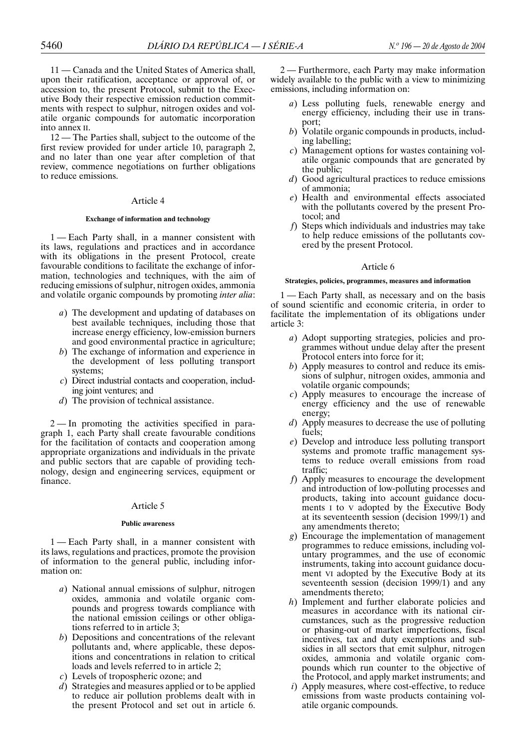11 — Canada and the United States of America shall, upon their ratification, acceptance or approval of, or accession to, the present Protocol, submit to the Executive Body their respective emission reduction commitments with respect to sulphur, nitrogen oxides and volatile organic compounds for automatic incorporation into annex II.

12 — The Parties shall, subject to the outcome of the first review provided for under article 10, paragraph 2, and no later than one year after completion of that review, commence negotiations on further obligations to reduce emissions.

### Article 4

#### **Exchange of information and technology**

1 — Each Party shall, in a manner consistent with its laws, regulations and practices and in accordance with its obligations in the present Protocol, create favourable conditions to facilitate the exchange of information, technologies and techniques, with the aim of reducing emissions of sulphur, nitrogen oxides, ammonia and volatile organic compounds by promoting *inter alia*:

- *a*) The development and updating of databases on best available techniques, including those that increase energy efficiency, low-emission burners and good environmental practice in agriculture;
- *b*) The exchange of information and experience in the development of less polluting transport systems;
- *c*) Direct industrial contacts and cooperation, including joint ventures; and
- *d*) The provision of technical assistance.

2 — In promoting the activities specified in paragraph 1, each Party shall create favourable conditions for the facilitation of contacts and cooperation among appropriate organizations and individuals in the private and public sectors that are capable of providing technology, design and engineering services, equipment or finance.

### Article 5

#### **Public awareness**

1 — Each Party shall, in a manner consistent with its laws, regulations and practices, promote the provision of information to the general public, including information on:

- *a*) National annual emissions of sulphur, nitrogen oxides, ammonia and volatile organic compounds and progress towards compliance with the national emission ceilings or other obligations referred to in article 3;
- *b*) Depositions and concentrations of the relevant pollutants and, where applicable, these depositions and concentrations in relation to critical loads and levels referred to in article 2;
- *c*) Levels of tropospheric ozone; and
- *d*) Strategies and measures applied or to be applied to reduce air pollution problems dealt with in the present Protocol and set out in article 6.

2 — Furthermore, each Party may make information widely available to the public with a view to minimizing emissions, including information on:

- *a*) Less polluting fuels, renewable energy and energy efficiency, including their use in transport;
- *b*) Volatile organic compounds in products, including labelling;
- *c*) Management options for wastes containing volatile organic compounds that are generated by the public;
- *d*) Good agricultural practices to reduce emissions of ammonia;
- *e*) Health and environmental effects associated with the pollutants covered by the present Protocol; and
- *f*) Steps which individuals and industries may take to help reduce emissions of the pollutants covered by the present Protocol.

### Article 6

### **Strategies, policies, programmes, measures and information**

1 — Each Party shall, as necessary and on the basis of sound scientific and economic criteria, in order to facilitate the implementation of its obligations under article 3:

- *a*) Adopt supporting strategies, policies and programmes without undue delay after the present Protocol enters into force for it;
- *b*) Apply measures to control and reduce its emissions of sulphur, nitrogen oxides, ammonia and volatile organic compounds;
- *c*) Apply measures to encourage the increase of energy efficiency and the use of renewable energy;
- *d*) Apply measures to decrease the use of polluting fuels;
- *e*) Develop and introduce less polluting transport systems and promote traffic management systems to reduce overall emissions from road traffic;
- *f*) Apply measures to encourage the development and introduction of low-polluting processes and products, taking into account guidance documents I to V adopted by the Executive Body at its seventeenth session (decision 1999/1) and any amendments thereto;
- *g*) Encourage the implementation of management programmes to reduce emissions, including voluntary programmes, and the use of economic instruments, taking into account guidance document VI adopted by the Executive Body at its seventeenth session (decision 1999/1) and any amendments thereto;
- *h*) Implement and further elaborate policies and measures in accordance with its national circumstances, such as the progressive reduction or phasing-out of market imperfections, fiscal incentives, tax and duty exemptions and subsidies in all sectors that emit sulphur, nitrogen oxides, ammonia and volatile organic compounds which run counter to the objective of the Protocol, and apply market instruments; and
- *i*) Apply measures, where cost-effective, to reduce emissions from waste products containing volatile organic compounds.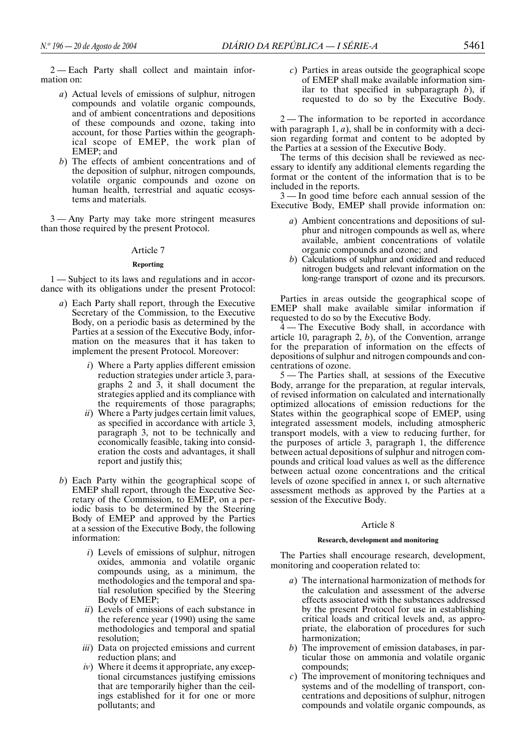2 — Each Party shall collect and maintain information on:

- *a*) Actual levels of emissions of sulphur, nitrogen compounds and volatile organic compounds, and of ambient concentrations and depositions of these compounds and ozone, taking into account, for those Parties within the geographical scope of EMEP, the work plan of EMEP; and
- *b*) The effects of ambient concentrations and of the deposition of sulphur, nitrogen compounds, volatile organic compounds and ozone on human health, terrestrial and aquatic ecosystems and materials.

3 — Any Party may take more stringent measures than those required by the present Protocol.

### Article 7

### **Reporting**

1 — Subject to its laws and regulations and in accordance with its obligations under the present Protocol:

- *a*) Each Party shall report, through the Executive Secretary of the Commission, to the Executive Body, on a periodic basis as determined by the Parties at a session of the Executive Body, information on the measures that it has taken to implement the present Protocol. Moreover:
	- *i*) Where a Party applies different emission reduction strategies under article 3, paragraphs 2 and 3, it shall document the strategies applied and its compliance with the requirements of those paragraphs;
	- *ii*) Where a Party judges certain limit values, as specified in accordance with article 3, paragraph 3, not to be technically and economically feasible, taking into consideration the costs and advantages, it shall report and justify this;
- *b*) Each Party within the geographical scope of EMEP shall report, through the Executive Secretary of the Commission, to EMEP, on a periodic basis to be determined by the Steering Body of EMEP and approved by the Parties at a session of the Executive Body, the following information:
	- *i*) Levels of emissions of sulphur, nitrogen oxides, ammonia and volatile organic compounds using, as a minimum, the methodologies and the temporal and spatial resolution specified by the Steering Body of EMEP;
	- *ii*) Levels of emissions of each substance in the reference year (1990) using the same methodologies and temporal and spatial resolution;
	- *iii*) Data on projected emissions and current reduction plans; and
	- *iv*) Where it deems it appropriate, any exceptional circumstances justifying emissions that are temporarily higher than the ceilings established for it for one or more pollutants; and

*c*) Parties in areas outside the geographical scope of EMEP shall make available information similar to that specified in subparagraph *b*), if requested to do so by the Executive Body.

2 — The information to be reported in accordance with paragraph 1, *a*), shall be in conformity with a decision regarding format and content to be adopted by the Parties at a session of the Executive Body.

The terms of this decision shall be reviewed as necessary to identify any additional elements regarding the format or the content of the information that is to be included in the reports.

3 — In good time before each annual session of the Executive Body, EMEP shall provide information on:

- *a*) Ambient concentrations and depositions of sulphur and nitrogen compounds as well as, where available, ambient concentrations of volatile organic compounds and ozone; and
- *b*) Calculations of sulphur and oxidized and reduced nitrogen budgets and relevant information on the long-range transport of ozone and its precursors.

Parties in areas outside the geographical scope of EMEP shall make available similar information if requested to do so by the Executive Body.

 $\overline{4}$  — The Executive Body shall, in accordance with article 10, paragraph 2, *b*), of the Convention, arrange for the preparation of information on the effects of depositions of sulphur and nitrogen compounds and concentrations of ozone.

5 — The Parties shall, at sessions of the Executive Body, arrange for the preparation, at regular intervals, of revised information on calculated and internationally optimized allocations of emission reductions for the States within the geographical scope of EMEP, using integrated assessment models, including atmospheric transport models, with a view to reducing further, for the purposes of article 3, paragraph 1, the difference between actual depositions of sulphur and nitrogen compounds and critical load values as well as the difference between actual ozone concentrations and the critical levels of ozone specified in annex I, or such alternative assessment methods as approved by the Parties at a session of the Executive Body.

### Article 8

### **Research, development and monitoring**

The Parties shall encourage research, development, monitoring and cooperation related to:

- *a*) The international harmonization of methods for the calculation and assessment of the adverse effects associated with the substances addressed by the present Protocol for use in establishing critical loads and critical levels and, as appropriate, the elaboration of procedures for such harmonization;
- *b*) The improvement of emission databases, in particular those on ammonia and volatile organic compounds;
- *c*) The improvement of monitoring techniques and systems and of the modelling of transport, concentrations and depositions of sulphur, nitrogen compounds and volatile organic compounds, as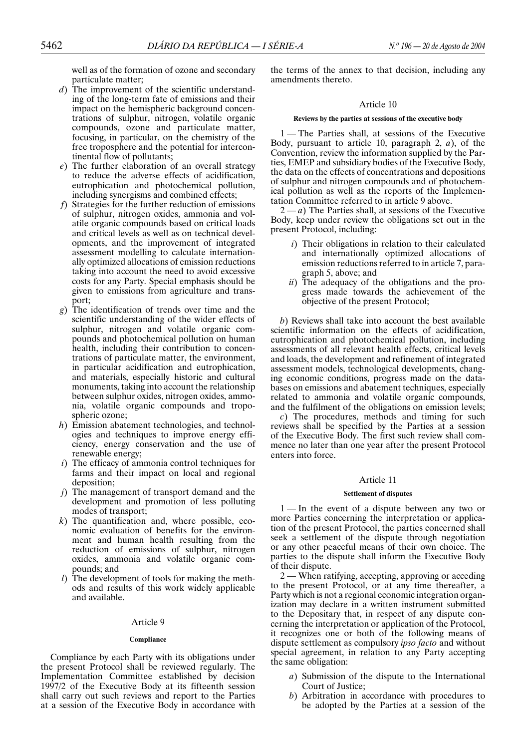well as of the formation of ozone and secondary particulate matter;

- *d*) The improvement of the scientific understanding of the long-term fate of emissions and their impact on the hemispheric background concentrations of sulphur, nitrogen, volatile organic compounds, ozone and particulate matter, focusing, in particular, on the chemistry of the free troposphere and the potential for intercontinental flow of pollutants;
- *e*) The further elaboration of an overall strategy to reduce the adverse effects of acidification, eutrophication and photochemical pollution, including synergisms and combined effects;
- *f*) Strategies for the further reduction of emissions of sulphur, nitrogen oxides, ammonia and volatile organic compounds based on critical loads and critical levels as well as on technical developments, and the improvement of integrated assessment modelling to calculate internationally optimized allocations of emission reductions taking into account the need to avoid excessive costs for any Party. Special emphasis should be given to emissions from agriculture and transport;
- *g*) The identification of trends over time and the scientific understanding of the wider effects of sulphur, nitrogen and volatile organic compounds and photochemical pollution on human health, including their contribution to concentrations of particulate matter, the environment, in particular acidification and eutrophication, and materials, especially historic and cultural monuments, taking into account the relationship between sulphur oxides, nitrogen oxides, ammonia, volatile organic compounds and tropospheric ozone;
- *h*) Emission abatement technologies, and technologies and techniques to improve energy efficiency, energy conservation and the use of renewable energy;
- *i*) The efficacy of ammonia control techniques for farms and their impact on local and regional deposition;
- *j*) The management of transport demand and the development and promotion of less polluting modes of transport;
- *k*) The quantification and, where possible, economic evaluation of benefits for the environment and human health resulting from the reduction of emissions of sulphur, nitrogen oxides, ammonia and volatile organic compounds; and
- *l*) The development of tools for making the methods and results of this work widely applicable and available.

### Article 9

### **Compliance**

Compliance by each Party with its obligations under the present Protocol shall be reviewed regularly. The Implementation Committee established by decision 1997/2 of the Executive Body at its fifteenth session shall carry out such reviews and report to the Parties at a session of the Executive Body in accordance with the terms of the annex to that decision, including any amendments thereto.

### Article 10

#### **Reviews by the parties at sessions of the executive body**

1 — The Parties shall, at sessions of the Executive Body, pursuant to article 10, paragraph 2, *a*), of the Convention, review the information supplied by the Parties, EMEP and subsidiary bodies of the Executive Body, the data on the effects of concentrations and depositions of sulphur and nitrogen compounds and of photochemical pollution as well as the reports of the Implementation Committee referred to in article 9 above.

 $2 - a$ ) The Parties shall, at sessions of the Executive Body, keep under review the obligations set out in the present Protocol, including:

- *i*) Their obligations in relation to their calculated and internationally optimized allocations of emission reductions referred to in article 7, paragraph 5, above; and
- *ii*) The adequacy of the obligations and the progress made towards the achievement of the objective of the present Protocol;

*b*) Reviews shall take into account the best available scientific information on the effects of acidification, eutrophication and photochemical pollution, including assessments of all relevant health effects, critical levels and loads, the development and refinement of integrated assessment models, technological developments, changing economic conditions, progress made on the databases on emissions and abatement techniques, especially related to ammonia and volatile organic compounds, and the fulfilment of the obligations on emission levels;

*c*) The procedures, methods and timing for such reviews shall be specified by the Parties at a session of the Executive Body. The first such review shall commence no later than one year after the present Protocol enters into force.

#### Article 11

#### **Settlement of disputes**

1 — In the event of a dispute between any two or more Parties concerning the interpretation or application of the present Protocol, the parties concerned shall seek a settlement of the dispute through negotiation or any other peaceful means of their own choice. The parties to the dispute shall inform the Executive Body of their dispute.

2 — When ratifying, accepting, approving or acceding to the present Protocol, or at any time thereafter, a Party which is not a regional economic integration organization may declare in a written instrument submitted to the Depositary that, in respect of any dispute concerning the interpretation or application of the Protocol, it recognizes one or both of the following means of dispute settlement as compulsory *ipso facto* and without special agreement, in relation to any Party accepting the same obligation:

- *a*) Submission of the dispute to the International Court of Justice;
- *b*) Arbitration in accordance with procedures to be adopted by the Parties at a session of the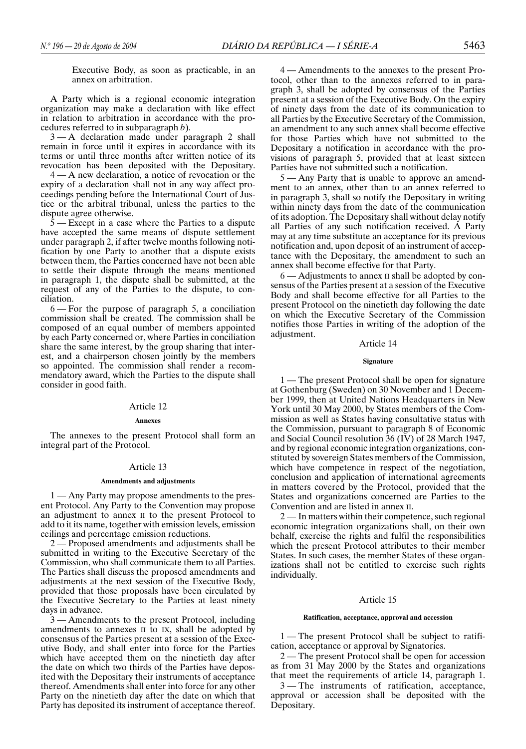Executive Body, as soon as practicable, in an annex on arbitration.

A Party which is a regional economic integration organization may make a declaration with like effect in relation to arbitration in accordance with the procedures referred to in subparagraph *b*).

3 — A declaration made under paragraph 2 shall remain in force until it expires in accordance with its terms or until three months after written notice of its revocation has been deposited with the Depositary.

4 — A new declaration, a notice of revocation or the expiry of a declaration shall not in any way affect proceedings pending before the International Court of Justice or the arbitral tribunal, unless the parties to the dispute agree otherwise.

 $\bar{5}$  — Except in a case where the Parties to a dispute have accepted the same means of dispute settlement under paragraph 2, if after twelve months following notification by one Party to another that a dispute exists between them, the Parties concerned have not been able to settle their dispute through the means mentioned in paragraph 1, the dispute shall be submitted, at the request of any of the Parties to the dispute, to conciliation.

6 — For the purpose of paragraph 5, a conciliation commission shall be created. The commission shall be composed of an equal number of members appointed by each Party concerned or, where Parties in conciliation share the same interest, by the group sharing that interest, and a chairperson chosen jointly by the members so appointed. The commission shall render a recommendatory award, which the Parties to the dispute shall consider in good faith.

### Article 12

#### **Annexes**

The annexes to the present Protocol shall form an integral part of the Protocol.

### Article 13

#### **Amendments and adjustments**

1 — Any Party may propose amendments to the present Protocol. Any Party to the Convention may propose an adjustment to annex II to the present Protocol to add to it its name, together with emission levels, emission ceilings and percentage emission reductions.

2 — Proposed amendments and adjustments shall be submitted in writing to the Executive Secretary of the Commission, who shall communicate them to all Parties. The Parties shall discuss the proposed amendments and adjustments at the next session of the Executive Body, provided that those proposals have been circulated by the Executive Secretary to the Parties at least ninety days in advance.

3 — Amendments to the present Protocol, including amendments to annexes II to IX, shall be adopted by consensus of the Parties present at a session of the Executive Body, and shall enter into force for the Parties which have accepted them on the ninetieth day after the date on which two thirds of the Parties have deposited with the Depositary their instruments of acceptance thereof. Amendments shall enter into force for any other Party on the ninetieth day after the date on which that Party has deposited its instrument of acceptance thereof.

4 — Amendments to the annexes to the present Protocol, other than to the annexes referred to in paragraph 3, shall be adopted by consensus of the Parties present at a session of the Executive Body. On the expiry of ninety days from the date of its communication to all Parties by the Executive Secretary of the Commission, an amendment to any such annex shall become effective for those Parties which have not submitted to the Depositary a notification in accordance with the provisions of paragraph 5, provided that at least sixteen Parties have not submitted such a notification.

5 — Any Party that is unable to approve an amendment to an annex, other than to an annex referred to in paragraph 3, shall so notify the Depositary in writing within ninety days from the date of the communication of its adoption. The Depositary shall without delay notify all Parties of any such notification received. A Party may at any time substitute an acceptance for its previous notification and, upon deposit of an instrument of acceptance with the Depositary, the amendment to such an annex shall become effective for that Party.

6 — Adjustments to annex II shall be adopted by consensus of the Parties present at a session of the Executive Body and shall become effective for all Parties to the present Protocol on the ninetieth day following the date on which the Executive Secretary of the Commission notifies those Parties in writing of the adoption of the adjustment.

### Article 14

### **Signature**

1 — The present Protocol shall be open for signature at Gothenburg (Sweden) on 30 November and 1 December 1999, then at United Nations Headquarters in New York until 30 May 2000, by States members of the Commission as well as States having consultative status with the Commission, pursuant to paragraph 8 of Economic and Social Council resolution 36 (IV) of 28 March 1947, and by regional economic integration organizations, constituted by sovereign States members of the Commission, which have competence in respect of the negotiation, conclusion and application of international agreements in matters covered by the Protocol, provided that the States and organizations concerned are Parties to the Convention and are listed in annex II.

2 — In matters within their competence, such regional economic integration organizations shall, on their own behalf, exercise the rights and fulfil the responsibilities which the present Protocol attributes to their member States. In such cases, the member States of these organizations shall not be entitled to exercise such rights individually.

#### Article 15

### **Ratification, acceptance, approval and accession**

1 — The present Protocol shall be subject to ratification, acceptance or approval by Signatories.

2 — The present Protocol shall be open for accession as from 31 May 2000 by the States and organizations that meet the requirements of article 14, paragraph 1.

3 — The instruments of ratification, acceptance, approval or accession shall be deposited with the Depositary.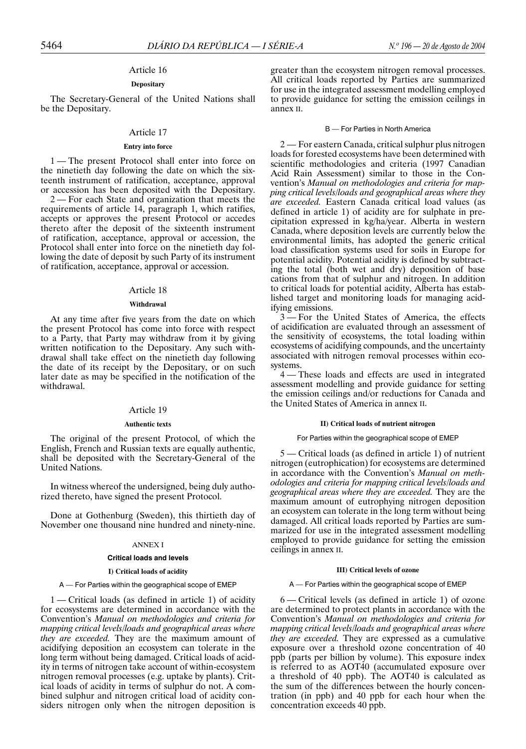### Article 16

### **Depositary**

The Secretary-General of the United Nations shall be the Depositary.

### Article 17

### **Entry into force**

1 — The present Protocol shall enter into force on the ninetieth day following the date on which the sixteenth instrument of ratification, acceptance, approval or accession has been deposited with the Depositary.

2 — For each State and organization that meets the requirements of article 14, paragraph 1, which ratifies, accepts or approves the present Protocol or accedes thereto after the deposit of the sixteenth instrument of ratification, acceptance, approval or accession, the Protocol shall enter into force on the ninetieth day following the date of deposit by such Party of its instrument of ratification, acceptance, approval or accession.

### Article 18

### **Withdrawal**

At any time after five years from the date on which the present Protocol has come into force with respect to a Party, that Party may withdraw from it by giving written notification to the Depositary. Any such withdrawal shall take effect on the ninetieth day following the date of its receipt by the Depositary, or on such later date as may be specified in the notification of the withdrawal.

### Article 19

### **Authentic texts**

The original of the present Protocol, of which the English, French and Russian texts are equally authentic, shall be deposited with the Secretary-General of the United Nations.

In witness whereof the undersigned, being duly authorized thereto, have signed the present Protocol.

Done at Gothenburg (Sweden), this thirtieth day of November one thousand nine hundred and ninety-nine.

### ANNEX I

### **Critical loads and levels**

### **I) Critical loads of acidity**

### A — For Parties within the geographical scope of EMEP

1 — Critical loads (as defined in article 1) of acidity for ecosystems are determined in accordance with the Convention's *Manual on methodologies and criteria for mapping critical levels/loads and geographical areas where they are exceeded.* They are the maximum amount of acidifying deposition an ecosystem can tolerate in the long term without being damaged. Critical loads of acidity in terms of nitrogen take account of within-ecosystem nitrogen removal processes (e.g. uptake by plants). Critical loads of acidity in terms of sulphur do not. A combined sulphur and nitrogen critical load of acidity considers nitrogen only when the nitrogen deposition is greater than the ecosystem nitrogen removal processes. All critical loads reported by Parties are summarized for use in the integrated assessment modelling employed to provide guidance for setting the emission ceilings in annex II.

#### B — For Parties in North America

2 — For eastern Canada, critical sulphur plus nitrogen loads for forested ecosystems have been determined with scientific methodologies and criteria (1997 Canadian Acid Rain Assessment) similar to those in the Convention's *Manual on methodologies and criteria for mapping critical levels/loads and geographical areas where they are exceeded.* Eastern Canada critical load values (as defined in article 1) of acidity are for sulphate in precipitation expressed in kg/ha/year. Alberta in western Canada, where deposition levels are currently below the environmental limits, has adopted the generic critical load classification systems used for soils in Europe for potential acidity. Potential acidity is defined by subtracting the total (both wet and dry) deposition of base cations from that of sulphur and nitrogen. In addition to critical loads for potential acidity, Alberta has established target and monitoring loads for managing acidifying emissions.

3 — For the United States of America, the effects of acidification are evaluated through an assessment of the sensitivity of ecosystems, the total loading within ecosystems of acidifying compounds, and the uncertainty associated with nitrogen removal processes within ecosystems.

4 — These loads and effects are used in integrated assessment modelling and provide guidance for setting the emission ceilings and/or reductions for Canada and the United States of America in annex II.

#### **II) Critical loads of nutrient nitrogen**

#### For Parties within the geographical scope of EMEP

5 — Critical loads (as defined in article 1) of nutrient nitrogen (eutrophication) for ecosystems are determined in accordance with the Convention's *Manual on methodologies and criteria for mapping critical levels/loads and geographical areas where they are exceeded.* They are the maximum amount of eutrophying nitrogen deposition an ecosystem can tolerate in the long term without being damaged. All critical loads reported by Parties are summarized for use in the integrated assessment modelling employed to provide guidance for setting the emission ceilings in annex II.

### **III) Critical levels of ozone**

### A — For Parties within the geographical scope of EMEP

6 — Critical levels (as defined in article 1) of ozone are determined to protect plants in accordance with the Convention's *Manual on methodologies and criteria for mapping critical levels/loads and geographical areas where they are exceeded.* They are expressed as a cumulative exposure over a threshold ozone concentration of 40 ppb (parts per billion by volume). This exposure index is referred to as AOT40 (accumulated exposure over a threshold of 40 ppb). The AOT40 is calculated as the sum of the differences between the hourly concentration (in ppb) and 40 ppb for each hour when the concentration exceeds 40 ppb.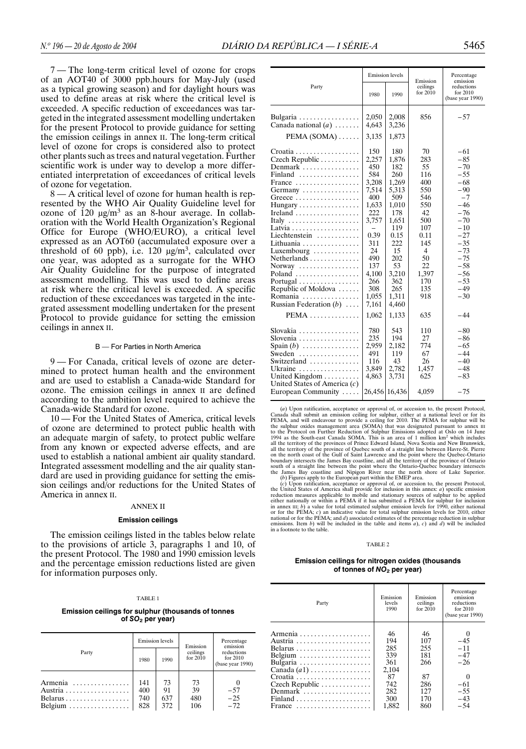7 — The long-term critical level of ozone for crops of an AOT40 of 3000 ppb.hours for May-July (used as a typical growing season) and for daylight hours was used to define areas at risk where the critical level is exceeded. A specific reduction of exceedances was targeted in the integrated assessment modelling undertaken for the present Protocol to provide guidance for setting the emission ceilings in annex II. The long-term critical level of ozone for crops is considered also to protect other plants such as trees and natural vegetation. Further scientific work is under way to develop a more differentiated interpretation of exceedances of critical levels of ozone for vegetation.

8 — A critical level of ozone for human health is represented by the WHO Air Quality Guideline level for ozone of 120  $\mu$ g/m<sup>3</sup> as an 8-hour average. In collaboration with the World Health Organization's Regional Office for Europe (WHO/EURO), a critical level expressed as an AOT60 (accumulated exposure over a threshold of 60 ppb), i.e. 120  $\mu$ g/m<sup>3</sup>, calculated over one year, was adopted as a surrogate for the WHO Air Quality Guideline for the purpose of integrated assessment modelling. This was used to define areas at risk where the critical level is exceeded. A specific reduction of these exceedances was targeted in the integrated assessment modelling undertaken for the present Protocol to provide guidance for setting the emission ceilings in annex II.

### B — For Parties in North America

9 — For Canada, critical levels of ozone are determined to protect human health and the environment and are used to establish a Canada-wide Standard for ozone. The emission ceilings in annex II are defined according to the ambition level required to achieve the Canada-wide Standard for ozone.

10 — For the United States of America, critical levels of ozone are determined to protect public health with an adequate margin of safety, to protect public welfare from any known or expected adverse effects, and are used to establish a national ambient air quality standard. Integrated assessment modelling and the air quality standard are used in providing guidance for setting the emission ceilings and/or reductions for the United States of America in annex II.

#### ANNEX II

#### **Emission ceilings**

The emission ceilings listed in the tables below relate to the provisions of article 3, paragraphs 1 and 10, of the present Protocol. The 1980 and 1990 emission levels and the percentage emission reductions listed are given for information purposes only.

#### TABLE 1

**Emission ceilings for sulphur (thousands of tonnes of** *SO***<sup>2</sup> per year)**

|                                    | <b>Emission</b> levels   |                        | Emission               | Percentage<br>emission                     |  |
|------------------------------------|--------------------------|------------------------|------------------------|--------------------------------------------|--|
| Party                              | 1980                     | 1990                   | ceilings<br>for 2010   | reductions<br>for 2010<br>(base year 1990) |  |
| Armenia<br>.<br>Austria<br>Belgium | 141<br>400<br>740<br>828 | 73<br>91<br>637<br>372 | 73<br>39<br>480<br>106 | $-57$<br>$-25$<br>$-72$                    |  |

|                                                                                                                                                                                                                                                                                                                                                  | <b>Emission</b> levels                                                                                                                                   |                                                                                                                                                                | Emission                                                                                                                             | Percentage<br>emission                                                                                                                                                          |
|--------------------------------------------------------------------------------------------------------------------------------------------------------------------------------------------------------------------------------------------------------------------------------------------------------------------------------------------------|----------------------------------------------------------------------------------------------------------------------------------------------------------|----------------------------------------------------------------------------------------------------------------------------------------------------------------|--------------------------------------------------------------------------------------------------------------------------------------|---------------------------------------------------------------------------------------------------------------------------------------------------------------------------------|
| Party                                                                                                                                                                                                                                                                                                                                            | 1980                                                                                                                                                     | 1990                                                                                                                                                           | ceilings<br>for 2010                                                                                                                 | reductions<br>for 2010<br>(base year 1990)                                                                                                                                      |
| Bulgaria<br>Canada national $(a)$<br>$PEMA (SOMA) \ldots$                                                                                                                                                                                                                                                                                        | 2,050<br>4,643<br>3,135                                                                                                                                  | 2,008<br>3,236<br>1,873                                                                                                                                        | 856                                                                                                                                  | $-57$                                                                                                                                                                           |
| Croatia<br>Czech Republic $\ldots \ldots \ldots$<br>Denmark<br>Finland<br>France<br>Germany<br>Greece<br>Hungary<br>Ireland<br>Italy<br>Liechtenstein<br>Lithuania<br>Luxembourg<br>Netherlands $\ldots$<br>Norway $\ldots \ldots \ldots \ldots \ldots$<br>Poland<br>Portugal<br>Republic of Moldova<br>Romania<br>.<br>Russian Federation $(b)$ | 150<br>2,257<br>450<br>584<br>3,208<br>7,514<br>400<br>1,633<br>222<br>3,757<br>0.39<br>311<br>24<br>490<br>137<br>4,100<br>266<br>308<br>1,055<br>7,161 | 180<br>1,876<br>182<br>260<br>1,269<br>5,313<br>509<br>1,010<br>178<br>1,651<br>119<br>0.15<br>222<br>15<br>202<br>53<br>3,210<br>362<br>265<br>1,311<br>4,460 | 70<br>283<br>55<br>116<br>400<br>550<br>546<br>550<br>42<br>500<br>107<br>0.11<br>145<br>4<br>50<br>22<br>1,397<br>170<br>135<br>918 | $-61$<br>$-85$<br>$-70$<br>$-55$<br>$-68$<br>$-90$<br>$-7$<br>$-46$<br>$-76$<br>$-70$<br>$-10$<br>$-27$<br>$-35$<br>$-73$<br>$-75$<br>$-58$<br>$-56$<br>$-53$<br>$-49$<br>$-30$ |
| $PEMA$                                                                                                                                                                                                                                                                                                                                           | 1,062                                                                                                                                                    | 1,133                                                                                                                                                          | 635                                                                                                                                  | $-44$                                                                                                                                                                           |
| Slovakia<br>Slovenia<br>Spain $(b)$<br>Sweden<br>Switzerland<br>Ukraine<br>United Kingdom<br>United States of America $(c)$                                                                                                                                                                                                                      | 780<br>235<br>2,959<br>491<br>116<br>3,849<br>4,863                                                                                                      | 543<br>194<br>2,182<br>119<br>43<br>2,782<br>3,731                                                                                                             | 110<br>27<br>774<br>67<br>26<br>1,457<br>625                                                                                         | $-80$<br>$-86$<br>$-65$<br>$-44$<br>$-40$<br>$-48$<br>$-83$                                                                                                                     |
| European Community                                                                                                                                                                                                                                                                                                                               |                                                                                                                                                          | 26,456 16,436                                                                                                                                                  | 4,059                                                                                                                                | $-75$                                                                                                                                                                           |

(a) Upon ratification, acceptance or approval of, or accession to, the present Protocol, Canada shall submit an emission ceiling for sulphur, either at a national level or for its<br>PEMA, and will endeavour to provide a ceil 1994 as the South-east Canada SOMA. This is an area of 1 million km<sup>2</sup> which includes<br>all the territory of the provinces of Prince Edward Island, Nova Scotia and New Brunswick,<br>all the territory of the province of Quebec s on the north coast of the Gulf of Saint Lawrence and the point where the Quebec-Ontario<br>boundary intersects the James Bay coastline, and all the territory of the province of Ontario<br>south of a straight line between the poi

(b) Figures apply to the European part within the EMEP area.<br>
(c) Upon ratification, acceptance or approval of, or accession to, the present Protocol,<br>
the United States of America shall provide for inclusion in this anne either nationally or within a PEMA if it has submitted a PEMA for sulphur for inclusion in annex III; *b*) a value for total estimated sulphur emission levels for 1990, either national or for the PEMA; *c*) an indicative value for total sulphur emission levels for 2010, either national or for the PEMA; and *d*) associated estimates of the percentage reduction in sulphur emissions. Item *b*) will be included in the table and items *a*), *c*) and *d*) will be included in a footnote to the table.

#### TABLE 2

#### **Emission ceilings for nitrogen oxides (thousands of tonnes of** *NO***<sup>2</sup> per year)**

| Party                                           | Emission<br>levels<br>1990              | Emission<br>ceilings<br>for 2010 | Percentage<br>emission<br>reductions<br>for 2010<br>(base year 1990) |
|-------------------------------------------------|-----------------------------------------|----------------------------------|----------------------------------------------------------------------|
| Austria<br>Belgium<br>Bulgaria<br>Canada $(a1)$ | 46<br>194<br>285<br>339<br>361<br>2,104 | 46<br>107<br>255<br>181<br>266   | $-45$<br>$-11$<br>$-47$<br>$-26$                                     |
| Czech Republic<br>Denmark<br>France             | 87<br>742<br>282<br>300<br>1.882        | 87<br>286<br>127<br>170<br>860   | 0<br>$-61$<br>$-55$<br>$-43$<br>$-54$                                |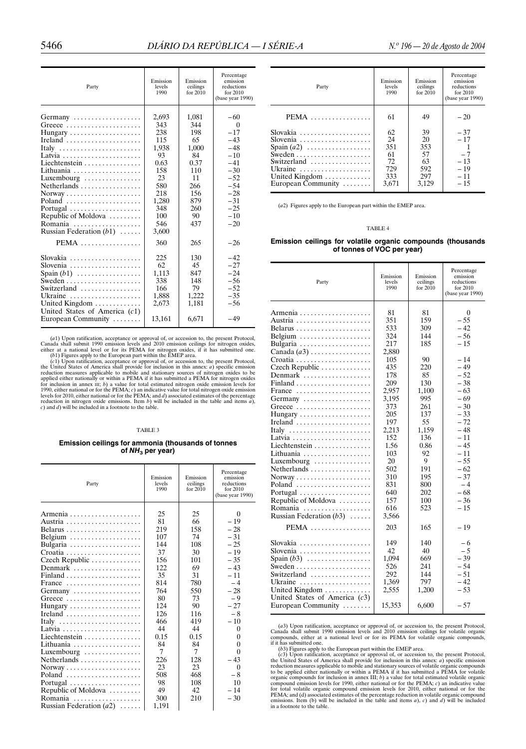| Party                                                                                                                                                                                                                                                                                                                                                       | Emission<br>levels<br>1990                                                                                                 | Emission<br>ceilings<br>for $2010$                                                                            | Percentage<br>emission<br>reductions<br>for 2010<br>(base year 1990)                                                                            |
|-------------------------------------------------------------------------------------------------------------------------------------------------------------------------------------------------------------------------------------------------------------------------------------------------------------------------------------------------------------|----------------------------------------------------------------------------------------------------------------------------|---------------------------------------------------------------------------------------------------------------|-------------------------------------------------------------------------------------------------------------------------------------------------|
| Germany $\dots\dots\dots\dots\dots\dots$<br>Greece<br>Hungary<br>Ireland<br>Italy<br>Liechtenstein $\ldots \ldots \ldots \ldots$<br>Lithuania<br>Luxembourg $\dots\dots\dots\dots\dots$<br>Netherlands<br>$Norway \ldots \ldots \ldots \ldots \ldots \ldots$<br>Poland<br>Portugal<br>Republic of Moldova<br>Romania<br>Russian Federation $(b1)$<br>$PEMA$ | 2,693<br>343<br>238<br>115<br>1,938<br>93<br>0.63<br>158<br>23<br>580<br>218<br>1,280<br>348<br>100<br>546<br>3,600<br>360 | 1,081<br>344<br>198<br>65<br>1,000<br>84<br>0.37<br>110<br>11<br>266<br>156<br>879<br>260<br>90<br>437<br>265 | $-60$<br>$\Omega$<br>$-17$<br>$-43$<br>$-48$<br>$-10$<br>$-41$<br>$-30$<br>$-52$<br>$-54$<br>$-28$<br>$-31$<br>$-25$<br>$-10$<br>$-20$<br>$-26$ |
| Slovakia<br>Slovenia<br>Spain $(b1)$<br>Switzerland<br>Ukraine<br>United Kingdom $\dots\dots\dots\dots$<br>United States of America $(c1)$<br>European Community                                                                                                                                                                                            | 225<br>62<br>1,113<br>338<br>166<br>1,888<br>2,673<br>13,161                                                               | 130<br>45<br>847<br>148<br>79<br>1,222<br>1,181<br>6,671                                                      | $-42$<br>$-27$<br>$-24$<br>$-56$<br>$-52$<br>$-35$<br>$-56$<br>$-49$                                                                            |

(a1) Upon ratification, acceptance or approval of, or accession to, the present Protocol, Canada shall submit 1990 emission levels and 2010 emission cellings for nitregen oxides, either at a national level or for its PEMA

reduction measures applicable to mobile and stationary sources of nitrogen oxides to be applical either nationally or within a PEMA if it has submitted a PEMA for nitrogen oxides for inclusion in annex II; b) a value for t levels for 2010, either national or for the PEMA; and  $d$ ) associated estimates of the percentage<br>reduction in nitrogen oxide emissions. Item b) will be included in the table and items  $a$ ),<br>c) and  $d$ ) will be included i

#### TABLE 3

#### **Emission ceilings for ammonia (thousands of tonnes of** *NH***<sup>3</sup> per year)**

| Party                                              | Emission<br>levels<br>1990 | Emission<br>ceilings<br>for $20\overline{1}0$ | Percentage<br>emission<br>reductions<br>for 2010<br>(base year 1990) |
|----------------------------------------------------|----------------------------|-----------------------------------------------|----------------------------------------------------------------------|
|                                                    | 25                         | 25                                            | $\Omega$                                                             |
|                                                    | 81                         | 66                                            | $-19$                                                                |
| Belarus                                            | 219                        | 158                                           | $-28$                                                                |
| Belgium                                            | 107                        | 74                                            | $-31$                                                                |
| Bulgaria                                           | 144                        | 108                                           | $-25$                                                                |
| Croatia                                            | 37                         | 30                                            | $-19$                                                                |
| Czech Republic                                     | 156                        | 101                                           | $-35$                                                                |
| Denmark                                            | 122                        | 69                                            | $-43$                                                                |
|                                                    | 35                         | 31                                            | $-11$                                                                |
| France                                             | 814                        | 780                                           | $-4$                                                                 |
| Germany $\dots\dots\dots\dots\dots\dots\dots$      | 764                        | 550                                           | $-28$                                                                |
| Greece                                             | 80                         | 73                                            | $-9$                                                                 |
| Hungary                                            | 124                        | 90                                            | $-27$                                                                |
| Ireland                                            | 126                        | 116                                           | $-8$                                                                 |
| Italy                                              | 466                        | 419                                           | $-10$                                                                |
|                                                    | 44                         | 44                                            | $\theta$                                                             |
| Liechtenstein                                      | 0.15                       | 0.15                                          | $\theta$                                                             |
| Lithuania                                          | 84                         | 84                                            | $\theta$                                                             |
| Luxembourg                                         | 7                          | 7                                             | $\theta$                                                             |
| Netherlands                                        | 226                        | 128                                           | $-43$                                                                |
| Norway $\ldots \ldots \ldots \ldots \ldots \ldots$ | 23                         | 23                                            | $\theta$                                                             |
| Poland                                             | 508                        | 468                                           | - 8                                                                  |
| Portugal                                           | 98                         | 108                                           | 10                                                                   |
| Republic of Moldova                                | 49                         | 42                                            | $-14$                                                                |
| Romania                                            | 300                        | 210                                           | $-30$                                                                |
| Russian Federation $(a2)$                          | 1,191                      |                                               |                                                                      |

| Party                                                                                                                                                               | Emission<br>levels<br>1990                         | Emission<br>ceilings<br>for $2010$                  | Percentage<br>emission<br>reductions<br>for $2010$<br>(base year 1990) |
|---------------------------------------------------------------------------------------------------------------------------------------------------------------------|----------------------------------------------------|-----------------------------------------------------|------------------------------------------------------------------------|
| $PEMA$                                                                                                                                                              | 61                                                 | 49                                                  | $-20$                                                                  |
| Slovakia<br>Slovenia<br>Spain $(a2)$<br>Sweden $\dots\dots\dots\dots\dots\dots\dots$<br>Switzerland<br>Ukraine<br>United Kingdom<br>European Community $\dots\dots$ | 62<br>24<br>351<br>61<br>72<br>729<br>333<br>3,671 | 39<br>20<br>353<br>.57<br>63<br>592<br>297<br>3,129 | $-37$<br>$-17$<br>$-7$<br>$-13$<br>$-19$<br>$-11$<br>$-15$             |

(*a*2) Figures apply to the European part within the EMEP area.

#### TABLE 4

**Emission ceilings for volatile organic compounds (thousands of tonnes of VOC per year)**

| Party                                                                                                                                                                                                                                                                                                                                                            | Emission<br>levels<br>1990                                                                                                                                                                         | Emission<br>ceilings<br>for 2010                                                                                                                                          | Percentage<br>emission<br>reductions<br>for 2010<br>(base year 1990)                                                                                                                                                     |
|------------------------------------------------------------------------------------------------------------------------------------------------------------------------------------------------------------------------------------------------------------------------------------------------------------------------------------------------------------------|----------------------------------------------------------------------------------------------------------------------------------------------------------------------------------------------------|---------------------------------------------------------------------------------------------------------------------------------------------------------------------------|--------------------------------------------------------------------------------------------------------------------------------------------------------------------------------------------------------------------------|
| Belgium<br>Bulgaria<br>Canada $(a3)$<br>Czech Republic<br>Denmark<br>France<br>Germany $\dots\dots\dots\dots\dots\dots\dots$<br>Greece<br>Ireland<br>Italy<br>Liechtenstein<br>Lithuania<br>Luxembourg<br>Netherlands<br>Norway $\dots \dots \dots \dots \dots \dots \dots$<br>Poland<br>Portugal<br>Republic of Moldova<br>Romania<br>Russian Federation $(b3)$ | 81<br>351<br>533<br>324<br>217<br>2,880<br>105<br>435<br>178<br>209<br>2,957<br>3,195<br>373<br>205<br>197<br>2,213<br>152<br>1.56<br>103<br>20<br>502<br>310<br>831<br>640<br>157<br>616<br>3,566 | 81<br>159<br>309<br>144<br>185<br>90<br>220<br>85<br>130<br>1,100<br>995<br>261<br>137<br>55<br>1,159<br>136<br>0.86<br>92<br>9<br>191<br>195<br>800<br>202<br>100<br>523 | 0<br>$-55$<br>$-42$<br>$-56$<br>$-15$<br>$-14$<br>$-49$<br>$-52$<br>$-38$<br>$-63$<br>$-69$<br>$-30$<br>$-33$<br>$-72$<br>$-48$<br>$-11$<br>$-45$<br>$-11$<br>$-55$<br>$-62$<br>$-37$<br>$-4$<br>$-68$<br>$-36$<br>$-15$ |
| $PEMA$<br>Slovenia<br>Spain $(b3)$<br>Switzerland<br>Ukraine<br>United Kingdom $\dots\dots\dots\dots$<br>United States of America $(c3)$                                                                                                                                                                                                                         | 203<br>149<br>42<br>1,094<br>526<br>292<br>1,369<br>2,555                                                                                                                                          | 165<br>140<br>40<br>669<br>241<br>144<br>797<br>1,200                                                                                                                     | $-19$<br>- 6<br>$-5$<br>$-39$<br>$-54$<br>$-51$<br>$-42$<br>$-53$                                                                                                                                                        |
| European Community $\dots\dots$                                                                                                                                                                                                                                                                                                                                  | 15,353                                                                                                                                                                                             | 6,600                                                                                                                                                                     | $-57$                                                                                                                                                                                                                    |

(a3) Upon ratification, acceptance or approval of, or accession to, the present Protocol,<br>Canada shall submit 1990 emission levels and 2010 emission ceilings for volatile organic<br>compounds, either at a national level or fo

if it has submitted one.<br>
(b3) Figures apply to the European part within the EMEP area.<br>
(c3) Upon ratification, acceptance or approval of, or accession to, the present Protocol,<br>
(c3) Upon ratification, acceptance or app organic compounds for inclusion in annex III; b) a value for total estimated volatile organic<br>compound emission levels for 1990, either national or for the PEMA; c) an indicative value<br>for total volatile organic compound e PEMA; and (d) associated estimates of the percentage reduction in volatile organic compound<br>emissions. Item (b) will be included in the table and items a), c) and d) will be included<br>in a footnote to the table.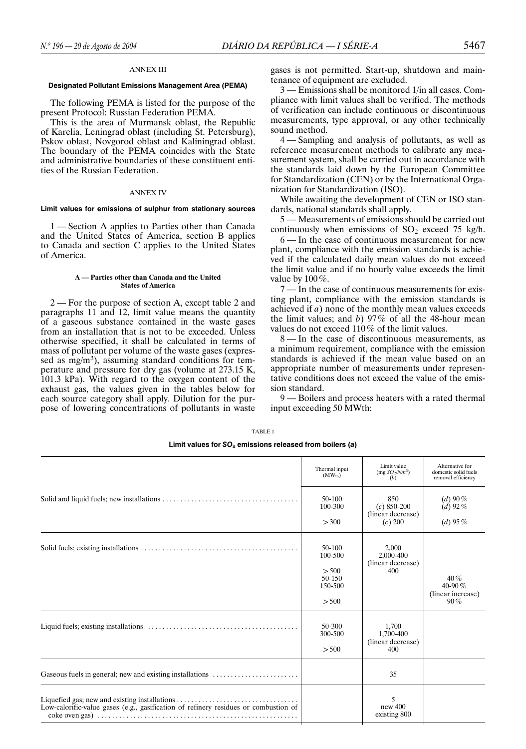### ANNEX III

#### **Designated Pollutant Emissions Management Area (PEMA)**

The following PEMA is listed for the purpose of the present Protocol: Russian Federation PEMA.

This is the area of Murmansk oblast, the Republic of Karelia, Leningrad oblast (including St. Petersburg), Pskov oblast, Novgorod oblast and Kaliningrad oblast. The boundary of the PEMA coincides with the State and administrative boundaries of these constituent entities of the Russian Federation.

### ANNEX IV

#### **Limit values for emissions of sulphur from stationary sources**

1 — Section A applies to Parties other than Canada and the United States of America, section B applies to Canada and section C applies to the United States of America.

### **A — Parties other than Canada and the United States of America**

2 — For the purpose of section A, except table 2 and paragraphs 11 and 12, limit value means the quantity of a gaseous substance contained in the waste gases from an installation that is not to be exceeded. Unless otherwise specified, it shall be calculated in terms of mass of pollutant per volume of the waste gases (expressed as mg/m<sup>3</sup>), assuming standard conditions for temperature and pressure for dry gas (volume at 273.15 K, 101.3 kPa). With regard to the oxygen content of the exhaust gas, the values given in the tables below for each source category shall apply. Dilution for the purpose of lowering concentrations of pollutants in waste gases is not permitted. Start-up, shutdown and maintenance of equipment are excluded.

3 — Emissions shall be monitored 1/in all cases. Compliance with limit values shall be verified. The methods of verification can include continuous or discontinuous measurements, type approval, or any other technically sound method.

4 — Sampling and analysis of pollutants, as well as reference measurement methods to calibrate any measurement system, shall be carried out in accordance with the standards laid down by the European Committee for Standardization (CEN) or by the International Organization for Standardization (ISO).

While awaiting the development of CEN or ISO standards, national standards shall apply.

5 — Measurements of emissions should be carried out continuously when emissions of  $SO_2$  exceed 75 kg/h.

6 — In the case of continuous measurement for new plant, compliance with the emission standards is achieved if the calculated daily mean values do not exceed the limit value and if no hourly value exceeds the limit value by 100%.

7 — In the case of continuous measurements for existing plant, compliance with the emission standards is achieved if *a*) none of the monthly mean values exceeds the limit values; and *b*) 97% of all the 48-hour mean values do not exceed 110% of the limit values.

8 — In the case of discontinuous measurements, as a minimum requirement, compliance with the emission standards is achieved if the mean value based on an appropriate number of measurements under representative conditions does not exceed the value of the emission standard.

9 — Boilers and process heaters with a rated thermal input exceeding 50 MWth:

#### TABLE 1

**Limit values for** *SO***<sup>x</sup> emissions released from boilers (***a***)**

|                                                                                     | Thermal input<br>$(MW_{th})$                             | Limit value<br>(mg SO <sub>2</sub> /Nm <sup>3</sup> )<br>(b) | Alternative for<br>domestic solid fuels<br>removal efficiency |
|-------------------------------------------------------------------------------------|----------------------------------------------------------|--------------------------------------------------------------|---------------------------------------------------------------|
|                                                                                     | 50-100<br>100-300<br>> 300                               | 850<br>$(c)$ 850-200<br>(linear decrease)<br>(c) 200         | $(d)$ 90%<br>$(d)$ 92%<br>( <i>d</i> ) 95 $%$                 |
|                                                                                     | 50-100<br>100-500<br>> 500<br>50-150<br>150-500<br>> 500 | 2.000<br>2,000-400<br>(linear decrease)<br>400               | $40\%$<br>40-90 $%$<br>(linear increase)<br>$90\%$            |
|                                                                                     | 50-300<br>300-500<br>> 500                               | 1,700<br>1,700-400<br>(linear decrease)<br>400               |                                                               |
| Gaseous fuels in general; new and existing installations                            |                                                          | 35                                                           |                                                               |
| Low-calorific-value gases (e.g., gasification of refinery residues or combustion of |                                                          | 5<br>new 400<br>existing 800                                 |                                                               |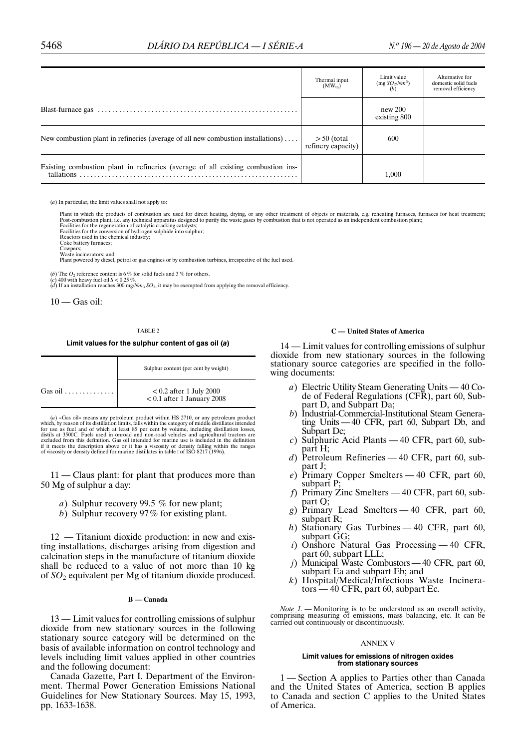|                                                                                                | Thermal input<br>$(MW_{th})$        | Limit value<br>(mg SO <sub>2</sub> /Nm <sup>3</sup> )<br>(b) | Alternative for<br>domestic solid fuels<br>removal efficiency |
|------------------------------------------------------------------------------------------------|-------------------------------------|--------------------------------------------------------------|---------------------------------------------------------------|
|                                                                                                |                                     | new 200<br>existing 800                                      |                                                               |
| New combustion plant in refineries (average of all new combustion installations)               | $> 50$ (total<br>refinery capacity) | 600                                                          |                                                               |
| Existing combustion plant in refineries (average of all existing combustion ins-<br>tallations |                                     | 1.000                                                        |                                                               |

(*a*) In particular, the limit values shall not apply to:

Plant in which the products of combustion are used for direct heating, drying, or any other treatment of objects or materials, e.g. reheating furnaces, furnaces for heat treatment; Post-combustion plant, i.e. any technical apparatus designed to purify the waste gases by combustion that is not operated as an independent combustion plant;

Facilities for the regeneration of catalytic cracking catalysts; Facilities for the conversion of hydrogen sulphide into sulphur;

Reactors used in the chemical industry; Coke battery furnaces;

Cowpers; Waste incinerators; and

Plant powered by diesel, petrol or gas engines or by combustion turbines, irrespective of the fuel used.

(b) The O<sub>2</sub> reference content is 6 % for solid fuels and 3 % for others.<br>(c) 400 with heavy fuel oil S < 0.25 %.<br>(*d*) If an installation reaches 300 mg/Nm<sub>3</sub> SO<sub>2</sub>, it may be exempted from applying the removal efficienc

 $10$  — Gas oil:

### TABLE 2

#### **Limit values for the sulphur content of gas oil (***a***)**

|                                       | Sulphur content (per cent by weight)                      |
|---------------------------------------|-----------------------------------------------------------|
| Gas oil $\ldots \ldots \ldots \ldots$ | $< 0.2$ after 1 July 2000<br>$< 0.1$ after 1 January 2008 |

(*a*) «Gas oil» means any petroleum product within HS 2710, or any petroleum product which, by reason of its distillation limits, falls within the category of middle distillates intended<br>for use as fuel and of which at least 85 per cent by volume, including distillation losses,<br>distils at 3500C. Fuels used excluded from this definition. Gas oil intended for marine use is included in the definition<br>if it meets the description above or it has a viscosity or density falling within the ranges<br>of viscosity or density defined for

11 — Claus plant: for plant that produces more than 50 Mg of sulphur a day:

- *a*) Sulphur recovery 99.5 % for new plant;
- *b*) Sulphur recovery 97% for existing plant.

12 — Titanium dioxide production: in new and existing installations, discharges arising from digestion and calcination steps in the manufacture of titanium dioxide shall be reduced to a value of not more than 10 kg of *SO*<sup>2</sup> equivalent per Mg of titanium dioxide produced.

### **B — Canada**

13 — Limit values for controlling emissions of sulphur dioxide from new stationary sources in the following stationary source category will be determined on the basis of available information on control technology and levels including limit values applied in other countries and the following document:

Canada Gazette, Part I. Department of the Environment. Thermal Power Generation Emissions National Guidelines for New Stationary Sources. May 15, 1993, pp. 1633-1638.

#### **C — United States of America**

14 — Limit values for controlling emissions of sulphur dioxide from new stationary sources in the following stationary source categories are specified in the following documents:

- *a*) Electric Utility Steam Generating Units 40 Code of Federal Regulations (CFR), part 60, Subpart D, and Subpart Da;
- *b*) Industrial-Commercial-Institutional Steam Generating Units — 40 CFR, part 60, Subpart Db, and Subpart Dc;
- *c*) Sulphuric Acid Plants 40 CFR, part 60, subpart H;
- *d*) Petroleum Refineries 40 CFR, part 60, subpart J;
- *e*) Primary Copper Smelters 40 CFR, part 60, subpart P;
- *f*) Primary Zinc Smelters 40 CFR, part 60, subpart Q;
- *g*) Primary Lead Smelters 40 CFR, part 60, subpart R;
- *h*) Stationary Gas Turbines 40 CFR, part 60, subpart GG;
- *i*) Onshore Natural Gas Processing 40 CFR, part 60, subpart LLL;
- *Municipal Waste Combustors 40 CFR, part 60,* subpart Ea and subpart Eb; and
- *k*) Hospital/Medical/Infectious Waste Incinerators — 40 CFR, part 60, subpart Ec.

*Note 1.* — Monitoring is to be understood as an overall activity, comprising measuring of emissions, mass balancing, etc. It can be carried out continuously or discontinuously.

### ANNEX V

#### **Limit values for emissions of nitrogen oxides from stationary sources**

– Section A applies to Parties other than Canada and the United States of America, section B applies to Canada and section C applies to the United States of America.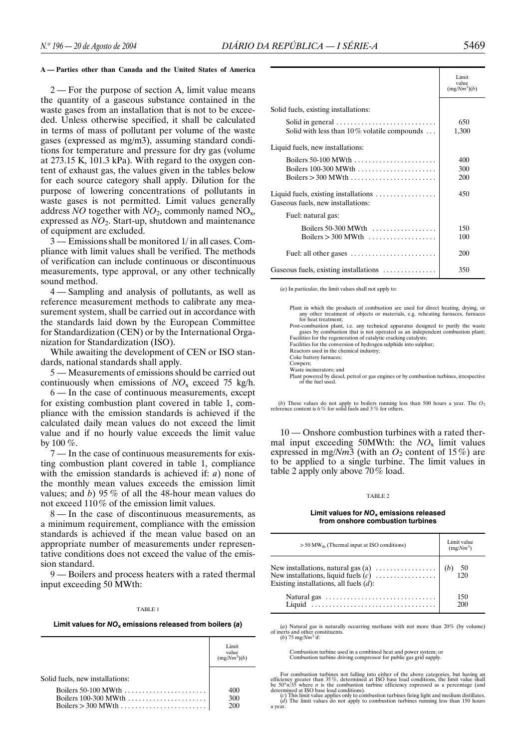### **A — Parties other than Canada and the United States of America**

2 — For the purpose of section A, limit value means the quantity of a gaseous substance contained in the waste gases from an installation that is not to be exceeded. Unless otherwise specified, it shall be calculated in terms of mass of pollutant per volume of the waste gases (expressed as mg/m3), assuming standard conditions for temperature and pressure for dry gas (volume at 273.15 K, 101.3 kPa). With regard to the oxygen content of exhaust gas, the values given in the tables below for each source category shall apply. Dilution for the purpose of lowering concentrations of pollutants in waste gases is not permitted. Limit values generally address *NO* together with *NO*2, commonly named NOx, expressed as *NO*2. Start-up, shutdown and maintenance of equipment are excluded.

3 — Emissions shall be monitored 1/ in all cases. Compliance with limit values shall be verified. The methods of verification can include continuous or discontinuous measurements, type approval, or any other technically sound method.

4 — Sampling and analysis of pollutants, as well as reference measurement methods to calibrate any measurement system, shall be carried out in accordance with the standards laid down by the European Committee for Standardization (CEN) or by the International Organization for Standardization (ISO).

While awaiting the development of CEN or ISO standards, national standards shall apply.

5 — Measurements of emissions should be carried out continuously when emissions of  $NO<sub>x</sub>$  exceed 75 kg/h.

6 — In the case of continuous measurements, except for existing combustion plant covered in table 1, compliance with the emission standards is achieved if the calculated daily mean values do not exceed the limit value and if no hourly value exceeds the limit value by  $100\%$ .

7 — In the case of continuous measurements for existing combustion plant covered in table 1, compliance with the emission standards is achieved if: *a*) none of the monthly mean values exceeds the emission limit values; and *b*) 95 % of all the 48-hour mean values do not exceed 110% of the emission limit values.

8 — In the case of discontinuous measurements, as a minimum requirement, compliance with the emission standards is achieved if the mean value based on an appropriate number of measurements under representative conditions does not exceed the value of the emission standard.

9 — Boilers and process heaters with a rated thermal input exceeding 50 MWth:

### TABLE 1

**Limit values for** *NO***<sup>x</sup> emissions released from boilers (***a***)**

|                                                                                | Limit<br>value<br>$(mg/Nm^3)(b)$ |
|--------------------------------------------------------------------------------|----------------------------------|
| Solid fuels, new installations:<br>Boilers 50-100 MWth<br>Boilers 100-300 MWth | 400<br>300<br>200                |

|                                                                                                            | I imit<br>value<br>$(mg/Nm^3)(b)$ |
|------------------------------------------------------------------------------------------------------------|-----------------------------------|
| Solid fuels, existing installations:<br>Solid in general<br>Solid with less than $10\%$ volatile compounds | 650<br>1,300                      |
| Liquid fuels, new installations:                                                                           |                                   |
| Boilers 50-100 MWth<br>Boilers 100-300 MWth<br>Boilers $> 300$ MWth                                        | 400<br>300<br>200                 |
| Liquid fuels, existing installations $\ldots$<br>Gaseous fuels, new installations:                         | 450                               |
| Fuel: natural gas:                                                                                         |                                   |
| Boilers 50-300 MWth $\ldots$ ,<br>Boilers $> 300$ MWth                                                     | 150<br>100                        |
| Fuel: all other gases $\dots\dots\dots\dots\dots\dots\dots\dots\dots$                                      | 200                               |
| Gaseous fuels, existing installations                                                                      | 350                               |

(*a*) In particular, the limit values shall not apply to:

| Plant in which the products of combustion are used for direct heating, drying, or<br>any other treatment of objects or materials, e.g. reheating furnaces, furnaces<br>for heat treatment: |
|--------------------------------------------------------------------------------------------------------------------------------------------------------------------------------------------|
| Post-combustion plant, <i>i.e.</i> any technical apparatus designed to purify the waste<br>gases by combustion that is not operated as an independent combustion plant;                    |
| Facilities for the regeneration of catalytic cracking catalysts;                                                                                                                           |
| Facilities for the conversion of hydrogen sulphide into sulphur;                                                                                                                           |
| Reactors used in the chemical industry;                                                                                                                                                    |
| Coke battery furnaces;                                                                                                                                                                     |
| Cowpers:                                                                                                                                                                                   |
| Waste incinerators; and                                                                                                                                                                    |
| Plant powered by diesel, petrol or gas engines or by combustion turbines, irrespective<br>of the fuel used.                                                                                |
|                                                                                                                                                                                            |

(*b*) These values do not apply to boilers running less than 500 hours a year. The *O*<sup>2</sup> reference content is 6 % for solid fuels and 3 % for others.

10 — Onshore combustion turbines with a rated thermal input exceeding 50MWth: the  $NO<sub>x</sub>$  limit values expressed in mg/*Nm*3 (with an  $O_2$  content of 15%) are to be applied to a single turbine. The limit values in table 2 apply only above 70% load.

### TABLE 2

#### **Limit values for** *NO***<sup>x</sup> emissions released from onshore combustion turbines**

| $> 50$ MW <sub>th</sub> (Thermal input at ISO conditions) | Limit value<br>$(mg/Mm^3)$ |  |
|-----------------------------------------------------------|----------------------------|--|
| Existing installations, all fuels $(d)$ :                 |                            |  |
|                                                           | 150<br>200                 |  |

(*a*) Natural gas is naturally occurring methane with not more than 20% (by volume) of inerts and other constituents. (*b*) 75 mg/*Nm*<sup>3</sup> if:

Combustion turbine used in a combined heat and power system; or Combustion turbine driving compressor for public gas grid supply.

For combustion turbines not falling into either of the above categories, but having an efficiency greater than 35%, determined at ISO base load conditions, the limit value shall

be 50\**n/35* where *n* is the combutstion turbine efficiency expressed as a percentage (and determined at ISO base load conditions).<br>
(c) This limit value applies only to combustion turbines firing light and medium distil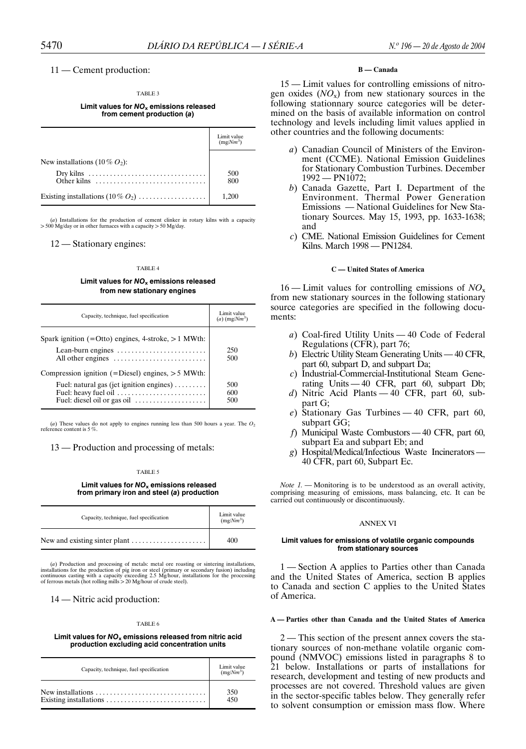### 11 — Cement production:

#### TABLE 3

#### **Limit values for** *NO***<sup>x</sup> emissions released from cement production (***a***)**

|                                                                              | Limit value<br>$(mg/Mm^3)$ |
|------------------------------------------------------------------------------|----------------------------|
| New installations (10 % $O_2$ ):                                             |                            |
| Other kilns $\ldots, \ldots, \ldots, \ldots, \ldots, \ldots, \ldots, \ldots$ | 500<br>800                 |
| Existing installations $(10\% O_2) \dots \dots \dots \dots$                  |                            |

(*a*) Installations for the production of cement clinker in rotary kilns with a capacity  $> 500$  Mg/day or in other furnaces with a capacity  $> 50$  Mg/day.

### 12 — Stationary engines:

#### TABLE 4

### **Limit values for** *NO***<sup>x</sup> emissions released from new stationary engines**

| Capacity, technique, fuel specification                                                                                                                              | Limit value<br>$(a)$ (mg/N $m3$ ) |
|----------------------------------------------------------------------------------------------------------------------------------------------------------------------|-----------------------------------|
| Spark ignition (=Otto) engines, 4-stroke, $> 1$ MWth:<br>Lean-burn engines<br>All other engines                                                                      | 250<br>500                        |
| Compression ignition (=Diesel) engines, $> 5$ MWth:<br>Fuel: natural gas (jet ignition engines) $\dots \dots$<br>Fuel: heavy fuel oil<br>Fuel: diesel oil or gas oil | 500<br>600<br>500                 |

(*a*) These values do not apply to engines running less than 500 hours a year. The *O*<sup>2</sup> reference content is 5 %.

13 — Production and processing of metals:

### TABLE 5

### **Limit values for** *NO***<sup>x</sup> emissions released from primary iron and steel (***a***) production**

| Capacity, technique, fuel specification                             | Limit value<br>$(mg/Nm^3)$ |
|---------------------------------------------------------------------|----------------------------|
| New and existing sinter plant $\dots\dots\dots\dots\dots\dots\dots$ | 400                        |

(a) Production and processing of metals: metal ore roasting or sintering installations, installations for the production of pig iron or steel (primary or secondary fusion) including continuous casting with a capacity exce

14 — Nitric acid production:

#### TABLE 6

**Limit values for** *NO***<sup>x</sup> emissions released from nitric acid production excluding acid concentration units**

| Capacity, technique, fuel specification | Limit value<br>$(mg/Nm^3)$ |
|-----------------------------------------|----------------------------|
|                                         | 350                        |
|                                         | 450                        |

### **B — Canada**

15 — Limit values for controlling emissions of nitrogen oxides  $(NO_x)$  from new stationary sources in the following stationnary source categories will be determined on the basis of available information on control technology and levels including limit values applied in other countries and the following documents:

- *a*) Canadian Council of Ministers of the Environment (CCME). National Emission Guidelines for Stationary Combustion Turbines. December 1992 — PN1072;
- *b*) Canada Gazette, Part I. Department of the Environment. Thermal Power Generation Emissions — National Guidelines for New Stationary Sources. May 15, 1993, pp. 1633-1638; and
- *c*) CME. National Emission Guidelines for Cement Kilns. March 1998 — PN1284.

### **C — United States of America**

16 — Limit values for controlling emissions of *NO*<sup>x</sup> from new stationary sources in the following stationary source categories are specified in the following documents:

- *a*) Coal-fired Utility Units 40 Code of Federal Regulations (CFR), part 76;
- *b*) Electric Utility Steam Generating Units 40 CFR, part 60, subpart D, and subpart Da;
- *c*) Industrial-Commercial-Institutional Steam Generating Units — 40 CFR, part 60, subpart Db;
- *d*) Nitric Acid Plants 40 CFR, part 60, subpart G;
- *e*) Stationary Gas Turbines 40 CFR, part 60, subpart GG;
- *f*) Municipal Waste Combustors 40 CFR, part 60, subpart Ea and subpart Eb; and
- *g*) Hospital/Medical/Infectious Waste Incinerators 40 CFR, part 60, Subpart Ec.

*Note 1.* — Monitoring is to be understood as an overall activity, comprising measuring of emissions, mass balancing, etc. It can be carried out continuously or discontinuously.

#### ANNEX VI

#### **Limit values for emissions of volatile organic compounds from stationary sources**

1 — Section A applies to Parties other than Canada and the United States of America, section B applies to Canada and section C applies to the United States of America.

### **A — Parties other than Canada and the United States of America**

2 — This section of the present annex covers the stationary sources of non-methane volatile organic compound (NMVOC) emissions listed in paragraphs 8 to 21 below. Installations or parts of installations for research, development and testing of new products and processes are not covered. Threshold values are given in the sector-specific tables below. They generally refer to solvent consumption or emission mass flow. Where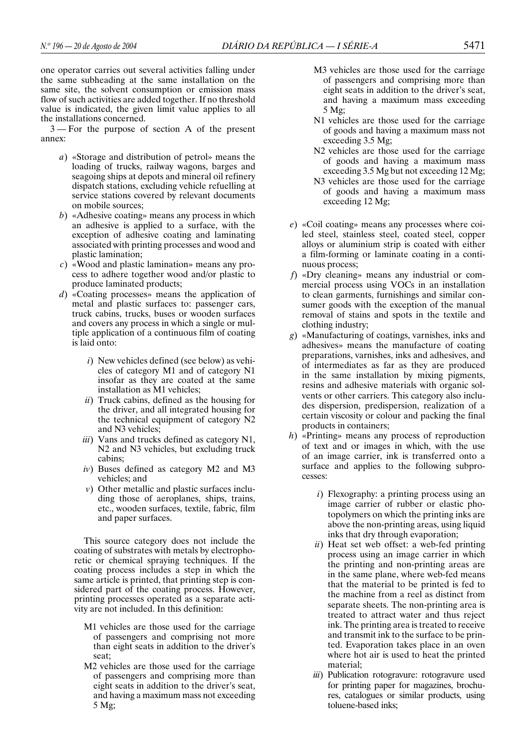one operator carries out several activities falling under the same subheading at the same installation on the same site, the solvent consumption or emission mass flow of such activities are added together. If no threshold value is indicated, the given limit value applies to all the installations concerned.

3 — For the purpose of section A of the present annex:

- *a*) «Storage and distribution of petrol» means the loading of trucks, railway wagons, barges and seagoing ships at depots and mineral oil refinery dispatch stations, excluding vehicle refuelling at service stations covered by relevant documents on mobile sources;
- *b*) «Adhesive coating» means any process in which an adhesive is applied to a surface, with the exception of adhesive coating and laminating associated with printing processes and wood and plastic lamination;
- *c*) «Wood and plastic lamination» means any process to adhere together wood and/or plastic to produce laminated products;
- *d*) «Coating processes» means the application of metal and plastic surfaces to: passenger cars, truck cabins, trucks, buses or wooden surfaces and covers any process in which a single or multiple application of a continuous film of coating is laid onto:
	- *i*) New vehicles defined (see below) as vehicles of category M1 and of category N1 insofar as they are coated at the same installation as M1 vehicles;
	- *ii*) Truck cabins, defined as the housing for the driver, and all integrated housing for the technical equipment of category N2 and N3 vehicles;
	- *iii*) Vans and trucks defined as category N1, N2 and N3 vehicles, but excluding truck cabins;
	- *iv*) Buses defined as category M2 and M3 vehicles; and
	- *v*) Other metallic and plastic surfaces including those of aeroplanes, ships, trains, etc., wooden surfaces, textile, fabric, film and paper surfaces.

This source category does not include the coating of substrates with metals by electrophoretic or chemical spraying techniques. If the coating process includes a step in which the same article is printed, that printing step is considered part of the coating process. However, printing processes operated as a separate activity are not included. In this definition:

- M1 vehicles are those used for the carriage of passengers and comprising not more than eight seats in addition to the driver's seat;
- M2 vehicles are those used for the carriage of passengers and comprising more than eight seats in addition to the driver's seat, and having a maximum mass not exceeding 5 Mg;
- M3 vehicles are those used for the carriage of passengers and comprising more than eight seats in addition to the driver's seat, and having a maximum mass exceeding 5 Mg;
- N1 vehicles are those used for the carriage of goods and having a maximum mass not exceeding 3.5 Mg;
- N2 vehicles are those used for the carriage of goods and having a maximum mass exceeding 3.5 Mg but not exceeding 12 Mg;
- N3 vehicles are those used for the carriage of goods and having a maximum mass exceeding 12 Mg;
- *e*) «Coil coating» means any processes where coiled steel, stainless steel, coated steel, copper alloys or aluminium strip is coated with either a film-forming or laminate coating in a continuous process;
- *f*) «Dry cleaning» means any industrial or commercial process using VOCs in an installation to clean garments, furnishings and similar consumer goods with the exception of the manual removal of stains and spots in the textile and clothing industry;
- *g*) «Manufacturing of coatings, varnishes, inks and adhesives» means the manufacture of coating preparations, varnishes, inks and adhesives, and of intermediates as far as they are produced in the same installation by mixing pigments, resins and adhesive materials with organic solvents or other carriers. This category also includes dispersion, predispersion, realization of a certain viscosity or colour and packing the final products in containers;
- *h*) «Printing» means any process of reproduction of text and or images in which, with the use of an image carrier, ink is transferred onto a surface and applies to the following subprocesses:
	- *i*) Flexography: a printing process using an image carrier of rubber or elastic photopolymers on which the printing inks are above the non-printing areas, using liquid inks that dry through evaporation;
	- *ii*) Heat set web offset: a web-fed printing process using an image carrier in which the printing and non-printing areas are in the same plane, where web-fed means that the material to be printed is fed to the machine from a reel as distinct from separate sheets. The non-printing area is treated to attract water and thus reject ink. The printing area is treated to receive and transmit ink to the surface to be printed. Evaporation takes place in an oven where hot air is used to heat the printed material;
	- *iii*) Publication rotogravure: rotogravure used for printing paper for magazines, brochures, catalogues or similar products, using toluene-based inks;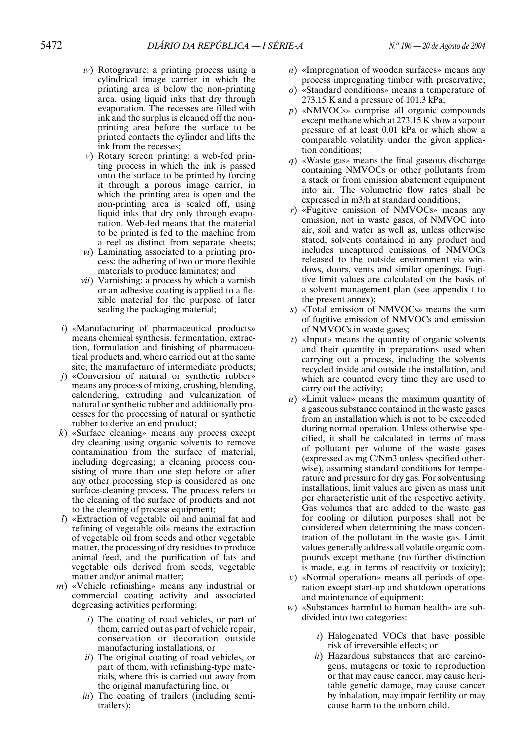- *iv*) Rotogravure: a printing process using a cylindrical image carrier in which the printing area is below the non-printing area, using liquid inks that dry through evaporation. The recesses are filled with ink and the surplus is cleaned off the nonprinting area before the surface to be printed contacts the cylinder and lifts the ink from the recesses;
- *v*) Rotary screen printing: a web-fed printing process in which the ink is passed onto the surface to be printed by forcing it through a porous image carrier, in which the printing area is open and the non-printing area is sealed off, using liquid inks that dry only through evaporation. Web-fed means that the material to be printed is fed to the machine from a reel as distinct from separate sheets;
- *vi*) Laminating associated to a printing process: the adhering of two or more flexible materials to produce laminates; and
- *vii*) Varnishing: a process by which a varnish or an adhesive coating is applied to a flexible material for the purpose of later sealing the packaging material;
- *i*) «Manufacturing of pharmaceutical products» means chemical synthesis, fermentation, extraction, formulation and finishing of pharmaceutical products and, where carried out at the same site, the manufacture of intermediate products;
- *j*) «Conversion of natural or synthetic rubber» means any process of mixing, crushing, blending, calendering, extruding and vulcanization of natural or synthetic rubber and additionally processes for the processing of natural or synthetic rubber to derive an end product;
- *k*) «Surface cleaning» means any process except dry cleaning using organic solvents to remove contamination from the surface of material, including degreasing; a cleaning process consisting of more than one step before or after any other processing step is considered as one surface-cleaning process. The process refers to the cleaning of the surface of products and not to the cleaning of process equipment;
- *l*) «Extraction of vegetable oil and animal fat and refining of vegetable oil» means the extraction of vegetable oil from seeds and other vegetable matter, the processing of dry residues to produce animal feed, and the purification of fats and vegetable oils derived from seeds, vegetable matter and/or animal matter;
- *m*) «Vehicle refinishing» means any industrial or commercial coating activity and associated degreasing activities performing:
	- *i*) The coating of road vehicles, or part of them, carried out as part of vehicle repair, conservation or decoration outside manufacturing installations, or
	- *ii*) The original coating of road vehicles, or part of them, with refinishing-type materials, where this is carried out away from the original manufacturing line, or
	- *iii*) The coating of trailers (including semitrailers);
- *n*) «Impregnation of wooden surfaces» means any process impregnating timber with preservative;
- *o*) «Standard conditions» means a temperature of 273.15 K and a pressure of 101.3 kPa;
- *p*) «NMVOCs» comprise all organic compounds except methane which at 273.15 K show a vapour pressure of at least 0.01 kPa or which show a comparable volatility under the given application conditions;
- *q*) «Waste gas» means the final gaseous discharge containing NMVOCs or other pollutants from a stack or from emission abatement equipment into air. The volumetric flow rates shall be expressed in m3/h at standard conditions;
- *r*) «Fugitive emission of NMVOCs» means any emission, not in waste gases, of NMVOC into air, soil and water as well as, unless otherwise stated, solvents contained in any product and includes uncaptured emissions of NMVOCs released to the outside environment via windows, doors, vents and similar openings. Fugitive limit values are calculated on the basis of a solvent management plan (see appendix I to the present annex);
- *s*) «Total emission of NMVOCs» means the sum of fugitive emission of NMVOCs and emission of NMVOCs in waste gases;
- *t*) «Input» means the quantity of organic solvents and their quantity in preparations used when carrying out a process, including the solvents recycled inside and outside the installation, and which are counted every time they are used to carry out the activity;
- *u*) «Limit value» means the maximum quantity of a gaseous substance contained in the waste gases from an installation which is not to be exceeded during normal operation. Unless otherwise specified, it shall be calculated in terms of mass of pollutant per volume of the waste gases (expressed as mg C/Nm3 unless specified otherwise), assuming standard conditions for temperature and pressure for dry gas. For solventusing installations, limit values are given as mass unit per characteristic unit of the respective activity. Gas volumes that are added to the waste gas for cooling or dilution purposes shall not be considered when determining the mass concentration of the pollutant in the waste gas. Limit values generally address all volatile organic compounds except methane (no further distinction is made, e.g. in terms of reactivity or toxicity);
- *v*) «Normal operation» means all periods of operation except start-up and shutdown operations and maintenance of equipment;
- *w*) «Substances harmful to human health» are subdivided into two categories:
	- *i*) Halogenated VOCs that have possible risk of irreversible effects; or
	- *ii*) Hazardous substances that are carcinogens, mutagens or toxic to reproduction or that may cause cancer, may cause heritable genetic damage, may cause cancer by inhalation, may impair fertility or may cause harm to the unborn child.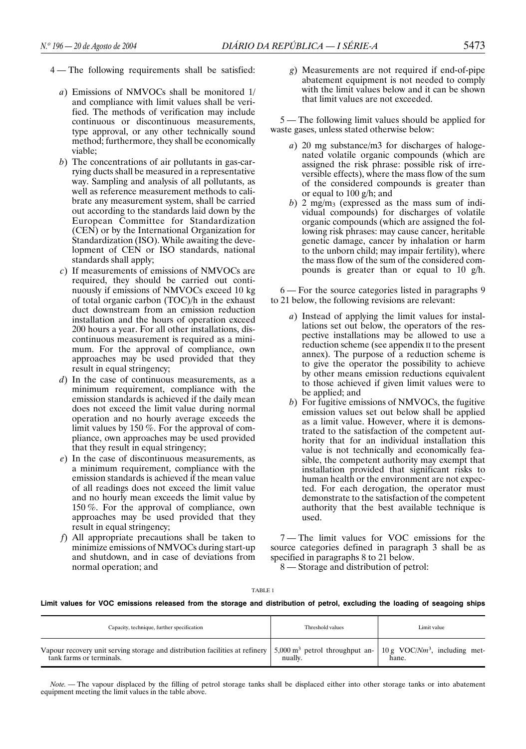- 4 The following requirements shall be satisfied:
	- *a*) Emissions of NMVOCs shall be monitored 1/ and compliance with limit values shall be verified. The methods of verification may include continuous or discontinuous measurements, type approval, or any other technically sound method; furthermore, they shall be economically viable;
	- *b*) The concentrations of air pollutants in gas-carrying ducts shall be measured in a representative way. Sampling and analysis of all pollutants, as well as reference measurement methods to calibrate any measurement system, shall be carried out according to the standards laid down by the European Committee for Standardization (CEN) or by the International Organization for Standardization (ISO). While awaiting the development of CEN or ISO standards, national standards shall apply;
	- *c*) If measurements of emissions of NMVOCs are required, they should be carried out continuously if emissions of NMVOCs exceed 10 kg of total organic carbon (TOC)/h in the exhaust duct downstream from an emission reduction installation and the hours of operation exceed 200 hours a year. For all other installations, discontinuous measurement is required as a minimum. For the approval of compliance, own approaches may be used provided that they result in equal stringency;
	- *d*) In the case of continuous measurements, as a minimum requirement, compliance with the emission standards is achieved if the daily mean does not exceed the limit value during normal operation and no hourly average exceeds the limit values by 150 %. For the approval of compliance, own approaches may be used provided that they result in equal stringency;
	- *e*) In the case of discontinuous measurements, as a minimum requirement, compliance with the emission standards is achieved if the mean value of all readings does not exceed the limit value and no hourly mean exceeds the limit value by 150 %. For the approval of compliance, own approaches may be used provided that they result in equal stringency;
	- *f*) All appropriate precautions shall be taken to minimize emissions of NMVOCs during start-up and shutdown, and in case of deviations from normal operation; and

*g*) Measurements are not required if end-of-pipe abatement equipment is not needed to comply with the limit values below and it can be shown that limit values are not exceeded.

5 — The following limit values should be applied for waste gases, unless stated otherwise below:

- *a*) 20 mg substance/m3 for discharges of halogenated volatile organic compounds (which are assigned the risk phrase: possible risk of irreversible effects), where the mass flow of the sum of the considered compounds is greater than or equal to 100 g/h; and
- $b)$  2 mg/m<sub>3</sub> (expressed as the mass sum of individual compounds) for discharges of volatile organic compounds (which are assigned the following risk phrases: may cause cancer, heritable genetic damage, cancer by inhalation or harm to the unborn child; may impair fertility), where the mass flow of the sum of the considered compounds is greater than or equal to 10 g/h.

6 — For the source categories listed in paragraphs 9 to 21 below, the following revisions are relevant:

- *a*) Instead of applying the limit values for installations set out below, the operators of the respective installations may be allowed to use a reduction scheme (see appendix II to the present annex). The purpose of a reduction scheme is to give the operator the possibility to achieve by other means emission reductions equivalent to those achieved if given limit values were to be applied; and
- *b*) For fugitive emissions of NMVOCs, the fugitive emission values set out below shall be applied as a limit value. However, where it is demonstrated to the satisfaction of the competent authority that for an individual installation this value is not technically and economically feasible, the competent authority may exempt that installation provided that significant risks to human health or the environment are not expected. For each derogation, the operator must demonstrate to the satisfaction of the competent authority that the best available technique is used.

7 — The limit values for VOC emissions for the source categories defined in paragraph 3 shall be as specified in paragraphs 8 to 21 below.

8 — Storage and distribution of petrol:

TABLE 1

**Limit values for VOC emissions released from the storage and distribution of petrol, excluding the loading of seagoing ships**

| Capacity, technique, further specification                                                                                                                                                        | Threshold values | Limit value |
|---------------------------------------------------------------------------------------------------------------------------------------------------------------------------------------------------|------------------|-------------|
| Vapour recovery unit serving storage and distribution facilities at refinery   5,000 m <sup>3</sup> petrol throughput an-   10 g VOC/Nm <sup>3</sup> , including met-<br>tank farms or terminals. | nually.          | hane.       |

*Note.* — The vapour displaced by the filling of petrol storage tanks shall be displaced either into other storage tanks or into abatement equipment meeting the limit values in the table above.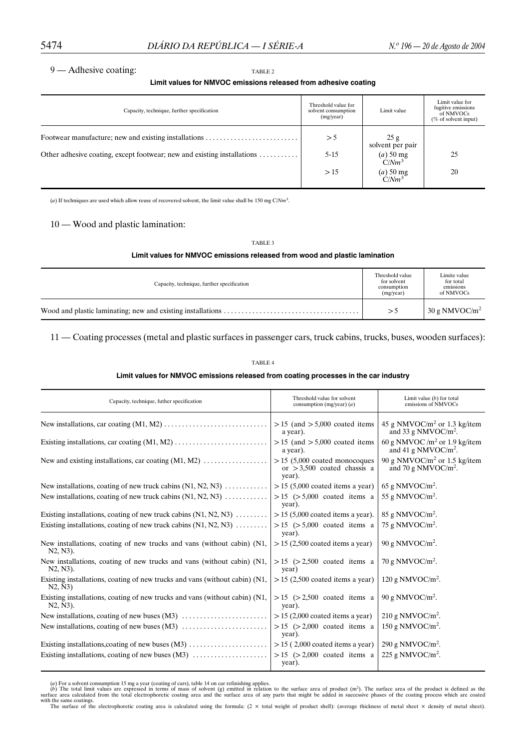### 9 — Adhesive coating: TABLE 2

### **Limit values for NMVOC emissions released from adhesive coating**

| Capacity, technique, further specification                                                  | Threshold value for<br>solvent consumption<br>(mg/year) | Limit value                     | Limit value for<br>fugitive emissions<br>of NMVOCs<br>$(\%$ of solvent input) |
|---------------------------------------------------------------------------------------------|---------------------------------------------------------|---------------------------------|-------------------------------------------------------------------------------|
|                                                                                             | > 5                                                     | 25 g<br>solvent per pair        |                                                                               |
| Other adhesive coating, except footwear; new and existing installations $\dots \dots \dots$ | $5 - 15$                                                | ( <i>a</i> ) 50 mg<br>C/N $m^3$ | 25                                                                            |
|                                                                                             | >15                                                     | ( <i>a</i> ) 50 mg<br>C/N $m^3$ | 20                                                                            |

(*a*) If techniques are used which allow reuse of recovered solvent, the limit value shall be 150 mg C/*Nm*<sup>3</sup> .

### 10 — Wood and plastic lamination:

### TABLE 3

### **Limit values for NMVOC emissions released from wood and plastic lamination**

| Capacity, technique, further specification | Threshold value<br>for solvent<br>consumption<br>(mg/year) | Limite value<br>for total<br>emissions<br>of NMVOCs |
|--------------------------------------------|------------------------------------------------------------|-----------------------------------------------------|
|                                            | >                                                          | 30 g NMVOC/m <sup>2</sup>                           |

11 — Coating processes (metal and plastic surfaces in passenger cars, truck cabins, trucks, buses, wooden surfaces):

### TABLE 4

### **Limit values for NMVOC emissions released from coating processes in the car industry**

| Capacity, technique, futher specification                                                  | Threshold value for solvent<br>consumption (mg/year) $(a)$                | Limit value $(b)$ for total<br>emissions of NMVOCs                          |  |
|--------------------------------------------------------------------------------------------|---------------------------------------------------------------------------|-----------------------------------------------------------------------------|--|
|                                                                                            | $> 15$ (and $> 5,000$ coated items<br>a year).                            | 45 g NMVOC/m <sup>2</sup> or 1.3 kg/item<br>and 33 g NMVOC/m <sup>2</sup> . |  |
|                                                                                            | $> 15$ (and $> 5,000$ coated items<br>a year).                            | 60 g NMVOC / $m2$ or 1.9 kg/item<br>and 41 g NMVOC/m <sup>2</sup> .         |  |
|                                                                                            | $> 15$ (5,000 coated monocoques<br>or $>3,500$ coated chassis a<br>year). | 90 g NMVOC/ $m2$ or 1.5 kg/item<br>and 70 g NMVOC/m <sup>2</sup> .          |  |
| New installations, coating of new truck cabins $(N1, N2, N3)$                              | $> 15$ (5,000 coated items a year)                                        | 65 g NMVOC/ $m^2$ .                                                         |  |
| New installations, coating of new truck cabins $(N1, N2, N3)$                              | $> 15$ ( $> 5,000$ coated items a<br>year).                               | 55 g NMVOC/ $m^2$ .                                                         |  |
| Existing installations, coating of new truck cabins $(N1, N2, N3)$                         | $> 15$ (5,000 coated items a year).                                       | $85$ g NMVOC/m <sup>2</sup> .                                               |  |
| Existing installations, coating of new truck cabins $(N1, N2, N3)$                         | $> 15$ ( $> 5,000$ coated items a<br>year).                               | 75 g NMVOC/m <sup>2</sup> .                                                 |  |
| New installations, coating of new trucks and vans (without cabin) (N1,<br>$N2, N3$ ).      | $> 15$ (2,500 coated items a year)                                        | 90 g NMVOC/ $m^2$ .                                                         |  |
| New installations, coating of new trucks and vans (without cabin) (N1,<br>$N2, N3$ ).      | $> 15$ ( $> 2,500$ coated items a<br>year)                                | 70 g NMVOC/m <sup>2</sup> .                                                 |  |
| Existing installations, coating of new trucks and vans (without cabin) (N1,<br>N2, N3      | $> 15$ (2,500 coated items a year)                                        | 120 g NMVOC/ $m^2$ .                                                        |  |
| Existing installations, coating of new trucks and vans (without cabin) (N1,<br>$N2, N3$ ). | $> 15$ ( $> 2,500$ coated items a<br>year).                               | 90 g NMVOC/ $m^2$ .                                                         |  |
|                                                                                            | $> 15$ (2,000 coated items a year)                                        | 210 g NMVOC/ $m^2$ .                                                        |  |
|                                                                                            | $>15$ ( $>2,000$ coated items a<br>year).                                 | 150 g NMVOC/ $m^2$ .                                                        |  |
|                                                                                            | $> 15$ (2,000 coated items a year)                                        | 290 g NMVOC/m <sup>2</sup> .                                                |  |
|                                                                                            | $>15$ ( $>2,000$ coated items a<br>year).                                 | 225 g NMVOC/m <sup>2</sup> .                                                |  |

(a) For a solvent consumption 15 mg a year (coating of cars), table 14 on car refinishing applies.<br>
(b) The total limit values are expressed in terms of mass of solvent (g) emitted in relation to the surface area of produ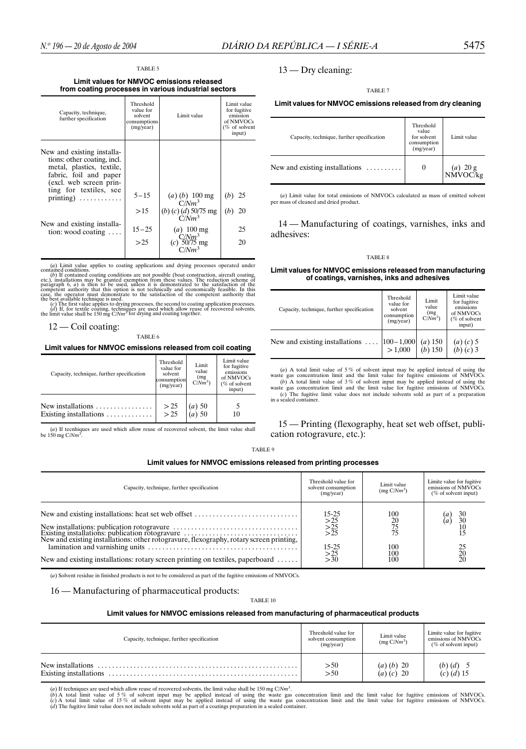#### TABLE 5

#### **Limit values for NMVOC emissions released from coating processes in various industrial sectors**

| Capacity, technique,<br>further specification                                                                                                                                                             | Threshold<br>value for<br>solvent<br>consumptions<br>(mg/year) | Limit value                                  | Limit value<br>for fugitive<br>emission<br>of NMVOCs<br>(% of solvent<br>input) |
|-----------------------------------------------------------------------------------------------------------------------------------------------------------------------------------------------------------|----------------------------------------------------------------|----------------------------------------------|---------------------------------------------------------------------------------|
| New and existing installa-<br>tions: other coating, incl.<br>metal, plastics, textile,<br>fabric, foil and paper<br>(excl. web screen prin-<br>ting for textiles, see<br>printing) $\ldots \ldots \ldots$ | $5 - 15$                                                       | ( <i>a</i> ) ( <i>b</i> ) 100 mg<br>$C/Nm^3$ | (b) 25                                                                          |
|                                                                                                                                                                                                           | >15                                                            | (b) $(c)$ (d) 50/75 mg<br>$C/Nm^3$           | 20<br>(b)                                                                       |
| New and existing installa-<br>tion: wood coating $\dots$                                                                                                                                                  | $15 - 25$                                                      | (a) 100 mg<br>$C/Nm^3$                       | 25                                                                              |
|                                                                                                                                                                                                           | >25                                                            | $(c)$ 50/75 mg<br>$C/Nm^3$                   | 20                                                                              |

(a) Limit value applies to coating applications and drying processes operated under<br>contained conditions.<br>(b) If contained coating conditions are not possible (boat construction, aircraft coating,<br>etc.), installations may paragraph 6,  $a$ ) is then to be used, unless it is demonstrated to the satisfaction of the competent authority that this option is not technically and economically feasible. In this case, the operator must demonstrate to

(*d*) If, for textile coating, techniques are used which allow reuse of recovered solvents, the limit value shall be 150 mg C/*Nm*<sup>3</sup> for drying and coating together.

### 12 — Coil coating:

### TABLE 6

### **Limit values for NMVOC emissions released from coil coating**

| Capacity, technique, further specification                                                     | Threshold<br>value for<br>solvent<br>consumption<br>(mg/year) | Limit<br>value<br>(mg<br>$C/Nm^3$ | Limit value<br>for fugitive<br>emissions<br>of NMVOCs<br>$(\%$ of solvent<br>input) |
|------------------------------------------------------------------------------------------------|---------------------------------------------------------------|-----------------------------------|-------------------------------------------------------------------------------------|
| New installations $\dots\dots\dots\dots\dots$<br>Existing installations $\ldots \ldots \ldots$ | $>$ 25<br>$>$ 25                                              | (a) 50<br>(a) 50                  | 10                                                                                  |

(*a*) If tecnhiques are used which allow reuse of recovered solvent, the limit value shall be 150 mg  $C/Nm^3$ .

13 — Dry cleaning:

### TABLE 7

#### **Limit values for NMVOC emissions released from dry cleaning**

| Capacity, technique, further specification       | Threshold<br>value<br>for solvent<br>consumption<br>(mg/year) | Limit value                                                                     |
|--------------------------------------------------|---------------------------------------------------------------|---------------------------------------------------------------------------------|
| New and existing installations $\dots\dots\dots$ |                                                               | $\begin{array}{ c c } \hline (a) & 20 & g \ \hline \text{NMVOC/kg} \end{array}$ |

(*a*) Limit value for total emissions of NMVOCs calculated as mass of emitted solvent per mass of cleaned and dried product.

14 — Manufacturing of coatings, varnishes, inks and adhesives:

#### TABLE 8

#### **Limit values for NMVOC emissions released from manufacturing of coatings, varnishes, inks and adhesives**

| Capacity, technique, further specification | Threshold<br>value for<br>solvent<br>consumption<br>(mg/year) | Limit<br>value<br>$\begin{array}{c} \text{(mg)}\\ \text{C/N}m^3 \text{)} \end{array}$ | Limit value<br>for fugitive<br>emissions<br>of NMVOCs<br>$(\%$ of solvent<br>input) |  |
|--------------------------------------------|---------------------------------------------------------------|---------------------------------------------------------------------------------------|-------------------------------------------------------------------------------------|--|
| New and existing installations $\dots$     | $\begin{vmatrix} 100 - 1{,}000 \\ > 1{,}000 \end{vmatrix}$    | $(a)$ 150<br>(b) 150                                                                  | $(a)$ $(c)$ 5                                                                       |  |

(*a*) A total limit value of 5 % of solvent input may be applied instead of using the waste gas concentration limit and the limit value for fugitive emissions of NMVOCs.<br>
(b) A total limit value of  $3\%$  of solvent input may be applied instead of using the<br>
waste gas concentration limit and the limit value

15 — Printing (flexography, heat set web offset, publication rotogravure, etc.):

### TABLE 9

#### **Limit values for NMVOC emissions released from printing processes**

| Capacity, technique, further specification                                                                                                      | Threshold value for<br>solvent consumption<br>(mg/year)   | Limit value<br>$(mg C/Nm^3)$                | Limite value for fugitive<br>emissions of NMVOCs<br>$(\%$ of solvent input) |  |  |
|-------------------------------------------------------------------------------------------------------------------------------------------------|-----------------------------------------------------------|---------------------------------------------|-----------------------------------------------------------------------------|--|--|
| New and existing installations: heat set web offset<br>New and existing installations: rotary screen printing on textiles, paperboard $\dots$ . | 15-25<br>$>25$<br>$>25$<br>>25<br>$15 - 25$<br>>25<br>>30 | 100<br>$\frac{20}{75}$<br>100<br>100<br>100 | 30<br>$\binom{a}{a}$<br>30<br>25<br>20<br>20                                |  |  |

(*a*) Solvent residue in finished products is not to be considered as part of the fugitive emissions of NMVOCs.

### 16 — Manufacturing of pharmaceutical products:

#### TABLE 10

### **Limit values for NMVOC emissions released from manufacturing of pharmaceutical products**

| Capacity, technique, further specification | Threshold value for<br>solvent consumption<br>(mg/year) | Limit value<br>$(mg C/Nm^3)$ | Limite value for fugitive<br>emissions of NMVOCs<br>$(\%$ of solvent input) |  |  |
|--------------------------------------------|---------------------------------------------------------|------------------------------|-----------------------------------------------------------------------------|--|--|
|                                            | >50                                                     | (a) (b) 20                   | ( <i>b</i> ) ( <i>d</i> ) 5                                                 |  |  |
|                                            | >50                                                     | $\vec{a}$ ) $\vec{c}$ ) 20   | $(c)$ $(d)$ 15                                                              |  |  |

(a) If techniques are used which allow reuse of recovered solvents, the limit value shall be 150 mg  $C/Nm^3$ .<br>(b) A total limit value of 5% of solvent input may be applied instead of using the waste gas concentration limit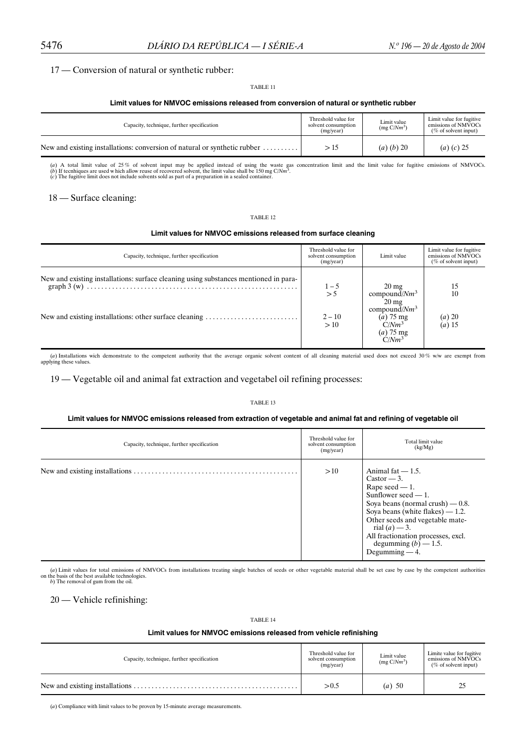### 17 — Conversion of natural or synthetic rubber:

### TABLE 11

#### **Limit values for NMVOC emissions released from conversion of natural or synthetic rubber**

| Capacity, technique, further specification                                                  | Threshold value for<br>solvent consumption<br>(mg/year) | Limit value<br>$(mg C/Nm^3)$ | Limit value for fugitive<br>emissions of NMVOCs<br>$(\%$ of solvent input) |  |
|---------------------------------------------------------------------------------------------|---------------------------------------------------------|------------------------------|----------------------------------------------------------------------------|--|
| New and existing installations: conversion of natural or synthetic rubber $\dots\dots\dots$ | >15                                                     | $(a)$ $(b)$ 20               | $(a)$ $(c)$ 25                                                             |  |

(a) A total limit value of 25% of solvent input may be applied instead of using the waste gas concentration limit and the limit value for fugitive emissions of NMVOCs.<br>(b) If tecnhiques are used which allow reuse of recove

18 — Surface cleaning:

### TABLE 12

### **Limit values for NMVOC emissions released from surface cleaning**

| Capacity, technique, further specification                                                                                                                                                 | Threshold value for<br>solvent consumption<br>(mg/year) | Limit value                                                                                                                                   | Limit value for fugitive<br>emissions of NMVOCs<br>$(\%$ of solvent input) |
|--------------------------------------------------------------------------------------------------------------------------------------------------------------------------------------------|---------------------------------------------------------|-----------------------------------------------------------------------------------------------------------------------------------------------|----------------------------------------------------------------------------|
| New and existing installations: surface cleaning using substances mentioned in para-<br>New and existing installations: other surface cleaning $\dots \dots \dots \dots \dots \dots \dots$ | $1 - 5$<br>> 5<br>$2 - 10$<br>>10                       | $20 \text{ mg}$ compound/ $Nm^3$<br>$20 \text{ mg}$<br>compound/ $Nm^3$<br>$(a)$ 75 mg<br>C/Nm <sup>3</sup><br>(a) 75 mg<br>C/Nm <sup>3</sup> | 15<br>10<br>(a) 20<br>(a) 15                                               |

(*a*) Installations wich demonstrate to the competent authority that the average organic solvent content of all cleaning material used does not exceed 30 % w/w are exempt from applying these values.

19 — Vegetable oil and animal fat extraction and vegetabel oil refining processes:

### TABLE 13

### **Limit values for NMVOC emissions released from extraction of vegetable and animal fat and refining of vegetable oil**

| Capacity, technique, further specification | Threshold value for<br>solvent consumption<br>(mg/year) | Total limit value<br>(kg/Mg)                                                                                                                                                                                                                                                                            |
|--------------------------------------------|---------------------------------------------------------|---------------------------------------------------------------------------------------------------------------------------------------------------------------------------------------------------------------------------------------------------------------------------------------------------------|
|                                            | >10                                                     | Animal fat $-1.5$ .<br>$Castor - 3.$<br>Rape seed $-1$ .<br>Sunflower seed $-1$ .<br>Soya beans (normal crush) $-0.8$ .<br>Soya beans (white flakes) $-1.2$ .<br>Other seeds and vegetable mate-<br>rial $(a)$ - 3.<br>All fractionation processes, excl.<br>degumming $(b)$ - 1.5.<br>Degumming $-4$ . |

(a) Limit values for total emissions of NMVOCs from installations treating single batches of seeds or other vegetable material shall be set case by case by the competent authorities<br>on the basis of the best available techn

20 — Vehicle refinishing:

### TABLE 14

### **Limit values for NMVOC emissions released from vehicle refinishing**

| Capacity, technique, further specification | Threshold value for<br>solvent consumption<br>(mg/year) | Limit value<br>$(mg C/Nm^3)$ | Limite value for fugitive<br>emissions of NMVOCs<br>$(\%$ of solvent input) |  |
|--------------------------------------------|---------------------------------------------------------|------------------------------|-----------------------------------------------------------------------------|--|
|                                            | > 0.5                                                   | (a) 50                       |                                                                             |  |

(*a*) Compliance with limit values to be proven by 15-minute average measurements.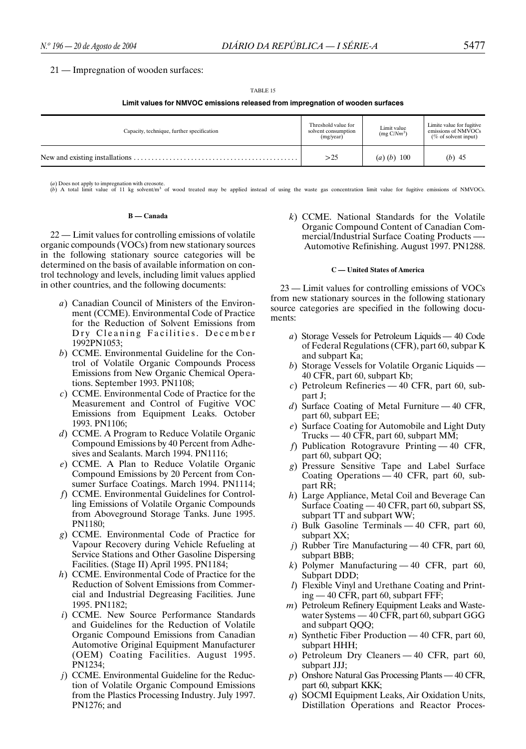### 21 — Impregnation of wooden surfaces:

### TABLE 15

### **Limit values for NMVOC emissions released from impregnation of wooden surfaces**

| Capacity, technique, further specification | Threshold value for<br>solvent consumption<br>(mg/year) | Limit value<br>$(mg C/Nm^3)$ | Limite value for fugitive<br>emissions of NMVOCs<br>(% of solvent input) |
|--------------------------------------------|---------------------------------------------------------|------------------------------|--------------------------------------------------------------------------|
|                                            | >25                                                     | $(a)$ (b) 100                | $(b)$ 45                                                                 |

(a) Does not apply to impregnation with creosote.<br>(b) A total limit value of 11 kg solvent/m<sup>3</sup> of wood treated may be applied instead of using the waste gas concentration limit value for fugitive emissions of NMVOCs.

### **B — Canada**

22 — Limit values for controlling emissions of volatile organic compounds (VOCs) from new stationary sources in the following stationary source categories will be determined on the basis of available information on control technology and levels, including limit values applied in other countries, and the following documents:

- *a*) Canadian Council of Ministers of the Environment (CCME). Environmental Code of Practice for the Reduction of Solvent Emissions from Dry Cleaning Facilities. December 1992PN1053;
- *b*) CCME. Environmental Guideline for the Control of Volatile Organic Compounds Process Emissions from New Organic Chemical Operations. September 1993. PN1108;
- *c*) CCME. Environmental Code of Practice for the Measurement and Control of Fugitive VOC Emissions from Equipment Leaks. October 1993. PN1106;
- *d*) CCME. A Program to Reduce Volatile Organic Compound Emissions by 40 Percent from Adhesives and Sealants. March 1994. PN1116;
- *e*) CCME. A Plan to Reduce Volatile Organic Compound Emissions by 20 Percent from Consumer Surface Coatings. March 1994. PN1114;
- *f*) CCME. Environmental Guidelines for Controlling Emissions of Volatile Organic Compounds from Aboveground Storage Tanks. June 1995. PN1180;
- *g*) CCME. Environmental Code of Practice for Vapour Recovery during Vehicle Refueling at Service Stations and Other Gasoline Dispersing Facilities. (Stage II) April 1995. PN1184;
- *h*) CCME. Environmental Code of Practice for the Reduction of Solvent Emissions from Commercial and Industrial Degreasing Facilities. June 1995. PN1182;
- *i*) CCME. New Source Performance Standards and Guidelines for the Reduction of Volatile Organic Compound Emissions from Canadian Automotive Original Equipment Manufacturer (OEM) Coating Facilities. August 1995. PN1234;
- *j*) CCME. Environmental Guideline for the Reduction of Volatile Organic Compound Emissions from the Plastics Processing Industry. July 1997. PN1276; and

*k*) CCME. National Standards for the Volatile Organic Compound Content of Canadian Commercial/Industrial Surface Coating Products —- Automotive Refinishing. August 1997. PN1288.

### **C — United States of America**

23 — Limit values for controlling emissions of VOCs from new stationary sources in the following stationary source categories are specified in the following documents:

- *a*) Storage Vessels for Petroleum Liquids 40 Code of Federal Regulations (CFR), part 60, subpar K and subpart Ka;
- *b*) Storage Vessels for Volatile Organic Liquids 40 CFR, part 60, subpart Kb;
- *c*) Petroleum Refineries 40 CFR, part 60, subpart J;
- *d*) Surface Coating of Metal Furniture 40 CFR, part 60, subpart EE;
- *e*) Surface Coating for Automobile and Light Duty Trucks — 40 CFR, part 60, subpart MM;
- *f*) Publication Rotogravure Printing 40 CFR, part 60, subpart QQ;
- *g*) Pressure Sensitive Tape and Label Surface Coating Operations — 40 CFR, part 60, subpart RR;
- *h*) Large Appliance, Metal Coil and Beverage Can Surface Coating — 40 CFR, part 60, subpart SS, subpart TT and subpart WW;
- *i*) Bulk Gasoline Terminals 40 CFR, part 60, subpart XX;
- *j*) Rubber Tire Manufacturing 40 CFR, part 60, subpart BBB;
- *k*) Polymer Manufacturing 40 CFR, part 60, Subpart DDD;
- *l*) Flexible Vinyl and Urethane Coating and Printing — 40 CFR, part 60, subpart FFF;
- *m*) Petroleum Refinery Equipment Leaks and Wastewater Systems — 40 CFR, part 60, subpart GGG and subpart QQQ;
- *n*) Synthetic Fiber Production 40 CFR, part 60, subpart HHH;
- *o*) Petroleum Dry Cleaners 40 CFR, part 60, subpart JJJ;
- *p*) Onshore Natural Gas Processing Plants 40 CFR, part 60, subpart KKK;
- *q*) SOCMI Equipment Leaks, Air Oxidation Units, Distillation Operations and Reactor Proces-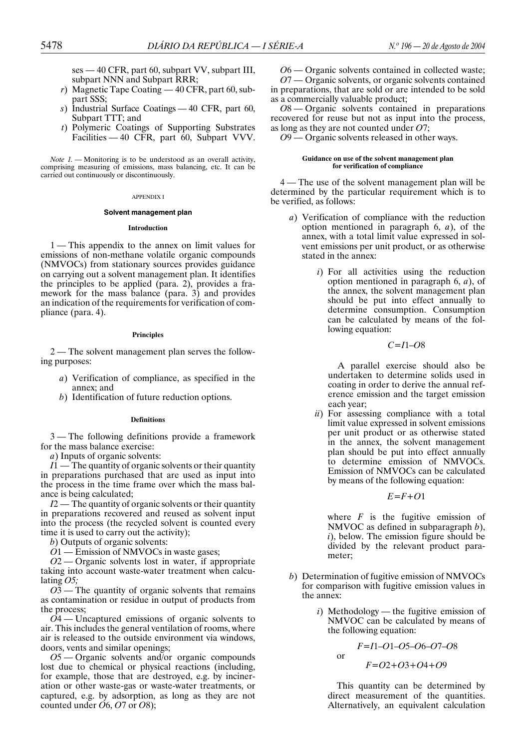ses — 40 CFR, part 60, subpart VV, subpart III, subpart NNN and Subpart RRR;

- *r*) Magnetic Tape Coating 40 CFR, part 60, subpart SSS;
- *s*) Industrial Surface Coatings 40 CFR, part 60, Subpart TTT; and
- *t*) Polymeric Coatings of Supporting Substrates Facilities - 40 CFR, part 60, Subpart VVV.

*Note 1.* — Monitoring is to be understood as an overall activity, comprising measuring of emissions, mass balancing, etc. It can be carried out continuously or discontinuously.

#### APPENDIX I

### **Solvent management plan**

#### **Introduction**

1 — This appendix to the annex on limit values for emissions of non-methane volatile organic compounds (NMVOCs) from stationary sources provides guidance on carrying out a solvent management plan. It identifies the principles to be applied (para. 2), provides a framework for the mass balance (para. 3) and provides an indication of the requirements for verification of compliance (para. 4).

### **Principles**

2— The solvent management plan serves the following purposes:

- *a*) Verification of compliance, as specified in the annex; and
- *b*) Identification of future reduction options.

### **Definitions**

3 — The following definitions provide a framework for the mass balance exercise:

*a*) Inputs of organic solvents:

*I*1 — The quantity of organic solvents or their quantity in preparations purchased that are used as input into the process in the time frame over which the mass balance is being calculated;

*I*2 — The quantity of organic solvents or their quantity in preparations recovered and reused as solvent input into the process (the recycled solvent is counted every time it is used to carry out the activity);

*b*) Outputs of organic solvents:

*O*1 — Emission of NMVOCs in waste gases;

*O*2 — Organic solvents lost in water, if appropriate taking into account waste-water treatment when calculating *O5;*

*O*3 — The quantity of organic solvents that remains as contamination or residue in output of products from the process;

*O*4 — Uncaptured emissions of organic solvents to air. This includes the general ventilation of rooms, where air is released to the outside environment via windows, doors, vents and similar openings;

*O*5 — Organic solvents and/or organic compounds lost due to chemical or physical reactions (including, for example, those that are destroyed, e.g. by incineration or other waste-gas or waste-water treatments, or captured, e.g. by adsorption, as long as they are not counted under *O*6, *O*7 or *O*8);

*O*6 — Organic solvents contained in collected waste; *O*7 — Organic solvents, or organic solvents contained in preparations, that are sold or are intended to be sold as a commercially valuable product;

*O*8 — Organic solvents contained in preparations recovered for reuse but not as input into the process, as long as they are not counted under *O*7;

*O*9 — Organic solvents released in other ways.

#### **Guidance on use of the solvent management plan for verification of compliance**

4 — The use of the solvent management plan will be determined by the particular requirement which is to be verified, as follows:

- *a*) Verification of compliance with the reduction option mentioned in paragraph 6, *a*), of the annex, with a total limit value expressed in solvent emissions per unit product, or as otherwise stated in the annex:
	- *i*) For all activities using the reduction option mentioned in paragraph 6, *a*), of the annex, the solvent management plan should be put into effect annually to determine consumption. Consumption can be calculated by means of the following equation:

*C*=*I*1–*O*8

A parallel exercise should also be undertaken to determine solids used in coating in order to derive the annual reference emission and the target emission each year;

*ii*) For assessing compliance with a total limit value expressed in solvent emissions per unit product or as otherwise stated in the annex, the solvent management plan should be put into effect annually to determine emission of NMVOCs. Emission of NMVOCs can be calculated by means of the following equation:

### *E=F+O*1

where  $F$  is the fugitive emission of NMVOC as defined in subparagraph *b*), *i*), below. The emission figure should be divided by the relevant product parameter;

*b*) Determination of fugitive emission of NMVOCs for comparison with fugitive emission values in the annex:

or

*i*) Methodology — the fugitive emission of NMVOC can be calculated by means of the following equation:

$$
F = I1 - O1 - O5 - O6 - O7 - O8
$$

$$
F = O2 + O3 + O4 + O9
$$

This quantity can be determined by direct measurement of the quantities. Alternatively, an equivalent calculation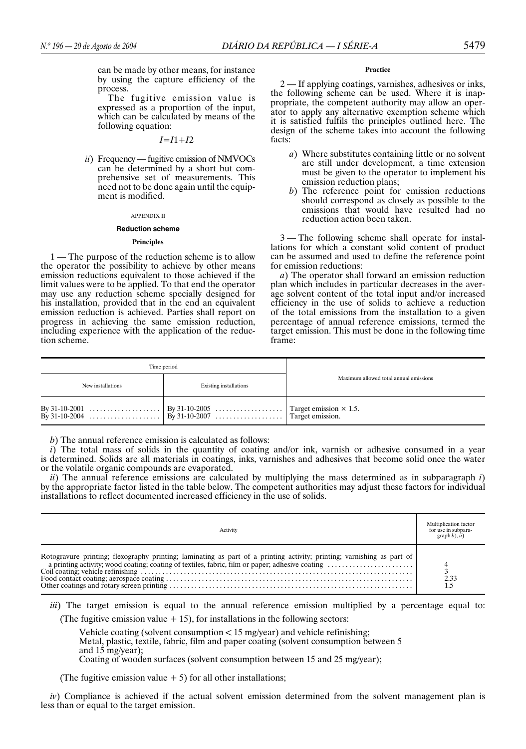can be made by other means, for instance by using the capture efficiency of the process.

The fugitive emission value is expressed as a proportion of the input, which can be calculated by means of the following equation:

 $I = I1 + I2$ 

*ii*) Frequency — fugitive emission of NMVOCs can be determined by a short but comprehensive set of measurements. This need not to be done again until the equipment is modified.

#### APPENDIX II

#### **Reduction scheme**

### **Principles**

1 — The purpose of the reduction scheme is to allow the operator the possibility to achieve by other means emission reductions equivalent to those achieved if the limit values were to be applied. To that end the operator may use any reduction scheme specially designed for his installation, provided that in the end an equivalent emission reduction is achieved. Parties shall report on progress in achieving the same emission reduction, including experience with the application of the reduction scheme.

#### **Practice**

2 — If applying coatings, varnishes, adhesives or inks, the following scheme can be used. Where it is inappropriate, the competent authority may allow an operator to apply any alternative exemption scheme which it is satisfied fulfils the principles outlined here. The design of the scheme takes into account the following facts:

- *a*) Where substitutes containing little or no solvent are still under development, a time extension must be given to the operator to implement his emission reduction plans;
- *b*) The reference point for emission reductions should correspond as closely as possible to the emissions that would have resulted had no reduction action been taken.

3 — The following scheme shall operate for installations for which a constant solid content of product can be assumed and used to define the reference point for emission reductions:

*a*) The operator shall forward an emission reduction plan which includes in particular decreases in the average solvent content of the total input and/or increased efficiency in the use of solids to achieve a reduction of the total emissions from the installation to a given percentage of annual reference emissions, termed the target emission. This must be done in the following time frame:

|                                             | Time period |                                        |  |  |  |
|---------------------------------------------|-------------|----------------------------------------|--|--|--|
| Existing installations<br>New installations |             | Maximum allowed total annual emissions |  |  |  |
|                                             |             |                                        |  |  |  |

*b*) The annual reference emission is calculated as follows:

*i*) The total mass of solids in the quantity of coating and/or ink, varnish or adhesive consumed in a year is determined. Solids are all materials in coatings, inks, varnishes and adhesives that become solid once the water or the volatile organic compounds are evaporated.

*ii*) The annual reference emissions are calculated by multiplying the mass determined as in subparagraph *i*) by the appropriate factor listed in the table below. The competent authorities may adjust these factors for individual installations to reflect documented increased efficiency in the use of solids.

| Activity                                                                                                               | Multiplication factor<br>for use in subpara-<br>graph(b), ii) |
|------------------------------------------------------------------------------------------------------------------------|---------------------------------------------------------------|
| Rotogravure printing; flexography printing; laminating as part of a printing activity; printing; varnishing as part of | 2.33                                                          |

*iii*) The target emission is equal to the annual reference emission multiplied by a percentage equal to: (The fugitive emission value  $+ 15$ ), for installations in the following sectors:

Vehicle coating (solvent consumption  $\lt 15$  mg/year) and vehicle refinishing; Metal, plastic, textile, fabric, film and paper coating (solvent consumption between 5 and 15 mg/year); Coating of wooden surfaces (solvent consumption between 15 and 25 mg/year);

(The fugitive emission value  $+ 5$ ) for all other installations;

*iv*) Compliance is achieved if the actual solvent emission determined from the solvent management plan is less than or equal to the target emission.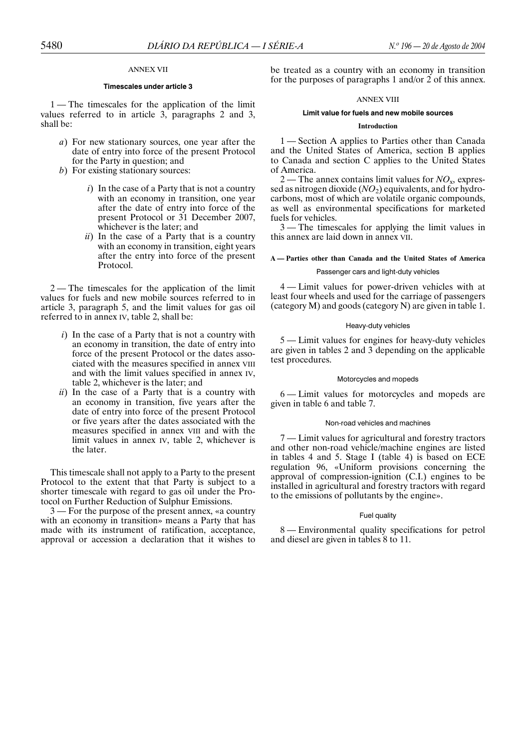### ANNEX VII

#### **Timescales under article 3**

1 — The timescales for the application of the limit values referred to in article 3, paragraphs 2 and 3, shall be:

- *a*) For new stationary sources, one year after the date of entry into force of the present Protocol for the Party in question; and
- *b*) For existing stationary sources:
	- *i*) In the case of a Party that is not a country with an economy in transition, one year after the date of entry into force of the present Protocol or 31 December 2007, whichever is the later; and
	- *ii*) In the case of a Party that is a country with an economy in transition, eight years after the entry into force of the present Protocol.

2 — The timescales for the application of the limit values for fuels and new mobile sources referred to in article 3, paragraph 5, and the limit values for gas oil referred to in annex IV, table 2, shall be:

- *i*) In the case of a Party that is not a country with an economy in transition, the date of entry into force of the present Protocol or the dates associated with the measures specified in annex VIII and with the limit values specified in annex IV, table 2, whichever is the later; and
- *ii*) In the case of a Party that is a country with an economy in transition, five years after the date of entry into force of the present Protocol or five years after the dates associated with the measures specified in annex VIII and with the limit values in annex IV, table 2, whichever is the later.

This timescale shall not apply to a Party to the present Protocol to the extent that that Party is subject to a shorter timescale with regard to gas oil under the Protocol on Further Reduction of Sulphur Emissions.

3 — For the purpose of the present annex, «a country with an economy in transition» means a Party that has made with its instrument of ratification, acceptance, approval or accession a declaration that it wishes to be treated as a country with an economy in transition for the purposes of paragraphs 1 and/or 2 of this annex.

### ANNEX VIII

#### **Limit value for fuels and new mobile sources**

#### **Introduction**

1 — Section A applies to Parties other than Canada and the United States of America, section B applies to Canada and section C applies to the United States of America.

2 — The annex contains limit values for *NO*x, expressed as nitrogen dioxide (*NO*<sub>2</sub>) equivalents, and for hydrocarbons, most of which are volatile organic compounds, as well as environmental specifications for marketed fuels for vehicles.

3 — The timescales for applying the limit values in this annex are laid down in annex VII.

### **A — Parties other than Canada and the United States of America**

### Passenger cars and light-duty vehicles

4 — Limit values for power-driven vehicles with at least four wheels and used for the carriage of passengers (category M) and goods (category N) are given in table 1.

### Heavy-duty vehicles

5 — Limit values for engines for heavy-duty vehicles are given in tables 2 and 3 depending on the applicable test procedures.

#### Motorcycles and mopeds

6 — Limit values for motorcycles and mopeds are given in table 6 and table 7.

#### Non-road vehicles and machines

7 — Limit values for agricultural and forestry tractors and other non-road vehicle/machine engines are listed in tables 4 and 5. Stage I (table 4) is based on ECE regulation 96, «Uniform provisions concerning the approval of compression-ignition (C.I.) engines to be installed in agricultural and forestry tractors with regard to the emissions of pollutants by the engine».

#### Fuel quality

8 — Environmental quality specifications for petrol and diesel are given in tables 8 to 11.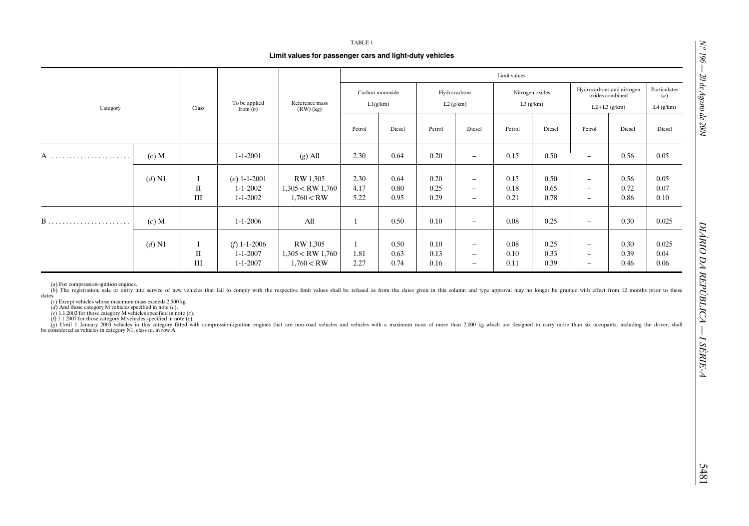*N. o 196 — 20 de Agosto de 2004*

#### TABLE 1

**Limit values for passenger cars and light-duty vehicles**

|          |          |                                    |                                                    |                                                      | Limit values                            |                      |                          |                                                                                  |                                |                      |                                                                                  |                      |                                                                                       |
|----------|----------|------------------------------------|----------------------------------------------------|------------------------------------------------------|-----------------------------------------|----------------------|--------------------------|----------------------------------------------------------------------------------|--------------------------------|----------------------|----------------------------------------------------------------------------------|----------------------|---------------------------------------------------------------------------------------|
| Category |          | Class                              | To be applied<br>from $(b)$                        | Reference mass                                       | Carbon monoxide<br>L1(g/km)<br>(RW)(kg) |                      | Hydrocarbons<br>L2(g/km) |                                                                                  | Nitrogen oxides<br>L3 $(g/km)$ |                      | Hydrocarbons and nitrogen<br>oxides combined<br>$L2+L3(g/km)$                    |                      | Particulates<br>$\left(a\right)$<br>$\hspace{1.0cm} \rule{1.5cm}{0.15cm}$<br>L4(g/km) |
|          |          |                                    |                                                    |                                                      | Petrol                                  | Diesel               | Petrol                   | Diesel                                                                           | Petrol                         | Diesel               | Petrol                                                                           | Diesel               | Diesel                                                                                |
| A        | $(c)$ M  |                                    | $1 - 1 - 2001$                                     | $(g)$ All                                            | 2.30                                    | 0.64                 | 0.20                     | $\overline{\phantom{m}}$                                                         | 0.15                           | 0.50                 | $\overline{\phantom{0}}$                                                         | 0.56                 | 0.05                                                                                  |
|          | $(d)$ N1 | $\mathbf{I}$<br>$\mathop{\rm III}$ | $(e)$ 1-1-2001<br>$1 - 1 - 2002$<br>$1 - 1 - 2002$ | RW 1,305<br>$1,305 < \text{RW } 1,760$<br>1,760 < RW | 2.30<br>4.17<br>5.22                    | 0.64<br>0.80<br>0.95 | 0.20<br>0.25<br>0.29     | $\overline{\phantom{0}}$<br>$\overline{\phantom{0}}$<br>$\overline{\phantom{0}}$ | 0.15<br>0.18<br>0.21           | 0.50<br>0.65<br>0.78 | $\overline{\phantom{0}}$<br>$\overline{\phantom{0}}$<br>$\overline{\phantom{0}}$ | 0.56<br>0.72<br>0.86 | 0.05<br>0.07<br>0.10                                                                  |
| B        | $(c)$ M  |                                    | $1 - 1 - 2006$                                     | All                                                  |                                         | 0.50                 | 0.10                     | $\overline{\phantom{0}}$                                                         | 0.08                           | 0.25                 | $\overline{\phantom{0}}$                                                         | 0.30                 | 0.025                                                                                 |
|          | $(d)$ N1 | $\mathbf{I}$<br>Ш                  | $(f)$ 1-1-2006<br>$1 - 1 - 2007$<br>$1 - 1 - 2007$ | RW 1,305<br>$1,305 < \text{RW } 1,760$<br>1,760 < RW | 1.81<br>2.27                            | 0.50<br>0.63<br>0.74 | 0.10<br>0.13<br>0.16     | $\overline{\phantom{0}}$<br>$-$<br>$\overline{\phantom{0}}$                      | 0.08<br>0.10<br>0.11           | 0.25<br>0.33<br>0.39 | $\overline{\phantom{0}}$<br>$\overline{\phantom{0}}$<br>$\overline{\phantom{0}}$ | 0.30<br>0.39<br>0.46 | 0.025<br>0.04<br>0.06                                                                 |

(a) For compression-ignition engines.<br>(b) The registration, sale or entry into service of new vehicles that fail to comply with the respective limit values shall be refused as from the dates given in this column and type a dates.

(c) Except vehicles whose maximum mass exceeds 2,500 kg.<br>(d) And those category M vehicles specified in note (c).<br>(e) 1.1.2002 for those category M vehicles specified in note (c).<br>(g) 1.1.2007 for those category M vehicles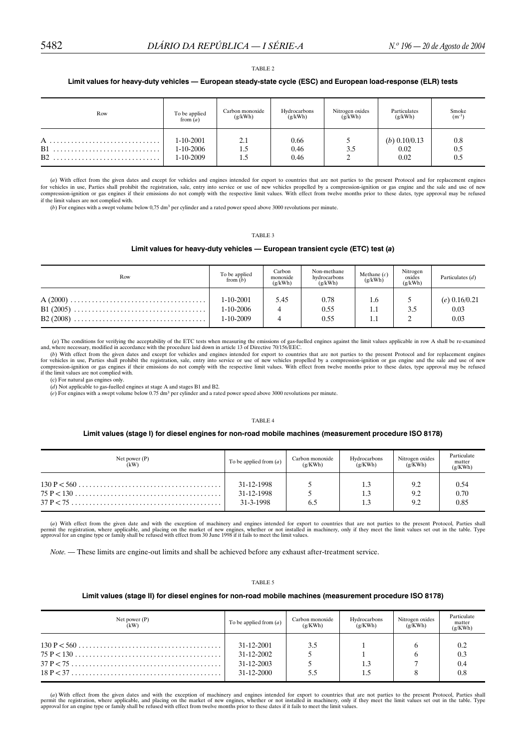#### TABLE 2

#### **Limit values for heavy-duty vehicles — European steady-state cycle (ESC) and European load-response (ELR) tests**

| Row              | To be applied                       | Carbon monoxide   | Hydrocarbons         | Nitrogen oxides | Particulates                             | Smoke             |
|------------------|-------------------------------------|-------------------|----------------------|-----------------|------------------------------------------|-------------------|
|                  | from $(a)$                          | (g/kWh)           | (g/kWh)              | (g/kWh)         | (g/kWh)                                  | $(m^{-1})$        |
| <b>B</b> 1<br>B2 | 1-10-2001<br>1-10-2006<br>1-10-2009 | 2.1<br>1.5<br>1.5 | 0.66<br>0.46<br>0.46 | 3.5             | ( <i>b</i> ) $0.10/0.13$<br>0.02<br>0.02 | 0.8<br>0.5<br>0.5 |

(*a*) With effect from the given dates and except for vehicles and engines intended for export to countries that are not parties to the present Protocol and for replacement engines for vehicles in use, Parties shall prohibit the registration, sale, entry into service or use of new vehicles propelled by a compression-ignition or gas engine and the sale and use of new compression-ignition or gas engines if their emissions do not comply with the respective limit values. With effect from twelve months prior to these dates, type approval may be refused if the limit values are not complied with.

(*b*) For engines with a swept volume below 0,75 dm<sup>3</sup> per cylinder and a rated power speed above 3000 revolutions per minute.

#### TABLE 3

#### **Limit values for heavy-duty vehicles — European transient cycle (ETC) test (***a***)**

| Row | To be applied<br>from $(b)$         | Carbon<br>monoxide<br>(g/kWh) | Non-methane<br>hydrocarbons<br>(g/kWh) | Methane $(c)$<br>(g/kWh) | Nitrogen<br>oxides<br>(g/kWh) | Particulates $(d)$              |
|-----|-------------------------------------|-------------------------------|----------------------------------------|--------------------------|-------------------------------|---------------------------------|
|     | 1-10-2001<br>1-10-2006<br>1-10-2009 | 5.45                          | 0.78<br>0.55<br>0.55                   | 1.6<br>1.1<br>1.1        | 3.5                           | $(e)$ 0.16/0.21<br>0.03<br>0.03 |

(a) The conditions for verifying the acceptability of the ETC tests when measuring the emissions of gas-fuelled engines against the limit values applicable in row A shall be re-examined and, where necessary, modified in ac

(*b*) With effect from the given dates and except for vehicles and engines intended for export to countries that are not parties to the present Protocol and for replacement engines for vehicles in use, Parties shall prohibit the registration, sale, entry into service or use of new vehicles propelled by a compression-ignition or gas engine and the sale and use of new<br>compression-ignition or gas engine if the limit values are not complied with.

(c) For natural gas engines only.

(*d*) Not applicable to gas-fuelled engines at stage A and stages B1 and B2.

(*e*) For engines with a swept volume below 0.75 dm3 per cylinder and a rated power speed above 3000 revolutions per minute.

#### TABLE 4

#### **Limit values (stage I) for diesel engines for non-road mobile machines (measurement procedure ISO 8178)**

| Net power $(P)$<br>$(kW)$                                                                                        | To be applied from $(a)$              | Carbon monoxide<br>(g/KWh) | Hydrocarbons<br>(g/KWh) | Nitrogen oxides<br>(g/KWh) | Particulate<br>matter<br>(g/KWh) |
|------------------------------------------------------------------------------------------------------------------|---------------------------------------|----------------------------|-------------------------|----------------------------|----------------------------------|
| $130 \text{ P} < 560 \ldots \ldots \ldots \ldots \ldots \ldots \ldots \ldots \ldots \ldots \ldots \ldots \ldots$ | 31-12-1998<br>31-12-1998<br>31-3-1998 | 6.5                        | 1.3                     | 9.2<br>9.2<br>9.2          | 0.54<br>0.70<br>0.85             |

a) With effect from the given date and with the exception of machinery and engines intended for export to countries that are not parties to the present Protocol, Parties shall permit the registration, where applicable, and

*Note.* — These limits are engine-out limits and shall be achieved before any exhaust after-treatment service.

### TABLE 5

### **Limit values (stage II) for diesel engines for non-road mobile machines (measurement procedure ISO 8178)**

| Net power $(P)$<br>(kW)                                                                                                                                                                                                      | To be applied from $(a)$                             | Carbon monoxide<br>(g/KWh) | Hydrocarbons<br>(g/KWh) | Nitrogen oxides<br>$(g/KWh)$ | Particulate<br>matter<br>(g/KWh) |
|------------------------------------------------------------------------------------------------------------------------------------------------------------------------------------------------------------------------------|------------------------------------------------------|----------------------------|-------------------------|------------------------------|----------------------------------|
| $130 \text{ P} < 560 \ldots \ldots \ldots \ldots \ldots \ldots \ldots \ldots \ldots \ldots \ldots \ldots \ldots$<br>$75 \text{ P} < 130 \ldots \ldots \ldots \ldots \ldots \ldots \ldots \ldots \ldots \ldots \ldots \ldots$ | 31-12-2001<br>31-12-2002<br>31-12-2003<br>31-12-2000 | 3.5                        |                         |                              | 0.2<br>0.3<br>0.4<br>0.8         |

(*a*) With effect from the given dates and with the exception of machinery and engines intended for export to countries that are not parties to the present Protocol, Parties shall permit the registration, where applicable, and placing on the market of new engines, whether or not installed in machinery, only if they meet the limit values set out in the table. Type<br>approval for an engine type or famil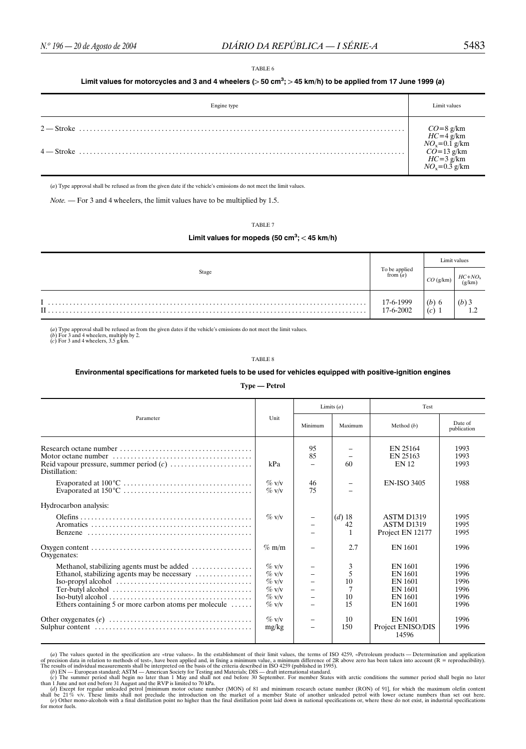#### TABLE 6

### Limit values for motorcycles and 3 and 4 wheelers (> 50 cm<sup>3</sup>; > 45 km/h) to be applied from 17 June 1999 (a)

| Engine type | Limit values                                                                                    |
|-------------|-------------------------------------------------------------------------------------------------|
|             | $CO=8$ g/km<br>$HC=4$ g/km<br>$NO_x=0.1$ g/km<br>$CO=13$ g/km<br>$HC=3$ g/km<br>$NO_x=0.3$ g/km |

(*a*) Type approval shall be refused as from the given date if the vehicle's emissions do not meet the limit values.

*Note.* — For 3 and 4 wheelers, the limit values have to be multiplied by 1.5.

### TABLE 7

### Limit values for mopeds (50 cm<sup>3</sup>; < 45 km/h)

| Stage |                        | Limit values   |                            |
|-------|------------------------|----------------|----------------------------|
|       |                        | $CO$ (g/km)    | $\frac{HC + NO_x}{(g/km)}$ |
|       | 17-6-1999<br>17-6-2002 | $(b)$ 6<br>(c) | $(b)$ 3<br>                |

(*a*) Type approval shall be refused as from the given dates if the vehicle's emissions do not meet the limit values. (*b*) For 3 and 4 wheelers, multiply by 2.

 $(c)$  For 3 and 4 wheelers, 3.5 g/km.

#### TABLE 8

#### **Environmental specifications for marketed fuels to be used for vehicles equipped with positive-ignition engines**

**Type — Petrol**

|                                                                                                                                                             |                                                                      | Limits $(a)$ |                                                 | Test                                                           |                                              |
|-------------------------------------------------------------------------------------------------------------------------------------------------------------|----------------------------------------------------------------------|--------------|-------------------------------------------------|----------------------------------------------------------------|----------------------------------------------|
| Parameter                                                                                                                                                   | Unit                                                                 | Minimum      | Maximum                                         | Method $(b)$                                                   | Date of<br>publication                       |
| Distillation:                                                                                                                                               | kPa                                                                  | 95<br>85     | 60                                              | EN 25164<br>EN 25163<br><b>EN 12</b>                           | 1993<br>1993<br>1993                         |
|                                                                                                                                                             | $\%$ v/v<br>$\%$ v/v                                                 | 46<br>75     |                                                 | <b>EN-ISO 3405</b>                                             | 1988                                         |
| Hydrocarbon analysis:                                                                                                                                       |                                                                      |              |                                                 |                                                                |                                              |
| Benzene $\ldots \ldots \ldots \ldots \ldots \ldots \ldots \ldots \ldots \ldots \ldots \ldots$                                                               | $\%$ v/v                                                             |              | $(d)$ 18<br>42                                  | ASTM D1319<br>ASTM D1319<br>Project EN 12177                   | 1995<br>1995<br>1995                         |
| Oxygenates:                                                                                                                                                 | $\%$ m/m                                                             |              | 2.7                                             | EN 1601                                                        | 1996                                         |
| Methanol, stabilizing agents must be added<br>Ethanol, stabilizing agents may be necessary<br>Ethers containing 5 or more carbon atoms per molecule $\dots$ | $\%$ v/v<br>$\%$ v/v<br>$\%$ v/v<br>$\%$ v/v<br>$\%$ v/v<br>$\%$ v/v |              | 3<br>$\overline{\phantom{0}}$<br>10<br>10<br>15 | EN 1601<br>EN 1601<br>EN 1601<br>EN 1601<br>EN 1601<br>EN 1601 | 1996<br>1996<br>1996<br>1996<br>1996<br>1996 |
|                                                                                                                                                             | $\%$ v/v<br>mg/kg                                                    |              | 10<br>150                                       | EN 1601<br>Project ENISO/DIS<br>14596                          | 1996<br>1996                                 |

(a) The values quoted in the specification are «true values». In the establishment of their limit values, the terms of ISO 4259, «Petroleum products — Determination and application data in relation to methods of tests, ha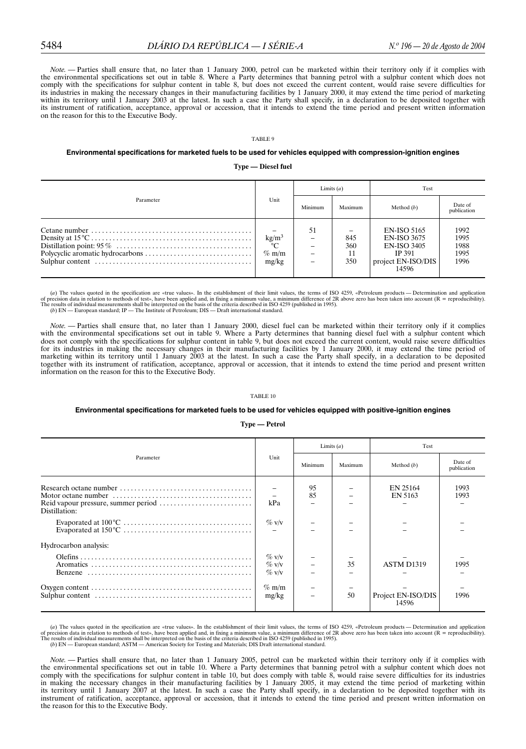*Note.* — Parties shall ensure that, no later than 1 January 2000, petrol can be marketed within their territory only if it complies with the environmental specifications set out in table 8. Where a Party determines that banning petrol with a sulphur content which does not comply with the specifications for sulphur content in table 8, but does not exceed the current content, would raise severe difficulties for its industries in making the necessary changes in their manufacturing facilities by 1 January 2000, it may extend the time period of marketing within its territory until 1 January 2003 at the latest. In such a case the Party shall specify, in a declaration to be deposited together with its instrument of ratification, acceptance, approval or accession, that it intends to extend the time period and present written information on the reason for this to the Executive Body.

#### TABLE 9

### **Environmental specifications for marketed fuels to be used for vehicles equipped with compression-ignition engines**

**Type — Diesel fuel**

| Parameter |                                                           | Limits $(a)$ |                         | Test                                                                                             |                                      |
|-----------|-----------------------------------------------------------|--------------|-------------------------|--------------------------------------------------------------------------------------------------|--------------------------------------|
|           |                                                           | Minimum      | Maximum                 | Method $(b)$                                                                                     | Date of<br>publication               |
|           | kg/m <sup>3</sup><br>$\rm ^{\circ}C$<br>$\%$ m/m<br>mg/kg | 51           | 845<br>360<br>11<br>350 | <b>EN-ISO 5165</b><br>EN-ISO 3675<br><b>EN-ISO 3405</b><br>IP 391<br>project EN-ISO/DIS<br>14596 | 1992<br>1995<br>1988<br>1995<br>1996 |

(*a*) The values quoted in the specification are «true values». In the establishment of their limit values, the terms of ISO 4259, «Petroleum products — Determination and application of precision data in relation to methods of test», have been applied and, in fixing a minimum value, a minimum difference of 2R above zero has been taken into account (R = reproducibility).<br>The results of individual measur

*Note.* — Parties shall ensure that, no later than 1 January 2000, diesel fuel can be marketed within their territory only if it complies with the environmental specifications set out in table 9. Where a Party determines that banning diesel fuel with a sulphur content which does not comply with the specifications for sulphur content in table 9, but does not exceed the current content, would raise severe difficulties for its industries in making the necessary changes in their manufacturing facilities by 1 January 2000, it may extend the time period of marketing within its territory until 1 January 2003 at the latest. In such a case the Party shall specify, in a declaration to be deposited together with its instrument of ratification, acceptance, approval or accession, that it intends to extend the time period and present written information on the reason for this to the Executive Body.

#### TABLE 10

### **Environmental specifications for marketed fuels to be used for vehicles equipped with positive-ignition engines**

**Type — Petrol**

| Parameter             |                                  | Limits $(a)$ |         | Test                        |                        |
|-----------------------|----------------------------------|--------------|---------|-----------------------------|------------------------|
|                       |                                  | Minimum      | Maximum | Method $(b)$                | Date of<br>publication |
| Distillation:         | kPa                              | 95<br>85     |         | EN 25164<br>EN 5163         | 1993<br>1993           |
|                       | $\%$ v/v                         |              |         |                             |                        |
| Hydrocarbon analysis: |                                  |              |         |                             |                        |
|                       | $\%$ v/v<br>$\%$ v/v<br>$\%$ v/v |              | 35      | ASTM D <sub>1319</sub>      | 1995                   |
|                       | $\%$ m/m<br>mg/kg                |              | 50      | Project EN-ISO/DIS<br>14596 | 1996                   |

(*a*) The values quoted in the specification are «true values». In the establishment of their limit values, the terms of ISO 4259, «Petroleum products — Determination and application of precision data in relation to methods of test», have been applied and, in fixing a minimum value, a minimum difference of 2R above zero has been taken into account (R = reproducibility).<br>The results of individual measur

*Note.* — Parties shall ensure that, no later than 1 January 2005, petrol can be marketed within their territory only if it complies with the environmental specifications set out in table 10. Where a Party determines that banning petrol with a sulphur content which does not comply with the specifications for sulphur content in table 10, but does comply with table 8, would raise severe difficulties for its industries in making the necessary changes in their manufacturing facilities by 1 January 2005, it may extend the time period of marketing within its territory until 1 January 2007 at the latest. In such a case the Party shall specify, in a declaration to be deposited together with its instrument of ratification, acceptance, approval or accession, that it intends to extend the time period and present written information on the reason for this to the Executive Body.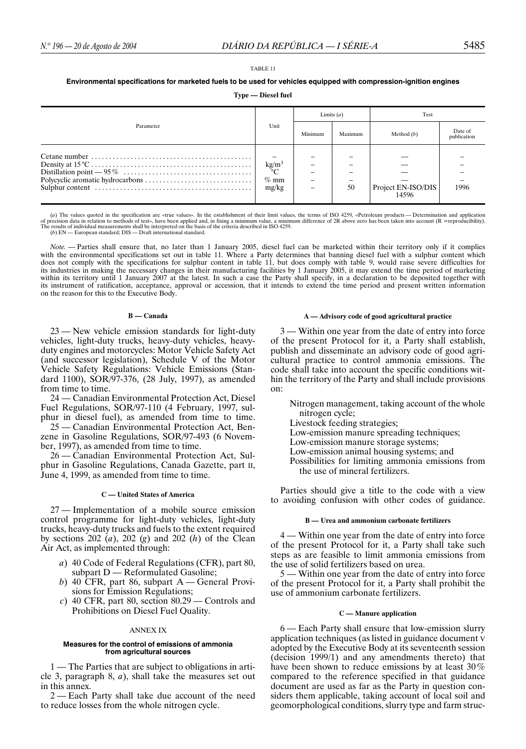#### TABLE 11

### **Environmental specifications for marketed fuels to be used for vehicles equipped with compression-ignition engines**

**Type — Diesel fuel**

| Parameter |                                            | Limits $(a)$ |         | Test               |                        |
|-----------|--------------------------------------------|--------------|---------|--------------------|------------------------|
|           |                                            | Minimum      | Maximum | Method $(b)$       | Date of<br>publication |
|           | $kg/m^3$ <sup>o</sup> C<br>$%$ mm<br>mg/kg |              | 50      | Project EN-ISO/DIS | 1996                   |

(*a*) The values quoted in the specification are «true values». In the establishment of their limit values, the terms of ISO 4259, «Petroleum products — Determination and application of precision data in relation to methods of test», have been applied and, in fixing a minimum value, a minimum difference of 2R above zero has been taken into account (R =reproducibility).<br>The results of individual measure

(*b*) EN — European standard; DIS — Draft international standard.

*Note.* — Parties shall ensure that, no later than 1 January 2005, diesel fuel can be marketed within their territory only if it complies with the environmental specifications set out in table 11. Where a Party determines that banning diesel fuel with a sulphur content which does not comply with the specifications for sulphur content in table 11, but does comply with table 9, would raise severe difficulties for its industries in making the necessary changes in their manufacturing facilities by 1 January 2005, it may extend the time period of marketing within its territory until 1 January 2007 at the latest. In such a case the Party shall specify, in a declaration to be deposited together with its instrument of ratification, acceptance, approval or accession, that it intends to extend the time period and present written information on the reason for this to the Executive Body.

#### **B — Canada**

23 — New vehicle emission standards for light-duty vehicles, light-duty trucks, heavy-duty vehicles, heavyduty engines and motorcycles: Motor Vehicle Safety Act (and successor legislation), Schedule V of the Motor Vehicle Safety Regulations: Vehicle Emissions (Standard 1100), SOR/97-376, (28 July, 1997), as amended from time to time.

24 — Canadian Environmental Protection Act, Diesel Fuel Regulations, SOR/97-110 (4 February, 1997, sulphur in diesel fuel), as amended from time to time.

25 — Canadian Environmental Protection Act, Benzene in Gasoline Regulations, SOR/97-493 (6 November, 1997), as amended from time to time.

26 — Canadian Environmental Protection Act, Sulphur in Gasoline Regulations, Canada Gazette, part II, June 4, 1999, as amended from time to time.

#### **C — United States of America**

27 — Implementation of a mobile source emission control programme for light-duty vehicles, light-duty trucks, heavy-duty trucks and fuels to the extent required by sections 202 (*a*), 202 (*g*) and 202 (*h*) of the Clean Air Act, as implemented through:

- *a*) 40 Code of Federal Regulations (CFR), part 80, subpart D — Reformulated Gasoline;
- *b*) 40 CFR, part 86, subpart A General Provisions for Emission Regulations;
- *c*) 40 CFR, part 80, section 80.29 Controls and Prohibitions on Diesel Fuel Quality.

#### ANNEX IX

### **Measures for the control of emissions of ammonia from agricultural sources**

1 — The Parties that are subject to obligations in article 3, paragraph 8, *a*), shall take the measures set out in this annex.

2 — Each Party shall take due account of the need to reduce losses from the whole nitrogen cycle.

### **A — Advisory code of good agricultural practice**

3 — Within one year from the date of entry into force of the present Protocol for it, a Party shall establish, publish and disseminate an advisory code of good agricultural practice to control ammonia emissions. The code shall take into account the specific conditions within the territory of the Party and shall include provisions on:

Nitrogen management, taking account of the whole nitrogen cycle;

Livestock feeding strategies;

Low-emission manure spreading techniques;

Low-emission manure storage systems;

Low-emission animal housing systems; and

Possibilities for limiting ammonia emissions from the use of mineral fertilizers.

Parties should give a title to the code with a view to avoiding confusion with other codes of guidance.

### **B — Urea and ammonium carbonate fertilizers**

4 — Within one year from the date of entry into force of the present Protocol for it, a Party shall take such steps as are feasible to limit ammonia emissions from the use of solid fertilizers based on urea.

5 — Within one year from the date of entry into force of the present Protocol for it, a Party shall prohibit the use of ammonium carbonate fertilizers.

### **C — Manure application**

6 — Each Party shall ensure that low-emission slurry application techniques (as listed in guidance document V adopted by the Executive Body at its seventeenth session (decision 1999/1) and any amendments thereto) that have been shown to reduce emissions by at least 30% compared to the reference specified in that guidance document are used as far as the Party in question considers them applicable, taking account of local soil and geomorphological conditions, slurry type and farm struc-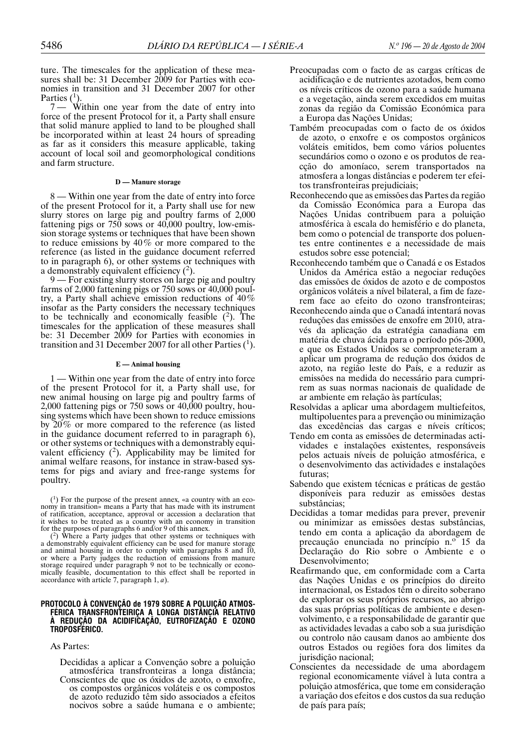ture. The timescales for the application of these measures shall be: 31 December 2009 for Parties with economies in transition and 31 December 2007 for other Parties  $(^1)$ .

7 — Within one year from the date of entry into force of the present Protocol for it, a Party shall ensure that solid manure applied to land to be ploughed shall be incorporated within at least 24 hours of spreading as far as it considers this measure applicable, taking account of local soil and geomorphological conditions and farm structure.

### **D — Manure storage**

8 — Within one year from the date of entry into force of the present Protocol for it, a Party shall use for new slurry stores on large pig and poultry farms of 2,000 fattening pigs or  $750$  sows or  $40,000$  poultry, low-emission storage systems or techniques that have been shown to reduce emissions by 40% or more compared to the reference (as listed in the guidance document referred to in paragraph 6), or other systems or techniques with a demonstrably equivalent efficiency  $(2)$ .

9 — For existing slurry stores on large pig and poultry farms of 2,000 fattening pigs or 750 sows or 40,000 poultry, a Party shall achieve emission reductions of 40% insofar as the Party considers the necessary techniques to be technically and economically feasible  $(2)$ . The timescales for the application of these measures shall be: 31 December 2009 for Parties with economies in transition and 31 December 2007 for all other Parties  $(1)$ .

#### **E — Animal housing**

1 — Within one year from the date of entry into force of the present Protocol for it, a Party shall use, for new animal housing on large pig and poultry farms of 2,000 fattening pigs or 750 sows or 40,000 poultry, housing systems which have been shown to reduce emissions by 20% or more compared to the reference (as listed in the guidance document referred to in paragraph 6), or other systems or techniques with a demonstrably equivalent efficiency  $(2)$ . Applicability may be limited for animal welfare reasons, for instance in straw-based systems for pigs and aviary and free-range systems for poultry.

 $(1)$  For the purpose of the present annex, «a country with an economy in transition» means a Party that has made with its instrument of ratification, acceptance, approval or accession a declaration that it wishes to be treated as a country with an economy in transition for the purposes of paragraphs 6 and/or 9 of this annex.

(2 ) Where a Party judges that other systems or techniques with a demonstrably equivalent efficiency can be used for manure storage and animal housing in order to comply with paragraphs 8 and 10, or where a Party judges the reduction of emissions from manure storage required under paragraph 9 not to be technically or economically feasible, documentation to this effect shall be reported in accordance with article 7, paragraph 1, *a*).

### **PROTOCOLO À CONVENÇÃO de 1979 SOBRE A POLUIÇÃO ATMOS-FÉRICA TRANSFRONTEIRIÇA A LONGA DISTÂNCIA RELATIVO À REDUÇÃO DA ACIDIFICAÇÃO, EUTROFIZAÇÃO E OZONO TROPOSFÉRICO.**

### As Partes:

Decididas a aplicar a Convenção sobre a poluição atmosférica transfronteiras a longa distância; Conscientes de que os óxidos de azoto, o enxofre, os compostos orgânicos voláteis e os compostos de azoto reduzido têm sido associados a efeitos nocivos sobre a saúde humana e o ambiente;

- Preocupadas com o facto de as cargas críticas de acidificação e de nutrientes azotados, bem como os níveis críticos de ozono para a saúde humana e a vegetação, ainda serem excedidos em muitas zonas da região da Comissão Económica para a Europa das Nações Unidas;
- Também preocupadas com o facto de os óxidos de azoto, o enxofre e os compostos orgânicos voláteis emitidos, bem como vários poluentes secundários como o ozono e os produtos de reacção do amoníaco, serem transportados na atmosfera a longas distâncias e poderem ter efeitos transfronteiras prejudiciais;
- Reconhecendo que as emissões das Partes da região da Comissão Económica para a Europa das Nações Unidas contribuem para a poluição atmosférica à escala do hemisfério e do planeta, bem como o potencial de transporte dos poluentes entre continentes e a necessidade de mais estudos sobre esse potencial;
- Reconhecendo também que o Canadá e os Estados Unidos da América estão a negociar reduções das emissões de óxidos de azoto e de compostos orgânicos voláteis a nível bilateral, a fim de fazerem face ao efeito do ozono transfronteiras;
- Reconhecendo ainda que o Canadá intentará novas reduções das emissões de enxofre em 2010, através da aplicação da estratégia canadiana em matéria de chuva ácida para o período pós-2000, e que os Estados Unidos se comprometeram a aplicar um programa de redução dos óxidos de azoto, na região leste do País, e a reduzir as emissões na medida do necessário para cumprirem as suas normas nacionais de qualidade de ar ambiente em relação às partículas;
- Resolvidas a aplicar uma abordagem multiefeitos, multipoluentes para a prevenção ou minimização das excedências das cargas e níveis críticos;
- Tendo em conta as emissões de determinadas actividades e instalações existentes, responsáveis pelos actuais níveis de poluição atmosférica, e o desenvolvimento das actividades e instalações futuras;
- Sabendo que existem técnicas e práticas de gestão disponíveis para reduzir as emissões destas substâncias;
- Decididas a tomar medidas para prever, prevenir ou minimizar as emissões destas substâncias, tendo em conta a aplicação da abordagem de precaução enunciada no princípio n.º 15 da Declaração do Rio sobre o Ambiente e o Desenvolvimento;
- Reafirmando que, em conformidade com a Carta das Nações Unidas e os princípios do direito internacional, os Estados têm o direito soberano de explorar os seus próprios recursos, ao abrigo das suas próprias políticas de ambiente e desenvolvimento, e a responsabilidade de garantir que as actividades levadas a cabo sob a sua jurisdição ou controlo não causam danos ao ambiente dos outros Estados ou regiões fora dos limites da jurisdição nacional;
- Conscientes da necessidade de uma abordagem regional economicamente viável à luta contra a poluição atmosférica, que tome em consideração a variação dos efeitos e dos custos da sua redução de país para país;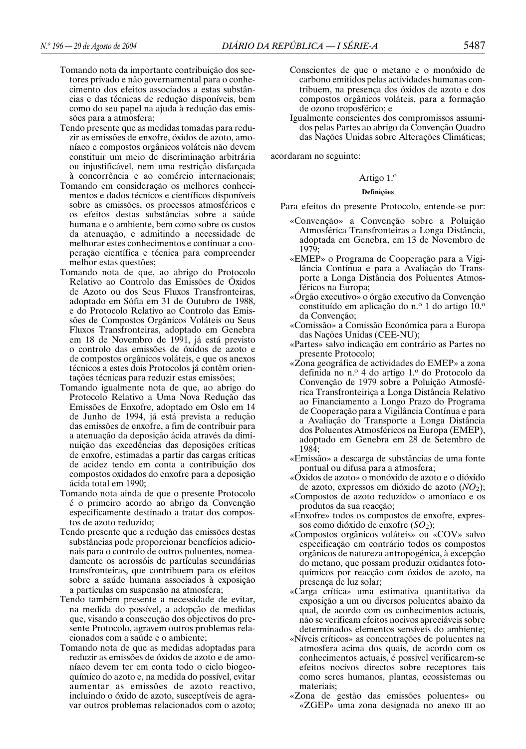- Tomando nota da importante contribuição dos sectores privado e não governamental para o conhecimento dos efeitos associados a estas substâncias e das técnicas de redução disponíveis, bem como do seu papel na ajuda à redução das emissões para a atmosfera;
- Tendo presente que as medidas tomadas para reduzir as emissões de enxofre, óxidos de azoto, amoníaco e compostos orgânicos voláteis não devem constituir um meio de discriminação arbitrária ou injustificável, nem uma restrição disfarçada à concorrência e ao comércio internacionais;
- Tomando em consideração os melhores conhecimentos e dados técnicos e científicos disponíveis sobre as emissões, os processos atmosféricos e os efeitos destas substâncias sobre a saúde humana e o ambiente, bem como sobre os custos da atenuação, e admitindo a necessidade de melhorar estes conhecimentos e continuar a cooperação científica e técnica para compreender melhor estas questões;
- Tomando nota de que, ao abrigo do Protocolo Relativo ao Controlo das Emissões de Óxidos de Azoto ou dos Seus Fluxos Transfronteiras, adoptado em Sófia em 31 de Outubro de 1988, e do Protocolo Relativo ao Controlo das Emissões de Compostos Orgânicos Voláteis ou Seus Fluxos Transfronteiras, adoptado em Genebra em 18 de Novembro de 1991, já está previsto o controlo das emissões de óxidos de azoto e de compostos orgânicos voláteis, e que os anexos técnicos a estes dois Protocolos já contêm orientações técnicas para reduzir estas emissões;
- Tomando igualmente nota de que, ao abrigo do Protocolo Relativo a Uma Nova Redução das Emissões de Enxofre, adoptado em Oslo em 14 de Junho de 1994, já está prevista a redução das emissões de enxofre, a fim de contribuir para a atenuação da deposição ácida através da diminuição das excedências das deposições críticas de enxofre, estimadas a partir das cargas críticas de acidez tendo em conta a contribuição dos compostos oxidados do enxofre para a deposição ácida total em 1990;
- Tomando nota ainda de que o presente Protocolo é o primeiro acordo ao abrigo da Convenção especificamente destinado a tratar dos compostos de azoto reduzido;
- Tendo presente que a redução das emissões destas substâncias pode proporcionar benefícios adicionais para o controlo de outros poluentes, nomeadamente os aerossóis de partículas secundárias transfronteiras, que contribuem para os efeitos sobre a saúde humana associados à exposição a partículas em suspensão na atmosfera;
- Tendo também presente a necessidade de evitar, na medida do possível, a adopção de medidas que, visando a consecução dos objectivos do presente Protocolo, agravem outros problemas relacionados com a saúde e o ambiente;
- Tomando nota de que as medidas adoptadas para reduzir as emissões de óxidos de azoto e de amoníaco devem ter em conta todo o ciclo biogeoquímico do azoto e, na medida do possível, evitar aumentar as emissões de azoto reactivo, incluindo o óxido de azoto, susceptíveis de agravar outros problemas relacionados com o azoto;
- Conscientes de que o metano e o monóxido de carbono emitidos pelas actividades humanas contribuem, na presença dos óxidos de azoto e dos compostos orgânicos voláteis, para a formação de ozono troposférico; e
- Igualmente conscientes dos compromissos assumidos pelas Partes ao abrigo da Convenção Quadro das Nações Unidas sobre Alterações Climáticas;

acordaram no seguinte:

### Artigo 1.º

### **Definições**

Para efeitos do presente Protocolo, entende-se por:

- «Convenção» a Convenção sobre a Poluição Atmosférica Transfronteiras a Longa Distância, adoptada em Genebra, em 13 de Novembro de 1979;
- «EMEP» o Programa de Cooperação para a Vigilância Contínua e para a Avaliação do Transporte a Longa Distância dos Poluentes Atmosféricos na Europa;
- «Órgão executivo» o órgão executivo da Convenção constituído em aplicação do n.º 1 do artigo 10.º da Convenção;
- «Comissão» a Comissão Económica para a Europa das Nações Unidas (CEE-NU);
- «Partes» salvo indicação em contrário as Partes no presente Protocolo;
- «Zona geográfica de actividades do EMEP» a zona definida no n.º 4 do artigo 1.º do Protocolo da Convenção de 1979 sobre a Poluição Atmosférica Transfronteiriça a Longa Distância Relativo ao Financiamento a Longo Prazo do Programa de Cooperação para a Vigilância Contínua e para a Avaliação do Transporte a Longa Distância dos Poluentes Atmosféricos na Europa (EMEP), adoptado em Genebra em 28 de Setembro de 1984;
- «Emissão» a descarga de substâncias de uma fonte pontual ou difusa para a atmosfera;
- «Óxidos de azoto» o monóxido de azoto e o dióxido de azoto, expressos em dióxido de azoto (*NO*2);
- «Compostos de azoto reduzido» o amoníaco e os produtos da sua reacção;
- «Enxofre» todos os compostos de enxofre, expressos como dióxido de enxofre (*SO*2);
- «Compostos orgânicos voláteis» ou «COV» salvo especificação em contrário todos os compostos orgânicos de natureza antropogénica, à excepção do metano, que possam produzir oxidantes fotoquímicos por reacção com óxidos de azoto, na presença de luz solar;
- «Carga crítica» uma estimativa quantitativa da exposição a um ou diversos poluentes abaixo da qual, de acordo com os conhecimentos actuais, não se verificam efeitos nocivos apreciáveis sobre determinados elementos sensíveis do ambiente;
- «Níveis críticos» as concentrações de poluentes na atmosfera acima dos quais, de acordo com os conhecimentos actuais, é possível verificarem-se efeitos nocivos directos sobre receptores tais como seres humanos, plantas, ecossistemas ou materiais;
- «Zona de gestão das emissões poluentes» ou «ZGEP» uma zona designada no anexo III ao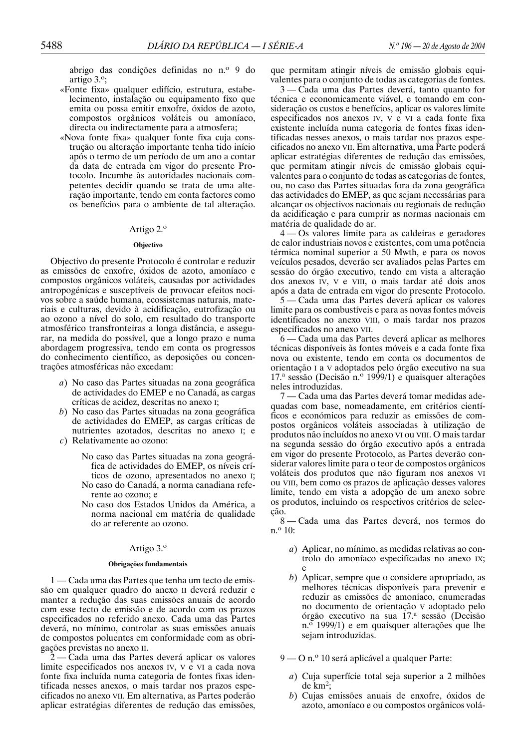abrigo das condições definidas no n.º 9 do artigo 3.<sup>o</sup>;

- «Fonte fixa» qualquer edifício, estrutura, estabelecimento, instalação ou equipamento fixo que emita ou possa emitir enxofre, óxidos de azoto, compostos orgânicos voláteis ou amoníaco, directa ou indirectamente para a atmosfera;
- «Nova fonte fixa» qualquer fonte fixa cuja construção ou alteração importante tenha tido início após o termo de um período de um ano a contar da data de entrada em vigor do presente Protocolo. Incumbe às autoridades nacionais competentes decidir quando se trata de uma alteração importante, tendo em conta factores como os benefícios para o ambiente de tal alteração.

### Artigo 2.<sup>o</sup>

### **Objectivo**

Objectivo do presente Protocolo é controlar e reduzir as emissões de enxofre, óxidos de azoto, amoníaco e compostos orgânicos voláteis, causadas por actividades antropogénicas e susceptíveis de provocar efeitos nocivos sobre a saúde humana, ecossistemas naturais, materiais e culturas, devido à acidificação, eutrofização ou ao ozono a nível do solo, em resultado do transporte atmosférico transfronteiras a longa distância, e assegurar, na medida do possível, que a longo prazo e numa abordagem progressiva, tendo em conta os progressos do conhecimento científico, as deposições ou concentrações atmosféricas não excedam:

- *a*) No caso das Partes situadas na zona geográfica de actividades do EMEP e no Canadá, as cargas críticas de acidez, descritas no anexo I;
- *b*) No caso das Partes situadas na zona geográfica de actividades do EMEP, as cargas críticas de nutrientes azotados, descritas no anexo I; e
- *c*) Relativamente ao ozono:
	- No caso das Partes situadas na zona geográfica de actividades do EMEP, os níveis críticos de ozono, apresentados no anexo I; No caso do Canadá, a norma canadiana referente ao ozono; e
	- No caso dos Estados Unidos da América, a norma nacional em matéria de qualidade do ar referente ao ozono.

### Artigo  $3.0^{\circ}$

#### **Obrigações fundamentais**

1 — Cada uma das Partes que tenha um tecto de emissão em qualquer quadro do anexo II deverá reduzir e manter a redução das suas emissões anuais de acordo com esse tecto de emissão e de acordo com os prazos especificados no referido anexo. Cada uma das Partes deverá, no mínimo, controlar as suas emissões anuais de compostos poluentes em conformidade com as obrigações previstas no anexo II.

2 — Cada uma das Partes deverá aplicar os valores limite especificados nos anexos IV, V e VI a cada nova fonte fixa incluída numa categoria de fontes fixas identificada nesses anexos, o mais tardar nos prazos especificados no anexo VII. Em alternativa, as Partes poderão aplicar estratégias diferentes de redução das emissões, que permitam atingir níveis de emissão globais equivalentes para o conjunto de todas as categorias de fontes.

3 — Cada uma das Partes deverá, tanto quanto for técnica e economicamente viável, e tomando em consideração os custos e benefícios, aplicar os valores limite especificados nos anexos IV, V e VI a cada fonte fixa existente incluída numa categoria de fontes fixas identificadas nesses anexos, o mais tardar nos prazos especificados no anexo VII. Em alternativa, uma Parte poderá aplicar estratégias diferentes de redução das emissões, que permitam atingir níveis de emissão globais equivalentes para o conjunto de todas as categorias de fontes, ou, no caso das Partes situadas fora da zona geográfica das actividades do EMEP, as que sejam necessárias para alcançar os objectivos nacionais ou regionais de redução da acidificação e para cumprir as normas nacionais em matéria de qualidade do ar.

4 — Os valores limite para as caldeiras e geradores de calor industriais novos e existentes, com uma potência térmica nominal superior a 50 Mwth, e para os novos veículos pesados, deverão ser avaliados pelas Partes em sessão do órgão executivo, tendo em vista a alteração dos anexos IV, V e VIII, o mais tardar até dois anos após a data de entrada em vigor do presente Protocolo.

5 — Cada uma das Partes deverá aplicar os valores limite para os combustíveis e para as novas fontes móveis identificados no anexo VIII, o mais tardar nos prazos especificados no anexo VII.

6 — Cada uma das Partes deverá aplicar as melhores técnicas disponíveis às fontes móveis e a cada fonte fixa nova ou existente, tendo em conta os documentos de orientação I a V adoptados pelo órgão executivo na sua  $17<sup>a</sup>$  sessão (Decisão n.º 1999/1) e quaisquer alterações neles introduzidas.

7 — Cada uma das Partes deverá tomar medidas adequadas com base, nomeadamente, em critérios científicos e económicos para reduzir as emissões de compostos orgânicos voláteis associadas à utilização de produtos não incluídos no anexo VI ou VIII. O mais tardar na segunda sessão do órgão executivo após a entrada em vigor do presente Protocolo, as Partes deverão considerar valores limite para o teor de compostos orgânicos voláteis dos produtos que não figuram nos anexos VI ou VIII, bem como os prazos de aplicação desses valores limite, tendo em vista a adopção de um anexo sobre os produtos, incluindo os respectivos critérios de selecção.

8 — Cada uma das Partes deverá, nos termos do  $n.^{\circ}$  10:

- *a*) Aplicar, no mínimo, as medidas relativas ao controlo do amoníaco especificadas no anexo IX; e
- *b*) Aplicar, sempre que o considere apropriado, as melhores técnicas disponíveis para prevenir e reduzir as emissões de amoníaco, enumeradas no documento de orientação V adoptado pelo órgão executivo na sua 17.a sessão (Decisão n.<sup>o</sup> 1999/1) e em quaisquer alterações que lhe sejam introduzidas.
- 9 O n.º 10 será aplicável a qualquer Parte:
	- *a*) Cuja superfície total seja superior a 2 milhões de km2 ;
	- *b*) Cujas emissões anuais de enxofre, óxidos de azoto, amoníaco e ou compostos orgânicos volá-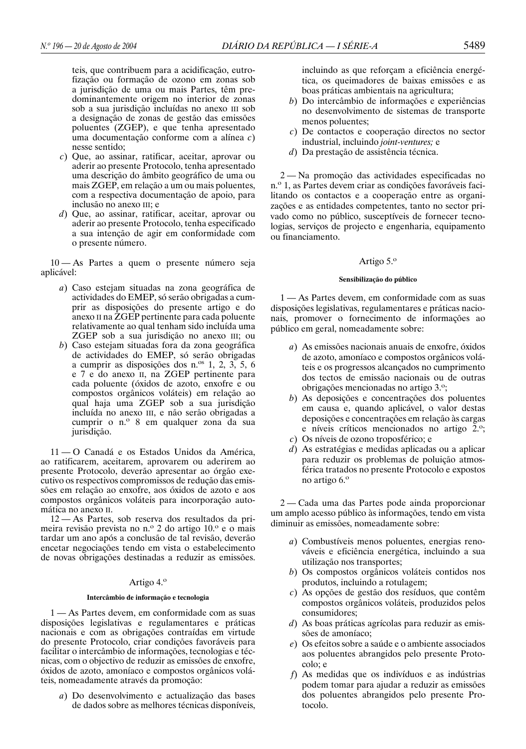teis, que contribuem para a acidificação, eutrofização ou formação de ozono em zonas sob a jurisdição de uma ou mais Partes, têm predominantemente origem no interior de zonas sob a sua jurisdição incluídas no anexo III sob a designação de zonas de gestão das emissões poluentes (ZGEP), e que tenha apresentado uma documentação conforme com a alínea *c*) nesse sentido;

- *c*) Que, ao assinar, ratificar, aceitar, aprovar ou aderir ao presente Protocolo, tenha apresentado uma descrição do âmbito geográfico de uma ou mais ZGEP, em relação a um ou mais poluentes, com a respectiva documentação de apoio, para inclusão no anexo III; e
- *d*) Que, ao assinar, ratificar, aceitar, aprovar ou aderir ao presente Protocolo, tenha especificado a sua intenção de agir em conformidade com o presente número.

10 — As Partes a quem o presente número seja aplicável:

- *a*) Caso estejam situadas na zona geográfica de actividades do EMEP, só serão obrigadas a cumprir as disposições do presente artigo e do anexo II na ZGEP pertinente para cada poluente relativamente ao qual tenham sido incluída uma ZGEP sob a sua jurisdição no anexo III; ou
- *b*) Caso estejam situadas fora da zona geográfica de actividades do EMEP, só serão obrigadas a cumprir as disposições dos n.<sup>os</sup> 1, 2, 3, 5, 6 e 7 e do anexo II, na ZGEP pertinente para cada poluente (óxidos de azoto, enxofre e ou compostos orgânicos voláteis) em relação ao qual haja uma ZGEP sob a sua jurisdição incluída no anexo III, e não serão obrigadas a cumprir o n.º 8 em qualquer zona da sua jurisdição.

11 — O Canadá e os Estados Unidos da América, ao ratificarem, aceitarem, aprovarem ou aderirem ao presente Protocolo, deverão apresentar ao órgão executivo os respectivos compromissos de redução das emissões em relação ao enxofre, aos óxidos de azoto e aos compostos orgânicos voláteis para incorporação automática no anexo II.

12 — As Partes, sob reserva dos resultados da primeira revisão prevista no n.º 2 do artigo 10.º e o mais tardar um ano após a conclusão de tal revisão, deverão encetar negociações tendo em vista o estabelecimento de novas obrigações destinadas a reduzir as emissões.

### Artigo 4.º

### **Intercâmbio de informação e tecnologia**

1 — As Partes devem, em conformidade com as suas disposições legislativas e regulamentares e práticas nacionais e com as obrigações contraídas em virtude do presente Protocolo, criar condições favoráveis para facilitar o intercâmbio de informações, tecnologias e técnicas, com o objectivo de reduzir as emissões de enxofre, óxidos de azoto, amoníaco e compostos orgânicos voláteis, nomeadamente através da promoção:

*a*) Do desenvolvimento e actualização das bases de dados sobre as melhores técnicas disponíveis,

incluindo as que reforçam a eficiência energética, os queimadores de baixas emissões e as boas práticas ambientais na agricultura;

- *b*) Do intercâmbio de informações e experiências no desenvolvimento de sistemas de transporte menos poluentes;
- *c*) De contactos e cooperação directos no sector industrial, incluindo *joint-ventures;* e
- *d*) Da prestação de assistência técnica.

2 — Na promoção das actividades especificadas no n.<sup>o</sup> 1, as Partes devem criar as condições favoráveis facilitando os contactos e a cooperação entre as organizações e as entidades competentes, tanto no sector privado como no público, susceptíveis de fornecer tecnologias, serviços de projecto e engenharia, equipamento ou financiamento.

### Artigo  $5.0^{\circ}$

### **Sensibilização do público**

1 — As Partes devem, em conformidade com as suas disposições legislativas, regulamentares e práticas nacionais, promover o fornecimento de informações ao público em geral, nomeadamente sobre:

- *a*) As emissões nacionais anuais de enxofre, óxidos de azoto, amoníaco e compostos orgânicos voláteis e os progressos alcançados no cumprimento dos tectos de emissão nacionais ou de outras obrigações mencionadas no artigo 3.º;
- *b*) As deposições e concentrações dos poluentes em causa e, quando aplicável, o valor destas deposições e concentrações em relação às cargas e níveis críticos mencionados no artigo 2.º;
- *c*) Os níveis de ozono troposférico; e
- *d*) As estratégias e medidas aplicadas ou a aplicar para reduzir os problemas de poluição atmosférica tratados no presente Protocolo e expostos no artigo  $6.0$

2 — Cada uma das Partes pode ainda proporcionar um amplo acesso público às informações, tendo em vista diminuir as emissões, nomeadamente sobre:

- *a*) Combustíveis menos poluentes, energias renováveis e eficiência energética, incluindo a sua utilização nos transportes;
- *b*) Os compostos orgânicos voláteis contidos nos produtos, incluindo a rotulagem;
- *c*) As opções de gestão dos resíduos, que contêm compostos orgânicos voláteis, produzidos pelos consumidores;
- *d*) As boas práticas agrícolas para reduzir as emissões de amoníaco;
- *e*) Os efeitos sobre a saúde e o ambiente associados aos poluentes abrangidos pelo presente Protocolo; e
- *f*) As medidas que os indivíduos e as indústrias podem tomar para ajudar a reduzir as emissões dos poluentes abrangidos pelo presente Protocolo.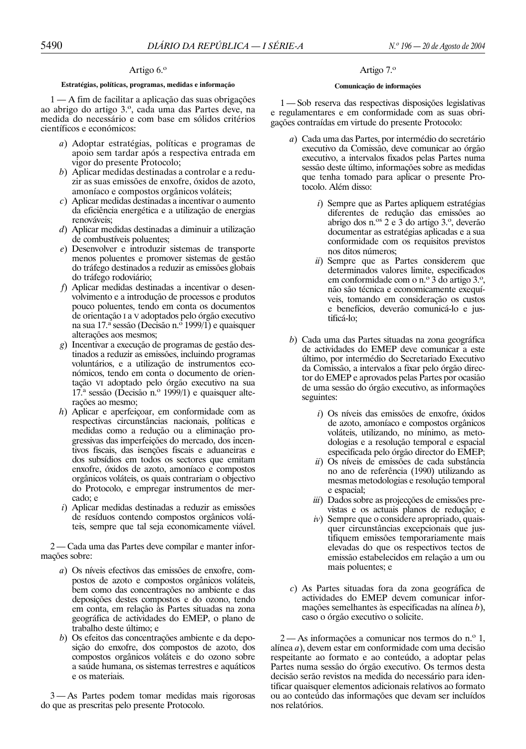### Artigo  $6.0$

### **Estratégias, políticas, programas, medidas e informação**

1 — A fim de facilitar a aplicação das suas obrigações ao abrigo do artigo 3.º, cada uma das Partes deve, na medida do necessário e com base em sólidos critérios científicos e económicos:

- *a*) Adoptar estratégias, políticas e programas de apoio sem tardar após a respectiva entrada em vigor do presente Protocolo;
- *b*) Aplicar medidas destinadas a controlar e a reduzir as suas emissões de enxofre, óxidos de azoto, amoníaco e compostos orgânicos voláteis;
- *c*) Aplicar medidas destinadas a incentivar o aumento da eficiência energética e a utilização de energias renováveis;
- *d*) Aplicar medidas destinadas a diminuir a utilização de combustíveis poluentes;
- *e*) Desenvolver e introduzir sistemas de transporte menos poluentes e promover sistemas de gestão do tráfego destinados a reduzir as emissões globais do tráfego rodoviário;
- *f*) Aplicar medidas destinadas a incentivar o desenvolvimento e a introdução de processos e produtos pouco poluentes, tendo em conta os documentos de orientação I a V adoptados pelo órgão executivo na sua 17.ª sessão (Decisão n.º 1999/1) e quaisquer alterações aos mesmos;
- *g*) Incentivar a execução de programas de gestão destinados a reduzir as emissões, incluindo programas voluntários, e a utilização de instrumentos económicos, tendo em conta o documento de orientação VI adoptado pelo órgão executivo na sua  $17<sup>a</sup>$  sessão (Decisão n.º 1999/1) e quaisquer alterações ao mesmo;
- *h*) Aplicar e aperfeiçoar, em conformidade com as respectivas circunstâncias nacionais, políticas e medidas como a redução ou a eliminação progressivas das imperfeições do mercado, dos incentivos fiscais, das isenções fiscais e aduaneiras e dos subsídios em todos os sectores que emitam enxofre, óxidos de azoto, amoníaco e compostos orgânicos voláteis, os quais contrariam o objectivo do Protocolo, e empregar instrumentos de mercado; e
- *i*) Aplicar medidas destinadas a reduzir as emissões de resíduos contendo compostos orgânicos voláteis, sempre que tal seja economicamente viável.

2 — Cada uma das Partes deve compilar e manter informações sobre:

- *a*) Os níveis efectivos das emissões de enxofre, compostos de azoto e compostos orgânicos voláteis, bem como das concentrações no ambiente e das deposições destes compostos e do ozono, tendo em conta, em relação às Partes situadas na zona geográfica de actividades do EMEP, o plano de trabalho deste último; e
- *b*) Os efeitos das concentrações ambiente e da deposição do enxofre, dos compostos de azoto, dos compostos orgânicos voláteis e do ozono sobre a saúde humana, os sistemas terrestres e aquáticos e os materiais.

3 — As Partes podem tomar medidas mais rigorosas do que as prescritas pelo presente Protocolo.

### Artigo 7.º

#### **Comunicação de informações**

1 — Sob reserva das respectivas disposições legislativas e regulamentares e em conformidade com as suas obrigações contraídas em virtude do presente Protocolo:

- *a*) Cada uma das Partes, por intermédio do secretário executivo da Comissão, deve comunicar ao órgão executivo, a intervalos fixados pelas Partes numa sessão deste último, informações sobre as medidas que tenha tomado para aplicar o presente Protocolo. Além disso:
	- *i*) Sempre que as Partes apliquem estratégias diferentes de redução das emissões ao abrigo dos n.<sup>os</sup> 2 e 3 do artigo 3.º, deverão documentar as estratégias aplicadas e a sua conformidade com os requisitos previstos nos ditos números;
	- *ii*) Sempre que as Partes considerem que determinados valores limite, especificados em conformidade com o n.º 3 do artigo 3.º, não são técnica e economicamente exequíveis, tomando em consideração os custos e benefícios, deverão comunicá-lo e justificá-lo;
- *b*) Cada uma das Partes situadas na zona geográfica de actividades do EMEP deve comunicar a este último, por intermédio do Secretariado Executivo da Comissão, a intervalos a fixar pelo órgão director do EMEP e aprovados pelas Partes por ocasião de uma sessão do órgão executivo, as informações seguintes:
	- *i*) Os níveis das emissões de enxofre, óxidos de azoto, amoníaco e compostos orgânicos voláteis, utilizando, no mínimo, as metodologias e a resolução temporal e espacial especificada pelo órgão director do EMEP;
	- *ii*) Os níveis de emissões de cada substância no ano de referência (1990) utilizando as mesmas metodologias e resolução temporal e espacial;
	- *iii*) Dados sobre as projecções de emissões previstas e os actuais planos de redução; e
	- *iv*) Sempre que o considere apropriado, quaisquer circunstâncias excepcionais que justifiquem emissões temporariamente mais elevadas do que os respectivos tectos de emissão estabelecidos em relação a um ou mais poluentes; e
- *c*) As Partes situadas fora da zona geográfica de actividades do EMEP devem comunicar informações semelhantes às especificadas na alínea *b*), caso o órgão executivo o solicite.

 $2$ — As informações a comunicar nos termos do n.<sup>o</sup> 1, alínea *a*), devem estar em conformidade com uma decisão respeitante ao formato e ao conteúdo, a adoptar pelas Partes numa sessão do órgão executivo. Os termos desta decisão serão revistos na medida do necessário para identificar quaisquer elementos adicionais relativos ao formato ou ao conteúdo das informações que devam ser incluídos nos relatórios.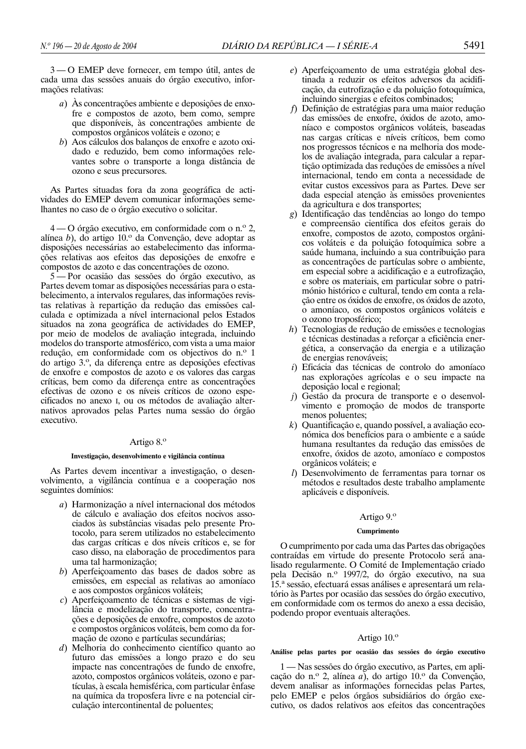3 — O EMEP deve fornecer, em tempo útil, antes de cada uma das sessões anuais do órgão executivo, informações relativas:

- *a*) Às concentrações ambiente e deposições de enxofre e compostos de azoto, bem como, sempre que disponíveis, às concentrações ambiente de compostos orgânicos voláteis e ozono; e
- *b*) Aos cálculos dos balanços de enxofre e azoto oxidado e reduzido, bem como informações relevantes sobre o transporte a longa distância de ozono e seus precursores.

As Partes situadas fora da zona geográfica de actividades do EMEP devem comunicar informações semelhantes no caso de o órgão executivo o solicitar.

 $4-0$  órgão executivo, em conformidade com o n.<sup>o</sup> 2, alínea *b*), do artigo 10.º da Convenção, deve adoptar as disposições necessárias ao estabelecimento das informações relativas aos efeitos das deposições de enxofre e compostos de azoto e das concentrações de ozono.

5 — Por ocasião das sessões do órgão executivo, as Partes devem tomar as disposições necessárias para o estabelecimento, a intervalos regulares, das informações revistas relativas à repartição da redução das emissões calculada e optimizada a nível internacional pelos Estados situados na zona geográfica de actividades do EMEP, por meio de modelos de avaliação integrada, incluindo modelos do transporte atmosférico, com vista a uma maior redução, em conformidade com os objectivos do n.º 1 do artigo 3.º, da diferença entre as deposições efectivas de enxofre e compostos de azoto e os valores das cargas críticas, bem como da diferença entre as concentrações efectivas de ozono e os níveis críticos de ozono especificados no anexo I, ou os métodos de avaliação alternativos aprovados pelas Partes numa sessão do órgão executivo.

### Artigo 8.º

#### **Investigação, desenvolvimento e vigilância contínua**

As Partes devem incentivar a investigação, o desenvolvimento, a vigilância contínua e a cooperação nos seguintes domínios:

- *a*) Harmonização a nível internacional dos métodos de cálculo e avaliação dos efeitos nocivos associados às substâncias visadas pelo presente Protocolo, para serem utilizados no estabelecimento das cargas críticas e dos níveis críticos e, se for caso disso, na elaboração de procedimentos para uma tal harmonização;
- *b*) Aperfeiçoamento das bases de dados sobre as emissões, em especial as relativas ao amoníaco e aos compostos orgânicos voláteis;
- *c*) Aperfeiçoamento de técnicas e sistemas de vigilância e modelização do transporte, concentrações e deposições de enxofre, compostos de azoto e compostos orgânicos voláteis, bem como da formação de ozono e partículas secundárias;
- *d*) Melhoria do conhecimento científico quanto ao futuro das emissões a longo prazo e do seu impacte nas concentrações de fundo de enxofre, azoto, compostos orgânicos voláteis, ozono e partículas, à escala hemisférica, com particular ênfase na química da troposfera livre e na potencial circulação intercontinental de poluentes;
- *e*) Aperfeiçoamento de uma estratégia global destinada a reduzir os efeitos adversos da acidificação, da eutrofização e da poluição fotoquímica, incluindo sinergias e efeitos combinados;
- *f*) Definição de estratégias para uma maior redução das emissões de enxofre, óxidos de azoto, amoníaco e compostos orgânicos voláteis, baseadas nas cargas críticas e níveis críticos, bem como nos progressos técnicos e na melhoria dos modelos de avaliação integrada, para calcular a repartição optimizada das reduções de emissões a nível internacional, tendo em conta a necessidade de evitar custos excessivos para as Partes. Deve ser dada especial atenção às emissões provenientes da agricultura e dos transportes;
- *g*) Identificação das tendências ao longo do tempo e compreensão científica dos efeitos gerais do enxofre, compostos de azoto, compostos orgânicos voláteis e da poluição fotoquímica sobre a saúde humana, incluindo a sua contribuição para as concentrações de partículas sobre o ambiente, em especial sobre a acidificação e a eutrofização, e sobre os materiais, em particular sobre o património histórico e cultural, tendo em conta a relação entre os óxidos de enxofre, os óxidos de azoto, o amoníaco, os compostos orgânicos voláteis e o ozono troposférico;
- *h*) Tecnologias de redução de emissões e tecnologias e técnicas destinadas a reforçar a eficiência energética, a conservação da energia e a utilização de energias renováveis;
- *i*) Eficácia das técnicas de controlo do amoníaco nas explorações agrícolas e o seu impacte na deposição local e regional;
- *j*) Gestão da procura de transporte e o desenvolvimento e promoção de modos de transporte menos poluentes;
- *k*) Quantificação e, quando possível, a avaliação económica dos benefícios para o ambiente e a saúde humana resultantes da redução das emissões de enxofre, óxidos de azoto, amoníaco e compostos orgânicos voláteis; e
- *l*) Desenvolvimento de ferramentas para tornar os métodos e resultados deste trabalho amplamente aplicáveis e disponíveis.

### Artigo 9.º

### **Cumprimento**

O cumprimento por cada uma das Partes das obrigações contraídas em virtude do presente Protocolo será analisado regularmente. O Comité de Implementação criado pela Decisão n.º 1997/2, do órgão executivo, na sua 15.a sessão, efectuará essas análises e apresentará um relatório às Partes por ocasião das sessões do órgão executivo, em conformidade com os termos do anexo a essa decisão, podendo propor eventuais alterações.

### Artigo  $10$ <sup>o</sup>

### **Análise pelas partes por ocasião das sessões do órgão executivo**

1 — Nas sessões do órgão executivo, as Partes, em aplicação do n.º 2, alínea *a*), do artigo 10.º da Convenção, devem analisar as informações fornecidas pelas Partes, pelo EMEP e pelos órgãos subsidiários do órgão executivo, os dados relativos aos efeitos das concentrações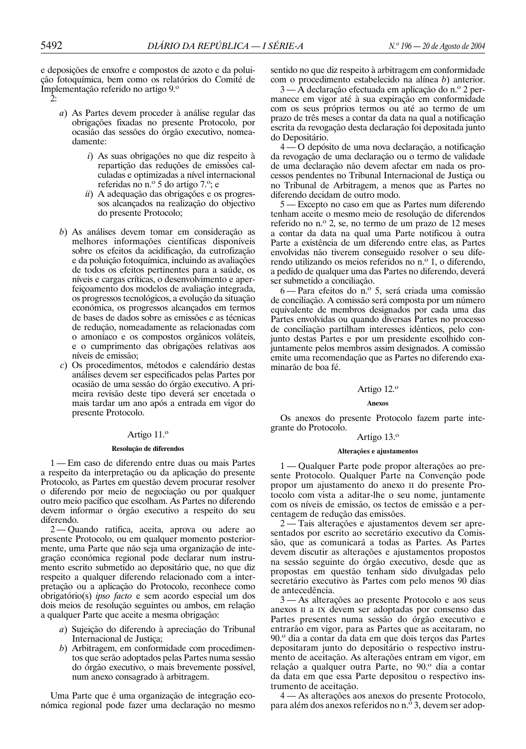e deposições de enxofre e compostos de azoto e da poluição fotoquímica, bem como os relatórios do Comité de Implementação referido no artigo 9.º

- *a*) As Partes devem proceder à análise regular das obrigações fixadas no presente Protocolo, por ocasião das sessões do órgão executivo, nomeadamente:
	- *i*) As suas obrigações no que diz respeito à repartição das reduções de emissões calculadas e optimizadas a nível internacional referidas no n.º 5 do artigo 7.º; e
	- *ii*) A adequação das obrigações e os progressos alcançados na realização do objectivo do presente Protocolo;
- *b*) As análises devem tomar em consideração as melhores informações científicas disponíveis sobre os efeitos da acidificação, da eutrofização e da poluição fotoquímica, incluindo as avaliações de todos os efeitos pertinentes para a saúde, os níveis e cargas críticas, o desenvolvimento e aperfeiçoamento dos modelos de avaliação integrada, os progressos tecnológicos, a evolução da situação económica, os progressos alcançados em termos de bases de dados sobre as emissões e as técnicas de redução, nomeadamente as relacionadas com o amoníaco e os compostos orgânicos voláteis, e o cumprimento das obrigações relativas aos níveis de emissão;
- *c*) Os procedimentos, métodos e calendário destas análises devem ser especificados pelas Partes por ocasião de uma sessão do órgão executivo. A primeira revisão deste tipo deverá ser encetada o mais tardar um ano após a entrada em vigor do presente Protocolo.

### Artigo 11.º

#### **Resolução de diferendos**

1 — Em caso de diferendo entre duas ou mais Partes a respeito da interpretação ou da aplicação do presente Protocolo, as Partes em questão devem procurar resolver o diferendo por meio de negociação ou por qualquer outro meio pacífico que escolham. As Partes no diferendo devem informar o órgão executivo a respeito do seu diferendo.

2 — Quando ratifica, aceita, aprova ou adere ao presente Protocolo, ou em qualquer momento posteriormente, uma Parte que não seja uma organização de integração económica regional pode declarar num instrumento escrito submetido ao depositário que, no que diz respeito a qualquer diferendo relacionado com a interpretação ou a aplicação do Protocolo, reconhece como obrigatório(s) *ipso facto* e sem acordo especial um dos dois meios de resolução seguintes ou ambos, em relação a qualquer Parte que aceite a mesma obrigação:

- *a*) Sujeição do diferendo à apreciação do Tribunal Internacional de Justiça;
- *b*) Arbitragem, em conformidade com procedimentos que serão adoptados pelas Partes numa sessão do órgão executivo, o mais brevemente possível, num anexo consagrado à arbitragem.

Uma Parte que é uma organização de integração económica regional pode fazer uma declaração no mesmo sentido no que diz respeito à arbitragem em conformidade com o procedimento estabelecido na alínea *b*) anterior.

3 — A declaração efectuada em aplicação do n.º 2 permanece em vigor até à sua expiração em conformidade com os seus próprios termos ou até ao termo de um prazo de três meses a contar da data na qual a notificação escrita da revogação desta declaração foi depositada junto do Depositário.

4 — O depósito de uma nova declaração, a notificação da revogação de uma declaração ou o termo de validade de uma declaração não devem afectar em nada os processos pendentes no Tribunal Internacional de Justiça ou no Tribunal de Arbitragem, a menos que as Partes no diferendo decidam de outro modo.

5 — Excepto no caso em que as Partes num diferendo tenham aceite o mesmo meio de resolução de diferendos referido no n.º 2, se, no termo de um prazo de 12 meses a contar da data na qual uma Parte notificou à outra Parte a existência de um diferendo entre elas, as Partes envolvidas não tiverem conseguido resolver o seu diferendo utilizando os meios referidos no n.º 1, o diferendo, a pedido de qualquer uma das Partes no diferendo, deverá ser submetido a conciliação.

 $6$  — Para efeitos do n.º 5, será criada uma comissão de conciliação. A comissão será composta por um número equivalente de membros designados por cada uma das Partes envolvidas ou quando diversas Partes no processo de conciliação partilham interesses idênticos, pelo conjunto destas Partes e por um presidente escolhido conjuntamente pelos membros assim designados. A comissão emite uma recomendação que as Partes no diferendo examinarão de boa fé.

### Artigo 12.º

#### **Anexos**

Os anexos do presente Protocolo fazem parte integrante do Protocolo.

### Artigo 13.º

### **Alterações e ajustamentos**

1 — Qualquer Parte pode propor alterações ao presente Protocolo. Qualquer Parte na Convenção pode propor um ajustamento do anexo II do presente Protocolo com vista a aditar-lhe o seu nome, juntamente com os níveis de emissão, os tectos de emissão e a percentagem de redução das emissões.

2 — Tais alterações e ajustamentos devem ser apresentados por escrito ao secretário executivo da Comissão, que as comunicará a todas as Partes. As Partes devem discutir as alterações e ajustamentos propostos na sessão seguinte do órgão executivo, desde que as propostas em questão tenham sido divulgadas pelo secretário executivo às Partes com pelo menos 90 dias de antecedência.

3 — As alterações ao presente Protocolo e aos seus anexos II a IX devem ser adoptadas por consenso das Partes presentes numa sessão do órgão executivo e entrarão em vigor, para as Partes que as aceitaram, no 90.<sup>o</sup> dia a contar da data em que dois terços das Partes depositaram junto do depositário o respectivo instrumento de aceitação. As alterações entram em vigor, em relação a qualquer outra Parte, no 90.º dia a contar da data em que essa Parte depositou o respectivo instrumento de aceitação.

4 — As alterações aos anexos do presente Protocolo, para além dos anexos referidos no n.º 3, devem ser adop-

<sup>2:</sup>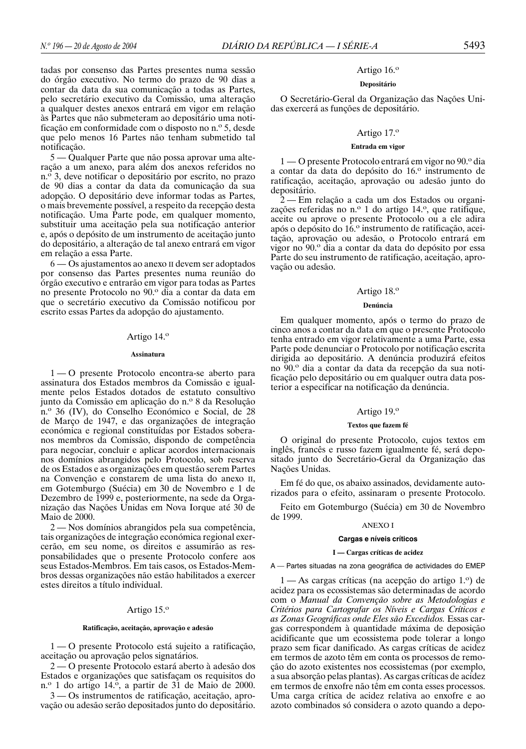tadas por consenso das Partes presentes numa sessão do órgão executivo. No termo do prazo de 90 dias a contar da data da sua comunicação a todas as Partes, pelo secretário executivo da Comissão, uma alteração a qualquer destes anexos entrará em vigor em relação às Partes que não submeteram ao depositário uma notificação em conformidade com o disposto no n.º 5, desde que pelo menos 16 Partes não tenham submetido tal notificação.

5 — Qualquer Parte que não possa aprovar uma alteração a um anexo, para além dos anexos referidos no n.<sup>o</sup> 3, deve notificar o depositário por escrito, no prazo de 90 dias a contar da data da comunicação da sua adopção. O depositário deve informar todas as Partes, o mais brevemente possível, a respeito da recepção desta notificação. Uma Parte pode, em qualquer momento, substituir uma aceitação pela sua notificação anterior e, após o depósito de um instrumento de aceitação junto do depositário, a alteração de tal anexo entrará em vigor em relação a essa Parte.

6 — Os ajustamentos ao anexo II devem ser adoptados por consenso das Partes presentes numa reunião do órgão executivo e entrarão em vigor para todas as Partes no presente Protocolo no 90.º dia a contar da data em que o secretário executivo da Comissão notificou por escrito essas Partes da adopção do ajustamento.

### Artigo  $14.°$

#### **Assinatura**

1 — O presente Protocolo encontra-se aberto para assinatura dos Estados membros da Comissão e igualmente pelos Estados dotados de estatuto consultivo junto da Comissão em aplicação do n.º 8 da Resolução n.º 36 (IV), do Conselho Económico e Social, de 28 de Março de 1947, e das organizações de integração económica e regional constituídas por Estados soberanos membros da Comissão, dispondo de competência para negociar, concluir e aplicar acordos internacionais nos domínios abrangidos pelo Protocolo, sob reserva de os Estados e as organizações em questão serem Partes na Convenção e constarem de uma lista do anexo II, em Gotemburgo (Suécia) em 30 de Novembro e 1 de Dezembro de 1999 e, posteriormente, na sede da Organização das Nações Unidas em Nova Iorque até 30 de Maio de 2000.

2 — Nos domínios abrangidos pela sua competência, tais organizações de integração económica regional exercerão, em seu nome, os direitos e assumirão as responsabilidades que o presente Protocolo confere aos seus Estados-Membros. Em tais casos, os Estados-Membros dessas organizações não estão habilitados a exercer estes direitos a título individual.

### Artigo 15.º

#### **Ratificação, aceitação, aprovação e adesão**

1 — O presente Protocolo está sujeito a ratificação, aceitação ou aprovação pelos signatários.

2 — O presente Protocolo estará aberto à adesão dos Estados e organizações que satisfaçam os requisitos do n.º 1 do artigo 14.º, a partir de 31 de Maio de 2000.

3 — Os instrumentos de ratificação, aceitação, aprovação ou adesão serão depositados junto do depositário.

### Artigo 16.º

### **Depositário**

O Secretário-Geral da Organização das Nações Unidas exercerá as funções de depositário.

### Artigo 17.º

### **Entrada em vigor**

1 — O presente Protocolo entrará em vigor no 90.<sup>o</sup> dia a contar da data do depósito do 16.º instrumento de ratificação, aceitação, aprovação ou adesão junto do depositário.

2 — Em relação a cada um dos Estados ou organizações referidas no n.º 1 do artigo 14.º, que ratifique, aceite ou aprove o presente Protocolo ou a ele adira após o depósito do 16.<sup>o</sup> instrumento de ratificação, aceitação, aprovação ou adesão, o Protocolo entrará em vigor no 90.º dia a contar da data do depósito por essa Parte do seu instrumento de ratificação, aceitação, aprovação ou adesão.

#### Artigo  $18.°$

#### **Denúncia**

Em qualquer momento, após o termo do prazo de cinco anos a contar da data em que o presente Protocolo tenha entrado em vigor relativamente a uma Parte, essa Parte pode denunciar o Protocolo por notificação escrita dirigida ao depositário. A denúncia produzirá efeitos no 90.º dia a contar da data da recepção da sua notificação pelo depositário ou em qualquer outra data posterior a especificar na notificação da denúncia.

### Artigo  $19.°$

### **Textos que fazem fé**

O original do presente Protocolo, cujos textos em inglês, francês e russo fazem igualmente fé, será depositado junto do Secretário-Geral da Organização das Nações Unidas.

Em fé do que, os abaixo assinados, devidamente autorizados para o efeito, assinaram o presente Protocolo.

Feito em Gotemburgo (Suécia) em 30 de Novembro de 1999.

### ANEXO I

### **Cargas e níveis críticos**

### **I — Cargas críticas de acidez**

A — Partes situadas na zona geográfica de actividades do EMEP

1 — As cargas críticas (na acepção do artigo 1.º) de acidez para os ecossistemas são determinadas de acordo com o *Manual da Convenção sobre as Metodologias e Critérios para Cartografar os Níveis e Cargas Críticos e as Zonas Geográficas onde Eles são Excedidos.* Essas cargas correspondem à quantidade máxima de deposição acidificante que um ecossistema pode tolerar a longo prazo sem ficar danificado. As cargas críticas de acidez em termos de azoto têm em conta os processos de remoção do azoto existentes nos ecossistemas (por exemplo, a sua absorção pelas plantas). As cargas críticas de acidez em termos de enxofre não têm em conta esses processos. Uma carga crítica de acidez relativa ao enxofre e ao azoto combinados só considera o azoto quando a depo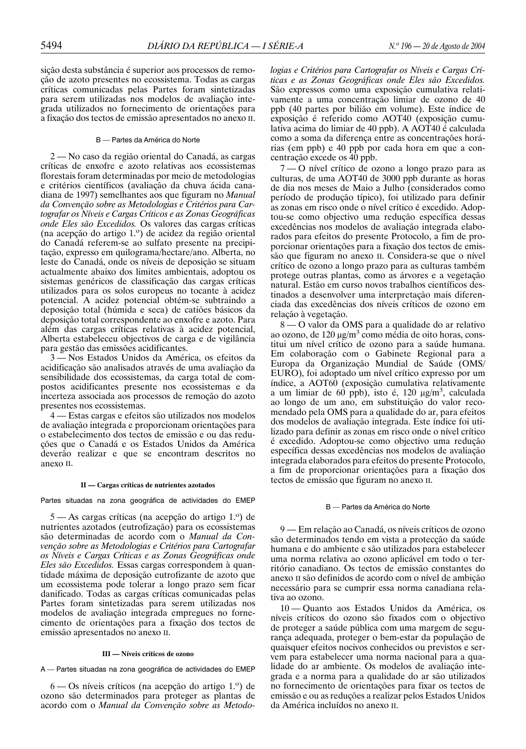sição desta substância é superior aos processos de remoção de azoto presentes no ecossistema. Todas as cargas críticas comunicadas pelas Partes foram sintetizadas para serem utilizadas nos modelos de avaliação integrada utilizados no fornecimento de orientações para a fixação dos tectos de emissão apresentados no anexo II.

### B — Partes da América do Norte

2 — No caso da região oriental do Canadá, as cargas críticas de enxofre e azoto relativas aos ecossistemas florestais foram determinadas por meio de metodologias e critérios científicos (avaliação da chuva ácida canadiana de 1997) semelhantes aos que figuram no *Manual da Convenção sobre as Metodologias e Critérios para Cartografar os Níveis e Cargas Críticos e as Zonas Geográficas onde Eles são Excedidos.* Os valores das cargas críticas (na acepção do artigo 1.º) de acidez da região oriental do Canadá referem-se ao sulfato presente na precipitação, expresso em quilograma/hectare/ano. Alberta, no leste do Canadá, onde os níveis de deposição se situam actualmente abaixo dos limites ambientais, adoptou os sistemas genéricos de classificação das cargas críticas utilizados para os solos europeus no tocante à acidez potencial. A acidez potencial obtém-se subtraindo a deposição total (húmida e seca) de catiões básicos da deposição total correspondente ao enxofre e azoto. Para além das cargas críticas relativas à acidez potencial, Alberta estabeleceu objectivos de carga e de vigilância para gestão das emissões acidificantes.

3 — Nos Estados Unidos da América, os efeitos da acidificação são analisados através de uma avaliação da sensibilidade dos ecossistemas, da carga total de compostos acidificantes presente nos ecossistemas e da incerteza associada aos processos de remoção do azoto presentes nos ecossistemas.

4 — Estas cargas e efeitos são utilizados nos modelos de avaliação integrada e proporcionam orientações para o estabelecimento dos tectos de emissão e ou das reduções que o Canadá e os Estados Unidos da América deverão realizar e que se encontram descritos no anexo II.

#### **II — Cargas críticas de nutrientes azotados**

Partes situadas na zona geográfica de actividades do EMEP

5 — As cargas críticas (na acepção do artigo 1.º) de nutrientes azotados (eutrofização) para os ecossistemas são determinadas de acordo com o *Manual da Convenção sobre as Metodologias e Critérios para Cartografar os Níveis e Cargas Críticas e as Zonas Geográficas onde Eles são Excedidos.* Essas cargas correspondem à quantidade máxima de deposição eutrofizante de azoto que um ecossistema pode tolerar a longo prazo sem ficar danificado. Todas as cargas críticas comunicadas pelas Partes foram sintetizadas para serem utilizadas nos modelos de avaliação integrada empregues no fornecimento de orientações para a fixação dos tectos de emissão apresentados no anexo II.

### **III — Níveis críticos de ozono**

### A — Partes situadas na zona geográfica de actividades do EMEP

6 — Os níveis críticos (na acepção do artigo 1.º) de ozono são determinados para proteger as plantas de acordo com o *Manual da Convenção sobre as Metodo-* *logias e Critérios para Cartografar os Níveis e Cargas Críticas e as Zonas Geográficas onde Eles são Excedidos.* São expressos como uma exposição cumulativa relativamente a uma concentração limiar de ozono de 40 ppb (40 partes por bilião em volume). Este índice de exposição é referido como AOT40 (exposição cumulativa acima do limiar de 40 ppb). A AOT40 é calculada como a soma da diferença entre as concentrações horárias (em ppb) e 40 ppb por cada hora em que a concentração excede os 40 ppb.

7 — O nível crítico de ozono a longo prazo para as culturas, de uma AOT40 de 3000 ppb durante as horas de dia nos meses de Maio a Julho (considerados como período de produção típico), foi utilizado para definir as zonas em risco onde o nível crítico é excedido. Adoptou-se como objectivo uma redução específica dessas excedências nos modelos de avaliação integrada elaborados para efeitos do presente Protocolo, a fim de proporcionar orientações para a fixação dos tectos de emissão que figuram no anexo II. Considera-se que o nível crítico de ozono a longo prazo para as culturas também protege outras plantas, como as árvores e a vegetação natural. Estão em curso novos trabalhos científicos destinados a desenvolver uma interpretação mais diferenciada das excedências dos níveis críticos de ozono em relação à vegetação.

8 — O valor da OMS para a qualidade do ar relativo ao ozono, de 120  $\mu$ g/m<sup>3</sup> como média de oito horas, constitui um nível crítico de ozono para a saúde humana. Em colaboração com o Gabinete Regional para a Europa da Organização Mundial de Saúde (OMS/ EURO), foi adoptado um nível crítico expresso por um índice, a AOT60 (exposição cumulativa relativamente a um limiar de 60 ppb), isto é, 120  $\mu$ g/m<sup>3</sup>, calculada ao longo de um ano, em substituição do valor recomendado pela OMS para a qualidade do ar, para efeitos dos modelos de avaliação integrada. Este índice foi utilizado para definir as zonas em risco onde o nível crítico é excedido. Adoptou-se como objectivo uma redução específica dessas excedências nos modelos de avaliação integrada elaborados para efeitos do presente Protocolo, a fim de proporcionar orientações para a fixação dos tectos de emissão que figuram no anexo II.

### B — Partes da América do Norte

9 — Em relação ao Canadá, os níveis críticos de ozono são determinados tendo em vista a protecção da saúde humana e do ambiente e são utilizados para estabelecer uma norma relativa ao ozono aplicável em todo o território canadiano. Os tectos de emissão constantes do anexo II são definidos de acordo com o nível de ambição necessário para se cumprir essa norma canadiana relativa ao ozono.

10 — Quanto aos Estados Unidos da América, os níveis críticos do ozono são fixados com o objectivo de proteger a saúde pública com uma margem de segurança adequada, proteger o bem-estar da população de quaisquer efeitos nocivos conhecidos ou previstos e servem para estabelecer uma norma nacional para a qualidade do ar ambiente. Os modelos de avaliação integrada e a norma para a qualidade do ar são utilizados no fornecimento de orientações para fixar os tectos de emissão e ou as reduções a realizar pelos Estados Unidos da América incluídos no anexo II.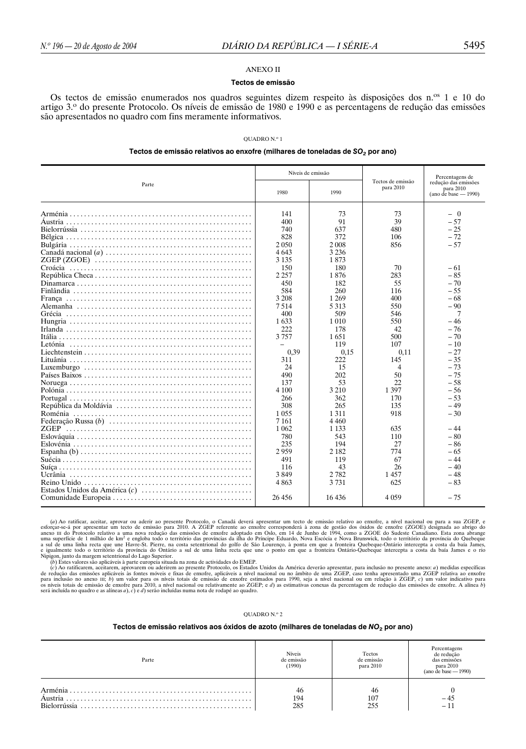### ANEXO II

### **Tectos de emissão**

Os tectos de emissão enumerados nos quadros seguintes dizem respeito às disposições dos n.<sup>os</sup> 1 e 10 do artigo 3.º do presente Protocolo. Os níveis de emissão de 1980 e 1990 e as percentagens de redução das emissões são apresentados no quadro com fins meramente informativos.

#### OUADRO N.º1

### **Tectos de emissão relativos ao enxofre (milhares de toneladas de** *SO2* **por ano)**

|       | Níveis de emissão |         |                                | Percentagens de                                             |  |
|-------|-------------------|---------|--------------------------------|-------------------------------------------------------------|--|
| Parte | 1980              | 1990    | Tectos de emissão<br>para 2010 | redução das emissões<br>para 2010<br>$(ano de base - 1990)$ |  |
|       | 141               | 73      | 73                             | $- 0$                                                       |  |
|       | 400               | 91      | 39                             | $-57$                                                       |  |
|       | 740               | 637     | 480                            | $-25$                                                       |  |
|       | 828               | 372     | 106                            | $-72$                                                       |  |
|       | 2050              | 2008    | 856                            | $-57$                                                       |  |
|       | 4643              | 3 2 3 6 |                                |                                                             |  |
|       | 3 1 3 5           | 1873    |                                |                                                             |  |
|       | 150               | 180     | 70                             | $-61$                                                       |  |
|       | 2 2 5 7           | 1876    | 283                            | $-85$                                                       |  |
|       | 450               | 182     | 55                             | $-70$                                                       |  |
|       | 584               | 260     | 116                            | $-55$                                                       |  |
|       | 3 2 0 8           | 1 2 6 9 | 400                            | - 68                                                        |  |
|       | 7514              | 5 3 1 3 | 550                            | $-90$                                                       |  |
|       | 400               | 509     | 546                            | 7                                                           |  |
|       | 1633              | 1010    | 550                            | - 46                                                        |  |
|       | 222               | 178     | 42                             | - 76                                                        |  |
|       | 3757              | 1651    | 500                            | $-70$                                                       |  |
|       |                   | 119     | 107                            | $-10$                                                       |  |
|       | 0,39              | 0,15    | 0,11                           | $-27$                                                       |  |
|       | 311               | 222     | 145                            | $-35$                                                       |  |
|       | 24                | 15      | 4                              | - 73                                                        |  |
|       | 490               | 202     | 50                             | - 75                                                        |  |
|       | 137               | 53      | 22                             | $-58$                                                       |  |
|       | 4 100             | 3 2 1 0 | 1 3 9 7                        | $-56$                                                       |  |
|       | 266               | 362     | 170                            | $-53$                                                       |  |
|       | 308               | 265     | 135                            | $-49$                                                       |  |
|       | 1 0 5 5           | 1 3 1 1 | 918                            | $-30$                                                       |  |
|       | 7 1 6 1           | 4 4 6 0 |                                |                                                             |  |
| ZGEP  | 1 0 6 2           | 1 1 3 3 | 635                            | $-44$                                                       |  |
|       | 780               | 543     | 110                            | $-80$                                                       |  |
|       | 235               | 194     | 27                             | $-86$                                                       |  |
|       | 2959              | 2 1 8 2 | 774                            | $-65$                                                       |  |
|       | 491               | 119     | 67                             | – 44                                                        |  |
|       | 116               | 43      | 26                             | $-40$                                                       |  |
|       | 3849              | 2782    | 1457                           | $-48$                                                       |  |
|       | 4863              | 3731    | 625                            | $-83$                                                       |  |
|       |                   |         |                                |                                                             |  |
|       | 26 45 6           | 16 4 36 | 4 0 5 9                        | $-75$                                                       |  |

(a) Ao ratificar, aceitar, aprovar ou aderir ao presente Protocolo, o Canadá deverá apresentar um tecto de emissão relativo ao enxofre, a nível nacional ou para a sua ZGEP, e<br>esforça-se-á por apresentar um tecto de emissão

(c) Ao ratificarem, aceitarem, aprovarem ou aderirem ao presente Protocolo, os Estados Unidos da América deverão apresentar, para inclusão no presente anexo: a) medidas específicas<br>de redução das emisosos aplicáveis às fon será incluída no quadro e as alíneas *a*), *c*) e *d*) serão incluídas numa nota de rodapé ao quadro.

#### OUADRO N.º 2

### **Tectos de emissão relativos aos óxidos de azoto (milhares de toneladas de** *NO***<sup>2</sup> por ano)**

| Parte | Níveis<br>de emissão<br>(1990) | Tectos<br>de emissão<br>para 2010 | Percentagens<br>de redução<br>das emissões<br>para 2010<br>$(ano de base - 1990)$ |
|-------|--------------------------------|-----------------------------------|-----------------------------------------------------------------------------------|
|       | 46<br>194<br>285               | 46<br>107<br>255                  | $-45$<br>$-11$                                                                    |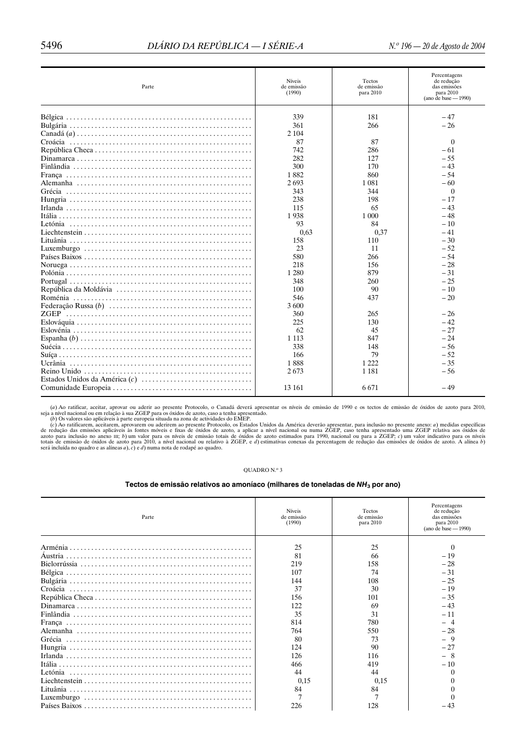| Parte | Níveis<br>de emissão<br>(1990) | Tectos<br>de emissão<br>para 2010 | Percentagens<br>de redução<br>das emissões<br>para 2010<br>$(ano de base - 1990)$ |
|-------|--------------------------------|-----------------------------------|-----------------------------------------------------------------------------------|
|       | 339<br>361<br>2 1 0 4          | 181<br>266                        | $-47$<br>$-26$                                                                    |
|       | 87                             | 87                                | $\Omega$                                                                          |
|       | 742                            | 286                               | - 61                                                                              |
|       | 282                            | 127                               | - 55                                                                              |
|       | 300                            | 170                               | $-43$                                                                             |
|       | 1882                           | 860                               | - 54                                                                              |
|       | 2693                           | 1 0 8 1                           | - 60                                                                              |
|       | 343                            | 344                               | $\theta$                                                                          |
|       | 238                            | 198                               | $-17$                                                                             |
|       | 115                            | 65                                | $-43$                                                                             |
|       | 1938                           | 1 000                             | - 48                                                                              |
|       | 93                             | 84                                | $-10$                                                                             |
|       | 0.63                           | 0,37                              | – 41                                                                              |
|       | 158                            | 110                               | $-30$                                                                             |
|       | 23                             | 11                                | $-52$                                                                             |
|       | 580                            | 266                               | - 54                                                                              |
|       | 218                            | 156                               | - 28                                                                              |
|       | 1 2 8 0                        | 879                               | $-31$                                                                             |
|       | 348                            | 260                               | $-25$                                                                             |
|       | 100<br>546<br>3 600            | 90<br>437                         | $-10$<br>$-20$                                                                    |
|       | 360<br>225<br>62               | 265<br>130<br>45                  | $-26$<br>$-42$<br>$-27$<br>$-24$                                                  |
|       | 1 1 1 3<br>338<br>166<br>1888  | 847<br>148<br>79<br>1 2 2 2       | $-56$<br>$-52$<br>$-35$                                                           |
|       | 2673<br>13 16 1                | 1 1 8 1<br>6 6 7 1                | - 56<br>$-49$                                                                     |

(a) Ao ratificar, aceitar, aprovar ou aderir ao presente Protocolo, o Canadá deverá apresentar os níveis de emissão de 1990 e os tectos de emissão de óxidos de azoto para 2010,<br>a nível nacional ou em relação à sua ZGEP par

### QUADRO N.º 3

### **Tectos de emissão relativos ao amoníaco (milhares de toneladas de** *NH***<sup>3</sup> por ano)**

| Parte | <b>Níveis</b><br>de emissão<br>(1990)                                                                                | Tectos<br>de emissão<br>para 2010                                                                                 | Percentagens<br>de redução<br>das emissões<br>para 2010<br>$(ano de base - 1990)$                                                   |
|-------|----------------------------------------------------------------------------------------------------------------------|-------------------------------------------------------------------------------------------------------------------|-------------------------------------------------------------------------------------------------------------------------------------|
|       | 25<br>81<br>219<br>107<br>144<br>37<br>156<br>122<br>35<br>814<br>764<br>80<br>124<br>126<br>466<br>44<br>0.15<br>84 | 25<br>66<br>158<br>74<br>108<br>30<br>101<br>69<br>31<br>780<br>550<br>73<br>90<br>116<br>419<br>44<br>0.15<br>84 | $\Omega$<br>$-19$<br>$-28$<br>$-31$<br>$-25$<br>$-19$<br>$-35$<br>$-43$<br>$-11$<br>$-28$<br><b>Q</b><br>$-27$<br>$-10$<br>$\theta$ |
|       | 226                                                                                                                  | 128                                                                                                               | $-43$                                                                                                                               |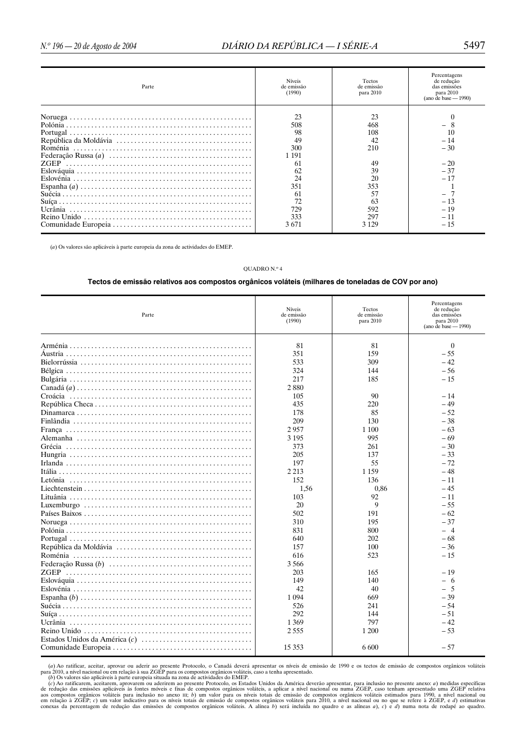| Parte           | <b>Níveis</b><br>de emissão<br>(1990)                                                        | Tectos<br>de emissão<br>para 2010                                                           | Percentagens<br>de redução<br>das emissões<br>para 2010<br>$(ano de base - 1990)$ |
|-----------------|----------------------------------------------------------------------------------------------|---------------------------------------------------------------------------------------------|-----------------------------------------------------------------------------------|
| Roménia<br>ZGEP | 23<br>508<br>98<br>49<br>300<br>1 1 9 1<br>61<br>62<br>24<br>351<br>61<br>729<br>333<br>3671 | 23<br>468<br>108<br>42<br>210<br>49<br>39<br>20<br>353<br>57<br>63<br>592<br>297<br>3 1 2 9 | $-30$<br>$-20$<br>$-37$<br>$-19$<br>$-15$                                         |

(*a*) Os valores são aplicáveis à parte europeia da zona de actividades do EMEP.

### QUADRO N.º 4

### **Tectos de emissão relativos aos compostos orgânicos voláteis (milhares de toneladas de COV por ano)**

| Parte                                  | Níveis<br>de emissão<br>(1990)                                                                                                                                                                                                                   | Tectos<br>de emissão<br>para 2010                                                                                                                                                                                    | Percentagens<br>de redução<br>das emissões<br>para 2010<br>$(ano de base - 1990)$                                                                                                                                                                                                       |
|----------------------------------------|--------------------------------------------------------------------------------------------------------------------------------------------------------------------------------------------------------------------------------------------------|----------------------------------------------------------------------------------------------------------------------------------------------------------------------------------------------------------------------|-----------------------------------------------------------------------------------------------------------------------------------------------------------------------------------------------------------------------------------------------------------------------------------------|
| República da Moldávia ………………………………………… | 81<br>351<br>533<br>324<br>217<br>2880<br>105<br>435<br>178<br>209<br>2957<br>3 1 9 5<br>373<br>205<br>197<br>2 2 1 3<br>152<br>1,56<br>103<br>20<br>502<br>310<br>831<br>640<br>157<br>616<br>3566<br>203<br>149<br>42<br>1 0 9 4<br>526<br>292 | 81<br>159<br>309<br>144<br>185<br>90<br>220<br>85<br>130<br>1 100<br>995<br>261<br>137<br>55<br>1 1 5 9<br>136<br>0,86<br>92<br>9<br>191<br>195<br>800<br>202<br>100<br>523<br>165<br>140<br>40<br>669<br>241<br>144 | $\overline{0}$<br>$-55$<br>- 42<br>$-56$<br>$-15$<br>$-14$<br>$-49$<br>$-52$<br>$-38$<br>$-63$<br>$-69$<br>$-30$<br>$-33$<br>$-72$<br>- 48<br>$-11$<br>- 45<br>- 11<br>$-55$<br>- 62<br>- 37<br>$\overline{4}$<br>- 68<br>$-36$<br>$-15$<br>$-19$<br>6<br>-5<br>$-39$<br>$-54$<br>$-51$ |
|                                        | 1 3 6 9<br>2555                                                                                                                                                                                                                                  | 797<br>1 200                                                                                                                                                                                                         | - 42<br>$-53$                                                                                                                                                                                                                                                                           |
|                                        | 15 353                                                                                                                                                                                                                                           | 6 600                                                                                                                                                                                                                | $-57$                                                                                                                                                                                                                                                                                   |

(a) Ao ratificar, accitar, aprovar ou aderir ao presente Protocolo, o Canadá deverá apresentar os níveis de emissão de 1990 e os tectos de emissão de compostos orgânicos voláteis<br>
(b) Os valores são aplicáveis à parte eur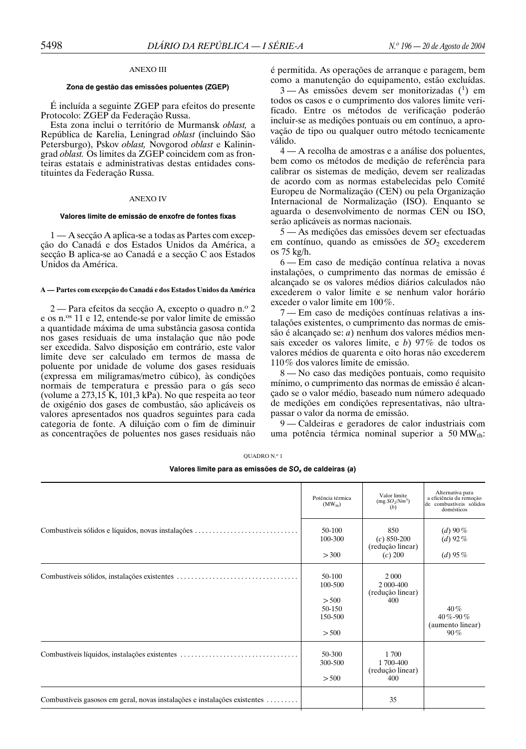### ANEXO III

#### **Zona de gestão das emissões poluentes (ZGEP)**

É incluída a seguinte ZGEP para efeitos do presente Protocolo: ZGEP da Federação Russa.

Esta zona inclui o território de Murmansk *oblast,* a República de Karelia, Leningrad *oblast* (incluindo São Petersburgo), Pskov *oblast,* Novgorod *oblast* e Kaliningrad *oblast.* Os limites da ZGEP coincidem com as fronteiras estatais e administrativas destas entidades constituintes da Federação Russa.

### ANEXO IV

### **Valores limite de emissão de enxofre de fontes fixas**

1 — A secção A aplica-se a todas as Partes com excepção do Canadá e dos Estados Unidos da América, a secção B aplica-se ao Canadá e a secção C aos Estados Unidos da América.

### **A — Partes com excepção do Canadá e dos Estados Unidos da América**

2 — Para efeitos da secção A, excepto o quadro n.º 2 e os n.<sup>os</sup> 11 e 12, entende-se por valor limite de emissão a quantidade máxima de uma substância gasosa contida nos gases residuais de uma instalação que não pode ser excedida. Salvo disposição em contrário, este valor limite deve ser calculado em termos de massa de poluente por unidade de volume dos gases residuais (expressa em miligramas/metro cúbico), às condições normais de temperatura e pressão para o gás seco (volume a 273,15 K, 101,3 kPa). No que respeita ao teor de oxigénio dos gases de combustão, são aplicáveis os valores apresentados nos quadros seguintes para cada categoria de fonte. A diluição com o fim de diminuir as concentrações de poluentes nos gases residuais não é permitida. As operações de arranque e paragem, bem como a manutenção do equipamento, estão excluídas.

3 — As emissões devem ser monitorizadas (<sup>1</sup>) em todos os casos e o cumprimento dos valores limite verificado. Entre os métodos de verificação poderão incluir-se as medições pontuais ou em contínuo, a aprovação de tipo ou qualquer outro método tecnicamente válido.

4 — A recolha de amostras e a análise dos poluentes, bem como os métodos de medição de referência para calibrar os sistemas de medição, devem ser realizadas de acordo com as normas estabelecidas pelo Comité Europeu de Normalização (CEN) ou pela Organização Internacional de Normalização (ISO). Enquanto se aguarda o desenvolvimento de normas CEN ou ISO, serão aplicáveis as normas nacionais.

5 — As medições das emissões devem ser efectuadas em contínuo, quando as emissões de *SO*<sup>2</sup> excederem os 75 kg/h.

6 — Em caso de medição contínua relativa a novas instalações, o cumprimento das normas de emissão é alcançado se os valores médios diários calculados não excederem o valor limite e se nenhum valor horário exceder o valor limite em 100%.

7 — Em caso de medições contínuas relativas a instalações existentes, o cumprimento das normas de emissão é alcançado se: *a*) nenhum dos valores médios mensais exceder os valores limite, e *b*) 97% de todos os valores médios de quarenta e oito horas não excederem 110% dos valores limite de emissão.

8 — No caso das medições pontuais, como requisito mínimo, o cumprimento das normas de emissão é alcançado se o valor médio, baseado num número adequado de medições em condições representativas, não ultrapassar o valor da norma de emissão.

9 — Caldeiras e geradores de calor industriais com uma potência térmica nominal superior a  $50 \text{ MW}_{th}$ :

| Valores limite para as emissões de $SOx$ de caldeiras (a)                 |                                                          |                                                               |                                                                                      |
|---------------------------------------------------------------------------|----------------------------------------------------------|---------------------------------------------------------------|--------------------------------------------------------------------------------------|
|                                                                           | Potência térmica<br>$(MW_{th})$                          | Valor limite<br>(mg SO <sub>2</sub> /Nm <sup>3</sup> )<br>(b) | Alternativa para<br>a eficiência da remoção<br>de combustíveis sólidos<br>domésticos |
| Combustíveis sólidos e líquidos, novas instalações                        | 50-100<br>100-300                                        | 850<br>$(c)$ 850-200<br>(redução linear)                      | $(d) 90\%$<br>$(d)$ 92%                                                              |
|                                                                           | > 300                                                    | (c) 200                                                       | $(d)$ 95%                                                                            |
| Combustíveis sólidos, instalações existentes                              | 50-100<br>100-500<br>> 500<br>50-150<br>150-500<br>> 500 | 2 0 0 0<br>2 000-400<br>(redução linear)<br>400               | 40%<br>$40\% - 90\%$<br>(aumento linear)<br>$90\%$                                   |
| Combustíveis líquidos, instalações existentes                             | 50-300<br>300-500<br>> 500                               | 1700<br>1 700-400<br>(redução linear)<br>400                  |                                                                                      |
| Combustíveis gasosos em geral, novas instalações e instalações existentes |                                                          | 35                                                            |                                                                                      |

QUADRO N.º 1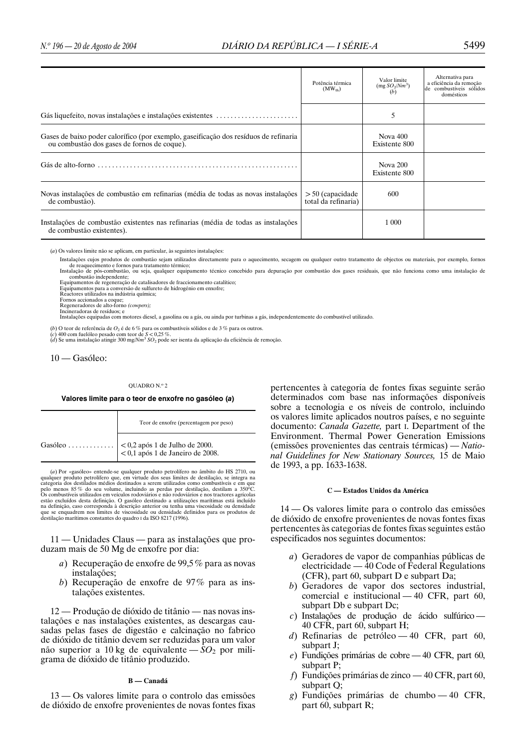|                                                                                                                                     | Potência térmica<br>$(MW_{th})$           | Valor limite<br>(mg SO <sub>2</sub> /Nm <sup>3</sup> )<br>(b) | Alternativa para<br>a eficiência da remoção<br>de combustíveis sólidos<br>domésticos |
|-------------------------------------------------------------------------------------------------------------------------------------|-------------------------------------------|---------------------------------------------------------------|--------------------------------------------------------------------------------------|
| Gás liquefeito, novas instalações e instalações existentes                                                                          |                                           | 5                                                             |                                                                                      |
| Gases de baixo poder calorífico (por exemplo, gaseificação dos resíduos de refinaria<br>ou combustão dos gases de fornos de coque). |                                           | Nova 400<br>Existente 800                                     |                                                                                      |
|                                                                                                                                     |                                           | <b>Nova 200</b><br>Existente 800                              |                                                                                      |
| Novas instalações de combustão em refinarias (média de todas as novas instalações<br>de combustão).                                 | $> 50$ (capacidade<br>total da refinaria) | 600                                                           |                                                                                      |
| Instalações de combustão existentes nas refinarias (média de todas as instalações<br>de combustão existentes).                      |                                           | 1 000                                                         |                                                                                      |

(*a*) Os valores limite não se aplicam, em particular, às seguintes instalações:

Instalações cujos produtos de combustão sejam utilizados directamente para o aquecimento, secagem ou qualquer outro tratamento de objectos ou materiais, por exemplo, fornos de reaquecimento e fornos para tratamento térmico; Instalação de pós-combustão, ou seja, qualquer equipamento técnico concebido para depuração por combustão dos gases residuais, que não funciona como uma instalação de combustão independente;

Equipamentos de regeneração de catalisadores de fraccionamento catalítico;

Equipamentos para a conversão de sulfureto de hidrogénio em enxofre;

Reactores utilizados na indústria química;

Fornos accionados a coque; Regeneradores de alto-forno *(cowpers);*

Incineradoras de resíduos; e Instalações equipadas com motores diesel, a gasolina ou a gás, ou ainda por turbinas a gás, independentemente do combustível utilizado.

(b) O teor de referência de Ø2 é de 6 % para os combustíveis sólidos e de 3 % para os outros.<br>(c) 400 com fuelóleo pesado com teor de S < 0,25 %.<br>(*d*) Se uma instalação atingir 300 mg/N*m<sup>3</sup> SO<sub>2</sub> pode ser isenta da aplic* 

10 — Gasóleo:

#### QUADRO N.º 2

**Valores limite para o teor de enxofre no gasóleo (***a***)**

| Teor de enxofre (percentagem por peso) |
|----------------------------------------|
|                                        |

(a) Por «gasóleo» entende-se qualquer produto petrolífero no âmbito do HS 2710, ou<br>qualquer produto petrolífero que, em virtude dos seus limites de destilação, se integra na<br>categoria dos destilados médios destinados a ser estão excluídos desta definição. O gasóleo destinado a utilizações marítimas está incluído<br>na definição, caso corresponda à descrição anterior ou tenha uma viscosidade ou densidade<br>que se enquadrem nos limites de viscosida destilação marítimos constantes do quadro I da ISO 8217 (1996).

11 — Unidades Claus — para as instalações que produzam mais de 50 Mg de enxofre por dia:

- *a*) Recuperação de enxofre de 99,5% para as novas instalações;
- *b*) Recuperação de enxofre de 97% para as instalações existentes.

12 — Produção de dióxido de titânio — nas novas instalações e nas instalações existentes, as descargas causadas pelas fases de digestão e calcinação no fabrico de dióxido de titânio devem ser reduzidas para um valor não superior a 10 kg de equivalente — *SO*<sup>2</sup> por miligrama de dióxido de titânio produzido.

#### **B — Canadá**

13 — Os valores limite para o controlo das emissões de dióxido de enxofre provenientes de novas fontes fixas pertencentes à categoria de fontes fixas seguinte serão determinados com base nas informações disponíveis sobre a tecnologia e os níveis de controlo, incluindo os valores limite aplicados noutros países, e no seguinte documento: *Canada Gazette,* part I. Department of the Environment. Thermal Power Generation Emissions (emissões provenientes das centrais térmicas) — *National Guidelines for New Stationary Sources,* 15 de Maio de 1993, a pp. 1633-1638.

### **C — Estados Unidos da América**

14 — Os valores limite para o controlo das emissões de dióxido de enxofre provenientes de novas fontes fixas pertencentes às categorias de fontes fixas seguintes estão especificados nos seguintes documentos:

- *a*) Geradores de vapor de companhias públicas de electricidade — 40 Code of Federal Regulations (CFR), part 60, subpart D e subpart Da;
- *b*) Geradores de vapor dos sectores industrial, comercial e institucional — 40 CFR, part 60, subpart Db e subpart Dc;
- *c*) Instalações de produção de ácido sulfúrico 40 CFR, part 60, subpart H;
- *d*) Refinarias de petróleo 40 CFR, part 60, subpart J;
- *e*) Fundições primárias de cobre 40 CFR, part 60, subpart P;
- *f*) Fundições primárias de zinco 40 CFR, part 60, subpart Q;
- *g*) Fundições primárias de chumbo 40 CFR, part 60, subpart R;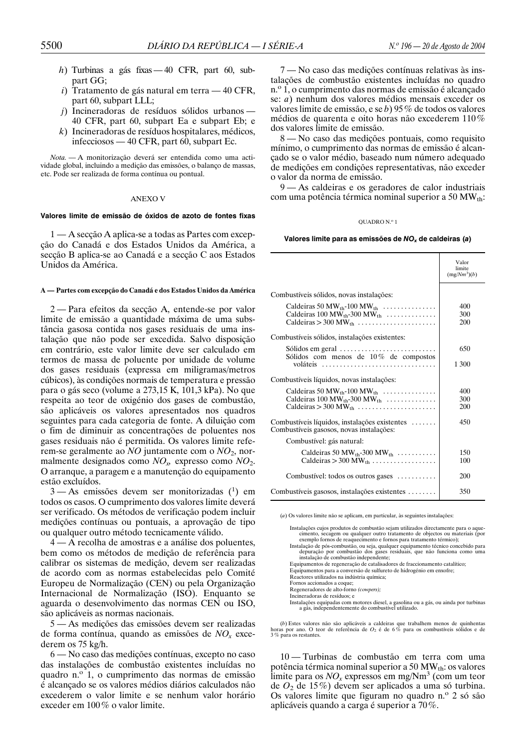- *h*) Turbinas a gás fixas 40 CFR, part 60, subpart GG;
- *i*) Tratamento de gás natural em terra 40 CFR, part 60, subpart LLL;
- *j*) Incineradoras de resíduos sólidos urbanos 40 CFR, part 60, subpart Ea e subpart Eb; e
- *k*) Incineradoras de resíduos hospitalares, médicos, infecciosos — 40 CFR, part 60, subpart Ec.

*Nota.* — A monitorização deverá ser entendida como uma actividade global, incluindo a medição das emissões, o balanço de massas, etc. Pode ser realizada de forma contínua ou pontual.

### ANEXO V

### **Valores limite de emissão de óxidos de azoto de fontes fixas**

1 — A secção A aplica-se a todas as Partes com excepção do Canadá e dos Estados Unidos da América, a secção B aplica-se ao Canadá e a secção C aos Estados Unidos da América.

### **A — Partes com excepção do Canadá e dos Estados Unidos da América**

2 — Para efeitos da secção A, entende-se por valor limite de emissão a quantidade máxima de uma substância gasosa contida nos gases residuais de uma instalação que não pode ser excedida. Salvo disposição em contrário, este valor limite deve ser calculado em termos de massa de poluente por unidade de volume dos gases residuais (expressa em miligramas/metros cúbicos), às condições normais de temperatura e pressão para o gás seco (volume a 273,15 K, 101,3 kPa). No que respeita ao teor de oxigénio dos gases de combustão, são aplicáveis os valores apresentados nos quadros seguintes para cada categoria de fonte. A diluição com o fim de diminuir as concentrações de poluentes nos gases residuais não é permitida. Os valores limite referem-se geralmente ao *NO* juntamente com o *NO*2, normalmente designados como *NOx,* expresso como *NO*2. O arranque, a paragem e a manutenção do equipamento estão excluídos.

 $3$  — As emissões devem ser monitorizadas  $(1)$  em todos os casos. O cumprimento dos valores limite deverá ser verificado. Os métodos de verificação podem incluir medições contínuas ou pontuais, a aprovação de tipo ou qualquer outro método tecnicamente válido.

4 — A recolha de amostras e a análise dos poluentes, bem como os métodos de medição de referência para calibrar os sistemas de medição, devem ser realizadas de acordo com as normas estabelecidas pelo Comité Europeu de Normalização (CEN) ou pela Organização Internacional de Normalização (ISO). Enquanto se aguarda o desenvolvimento das normas CEN ou ISO, são aplicáveis as normas nacionais.

5 — As medições das emissões devem ser realizadas de forma contínua, quando as emissões de *NOx* excederem os 75 kg/h.

6 — No caso das medições contínuas, excepto no caso das instalações de combustão existentes incluídas no quadro n.º 1, o cumprimento das normas de emissão é alcançado se os valores médios diários calculados não excederem o valor limite e se nenhum valor horário exceder em 100% o valor limite.

7 — No caso das medições contínuas relativas às instalações de combustão existentes incluídas no quadro n.<sup>o</sup> 1, o cumprimento das normas de emissão é alcançado se: *a*) nenhum dos valores médios mensais exceder os valores limite de emissão, e se *b*) 95% de todos os valores médios de quarenta e oito horas não excederem 110% dos valores limite de emissão.

8 — No caso das medições pontuais, como requisito mínimo, o cumprimento das normas de emissão é alcançado se o valor médio, baseado num número adequado de medições em condições representativas, não exceder o valor da norma de emissão.

9 — As caldeiras e os geradores de calor industriais com uma potência térmica nominal superior a 50  $MW_{th}$ :

#### QUADRO N.º 1

### **Valores limite para as emissões de** *NOx* **de caldeiras (***a***)**

|                                                                                                             | Valor<br>limite<br>$(mg/Nm^3)(b)$ |
|-------------------------------------------------------------------------------------------------------------|-----------------------------------|
| Combustíveis sólidos, novas instalações:                                                                    |                                   |
| Caldeiras 50 MW <sub>th</sub> -100 MW <sub>th</sub>                                                         | 400<br>300                        |
| Caldeiras $100 \text{ MW}_{\text{th}}$ -300 MW $_{\text{th}}$<br>Caldeiras $> 300 \text{ MW}_{th}$          | 200                               |
| Combustíveis sólidos, instalações existentes:                                                               |                                   |
| Sólidos em geral $\dots \dots \dots \dots \dots \dots \dots \dots$<br>Sólidos com menos de 10% de compostos | 650                               |
| voláteis                                                                                                    | 1 300                             |
| Combustíveis líquidos, novas instalações:                                                                   |                                   |
| Caldeiras 50 MW <sub>th</sub> -100 MW <sub>th</sub><br>Caldeiras 100 MW <sub>th</sub> -300 MW <sub>th</sub> | 400<br>300                        |
|                                                                                                             | 200                               |
| Combustíveis líquidos, instalações existentes<br>Combustíveis gasosos, novas instalações:                   | 450                               |
| Combustível: gás natural:                                                                                   |                                   |
| Caldeiras 50 MW <sub>th</sub> -300 MW <sub>th</sub>                                                         | 150                               |
| Caldeiras $> 300$ MW <sub>th</sub>                                                                          | 100                               |
| Combustível: todos os outros gases $\dots\dots\dots$                                                        | 200                               |
| Combustíveis gasosos, instalações existentes                                                                | 350                               |

(*a*) Os valores limite não se aplicam, em particular, às seguintes instalações:

| Instalações cujos produtos de combustão sejam utilizados directamente para o aque-<br>cimento, secagem ou qualquer outro tratamento de objectos ou materiais (por<br>exemplo fornos de reaquecimento e fornos para tratamento térmico); |
|-----------------------------------------------------------------------------------------------------------------------------------------------------------------------------------------------------------------------------------------|
| Instalação de pós-combustão, ou seja, qualquer equipamento técnico concebido para<br>depuração por combustão dos gases residuais, que não funciona como uma<br>instalação de combustão independente;                                    |
| Equipamentos de regeneração de catalisadores de fraccionamento catalítico;                                                                                                                                                              |
| Equipamentos para a conversão de sulfureto de hidrogénio em enxofre;                                                                                                                                                                    |
| Reactores utilizados na indústria química;                                                                                                                                                                                              |
| Fornos accionados a coque;                                                                                                                                                                                                              |
| Regeneradores de alto-forno (cowpers);                                                                                                                                                                                                  |
| Incineradoras de resíduos; e                                                                                                                                                                                                            |
| Instalações equipadas com motores diesel, a gasolina ou a gás, ou ainda por turbinas<br>a gás, independentemente do combustível utilizado.                                                                                              |

(*b*) Estes valores não são aplicáveis a caldeiras que trabalhem menos de quinhentas horas por ano. O teor de referência de *O*<sup>2</sup> é de 6 % para os combustíveis sólidos e de 3 % para os restantes.

10 — Turbinas de combustão em terra com uma potência térmica nominal superior a 50 MW<sub>th</sub>: os valores limite para os *NOx* expressos em mg/Nm3 (com um teor de *O*<sup>2</sup> de 15%) devem ser aplicados a uma só turbina. Os valores limite que figuram no quadro  $n^{\circ}$  2 só são aplicáveis quando a carga é superior a 70%.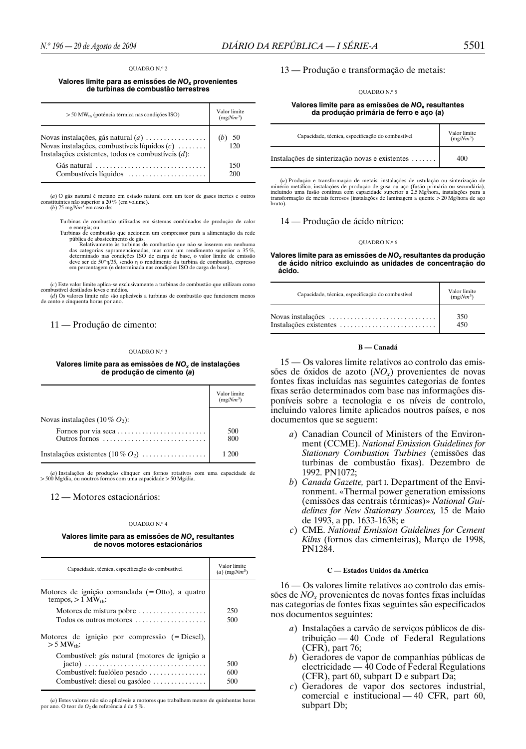#### **Valores limite para as emissões de** *NOx* **provenientes de turbinas de combustão terrestres**

| $> 50$ MW <sub>th</sub> (potência térmica nas condições ISO)                                            | Valor limite<br>$(mg/Mm^3)$ |
|---------------------------------------------------------------------------------------------------------|-----------------------------|
| Novas instalações, combustíveis líquidos $(c)$<br>Instalações existentes, todos os combustíveis $(d)$ : | - 50<br>120                 |
| Gás natural $\ldots, \ldots, \ldots, \ldots, \ldots, \ldots, \ldots, \ldots$<br>Combustíveis líquidos   | 150<br>200                  |

(*a*) O gás natural é metano em estado natural com um teor de gases inertes e outros constituintes não superior a 20 % (em volume). (*b*) 75 mg/*Nm3* em caso de:

Turbinas de combustão utilizadas em sistemas combinados de produção de calor

- e energia; ou Turbinas de combustão que accionem um compressor para a alimentação da rede
	- pública de abastecimento de gás. Relativamente às turbinas de combustão que não se inserem em nenhuma das categorias supramencionadas, mas com um rendimento superior a 35 %, determinado nas condições ISO de carga de base, o valor limite de emissão<br>deve ser de 50\*ŋ/35, sendo ŋ o rendimento da turbina de combustão, expresso em percentagem (e determinada nas condições ISO de carga de base).

(*c*) Este valor limite aplica-se exclusivamente a turbinas de combustão que utilizam como combustível destilados leves e médios.

(*d*) Os valores limite não são aplicáveis a turbinas de combustão que funcionem menos de cento e cinquenta horas por ano.

### 11 — Produção de cimento:

#### QUADRO N.o 3

**Valores limite para as emissões de** *NOx* **de instalações de produção de cimento (***a***)**

|                                                             | Valor limite<br>$(mg/Nm^3)$ |
|-------------------------------------------------------------|-----------------------------|
| Novas instalações (10% $O_2$ ):                             |                             |
| Fornos por via seca<br>Outros fornos                        | 500<br>800                  |
| Instalações existentes $(10\% O_2) \dots \dots \dots \dots$ | 1 200                       |

(*a*) Instalações de produção clínquer em fornos rotativos com uma capacidade de<br>
> 500 Mg/dia, ou noutros fornos com uma capacidade > 50 Mg/dia.

### 12 — Motores estacionários:

#### OUADRO N.º 4

#### **Valores limite para as emissões de** *NOx* **resultantes de novos motores estacionários**

| Capacidade, técnica, especificação do combustível                                                                | Valor limite<br>$(a)$ (mg/Nm <sup>3</sup> ) |
|------------------------------------------------------------------------------------------------------------------|---------------------------------------------|
| Motores de ignição comandada (= Otto), a quatro<br>tempos, $> 1$ MW <sub>th</sub> :                              |                                             |
| Motores de mistura pobre                                                                                         | 250                                         |
| Todos os outros motores                                                                                          | 500                                         |
| Motores de ignição por compressão (= Diesel),<br>$> 5$ MW <sub>th</sub> :                                        |                                             |
| Combustível: gás natural (motores de ignição a<br>Combustível: fuelóleo pesado<br>Combustível: diesel ou gasóleo | 500<br>600<br>500                           |

(*a*) Estes valores não são aplicáveis a motores que trabalhem menos de quinhentas horas por ano. O teor de *O*<sup>2</sup> de referência é de 5 %.

### 13 — Produção e transformação de metais:

#### QUADRO N.o 5

### **Valores limite para as emissões de** *NOx* **resultantes da produção primária de ferro e aço (***a***)**

| Capacidade, técnica, especificação do combustível | Valor limite<br>$(mg/Mm^3)$ |
|---------------------------------------------------|-----------------------------|
| Instalações de sinterização novas e existentes    | 400                         |

(*a*) Produção e transformação de metais: instalações de ustulação ou sinterização de minério metálico, instalações de produção de gusa ou aço (fusão primária ou secundária),<br>incluindo uma fusão contínua com capacidade superior a 2,5 Mg/hora, instalações para a<br>transformação de metais ferrosos (instalações bruto).

14 — Produção de ácido nítrico:

#### OUADRO N.º 6

**Valores limite para as emissões de** *NOx* **resultantes da produção de ácido nítrico excluindo as unidades de concentração do ácido.**

| Capacidade, técnica, especificação do combustível | Valor limite<br>$(mg/Mm^3)$ |
|---------------------------------------------------|-----------------------------|
|                                                   | 350                         |
| Instalações existentes                            | 450                         |

### **B — Canadá**

15 — Os valores limite relativos ao controlo das emissões de óxidos de azoto (*NOx*) provenientes de novas fontes fixas incluídas nas seguintes categorias de fontes fixas serão determinados com base nas informações disponíveis sobre a tecnologia e os níveis de controlo, incluindo valores limite aplicados noutros países, e nos documentos que se seguem:

- *a*) Canadian Council of Ministers of the Environment (CCME). *National Emission Guidelines for Stationary Combustion Turbines* (emissões das turbinas de combustão fixas). Dezembro de 1992. PN1072;
- *b*) *Canada Gazette,* part I. Department of the Environment. «Thermal power generation emissions (emissões das centrais térmicas)» *National Guidelines for New Stationary Sources,* 15 de Maio de 1993, a pp. 1633-1638; e
- *c*) CME. *National Emission Guidelines for Cement Kilns* (fornos das cimenteiras), Março de 1998, PN1284.

### **C — Estados Unidos da América**

16 — Os valores limite relativos ao controlo das emissões de *NOx* provenientes de novas fontes fixas incluídas nas categorias de fontes fixas seguintes são especificados nos documentos seguintes:

- *a*) Instalações a carvão de serviços públicos de distribuição — 40 Code of Federal Regulations (CFR), part 76;
- *b*) Geradores de vapor de companhias públicas de electricidade  $-40$  Code of Federal Regulations (CFR), part 60, subpart D e subpart Da;
- *c*) Geradores de vapor dos sectores industrial, comercial e institucional — 40 CFR, part 60, subpart Db;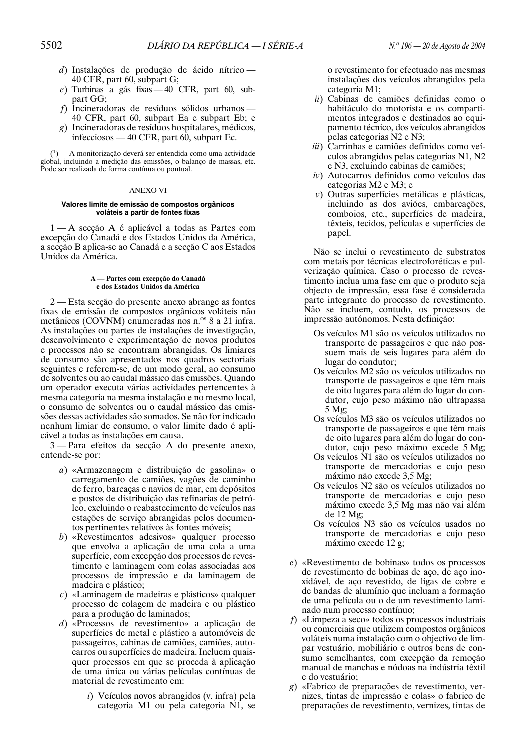- *d*) Instalações de produção de ácido nítrico 40 CFR, part 60, subpart G;
- *e*) Turbinas a gás fixas 40 CFR, part 60, subpart GG;
- *f*) Incineradoras de resíduos sólidos urbanos 40 CFR, part 60, subpart Ea e subpart Eb; e
- *g*) Incineradoras de resíduos hospitalares, médicos, infecciosos — 40 CFR, part 60, subpart Ec.

 $(1)$ ) — A monitorização deverá ser entendida como uma actividade global, incluindo a medição das emissões, o balanço de massas, etc. Pode ser realizada de forma contínua ou pontual.

### ANEXO VI

### **Valores limite de emissão de compostos orgânicos voláteis a partir de fontes fixas**

1 — A secção A é aplicável a todas as Partes com excepção do Canadá e dos Estados Unidos da América, a secção B aplica-se ao Canadá e a secção C aos Estados Unidos da América.

#### **A — Partes com excepção do Canadá e dos Estados Unidos da América**

2 — Esta secção do presente anexo abrange as fontes fixas de emissão de compostos orgânicos voláteis não metânicos (COVNM) enumeradas nos n.<sup>os</sup> 8 a 21 infra. As instalações ou partes de instalações de investigação, desenvolvimento e experimentação de novos produtos e processos não se encontram abrangidas. Os limiares de consumo são apresentados nos quadros sectoriais seguintes e referem-se, de um modo geral, ao consumo de solventes ou ao caudal mássico das emissões. Quando um operador executa várias actividades pertencentes à mesma categoria na mesma instalação e no mesmo local, o consumo de solventes ou o caudal mássico das emissões dessas actividades são somados. Se não for indicado nenhum limiar de consumo, o valor limite dado é aplicável a todas as instalações em causa.

3 — Para efeitos da secção A do presente anexo, entende-se por:

- *a*) «Armazenagem e distribuição de gasolina» o carregamento de camiões, vagões de caminho de ferro, barcaças e navios de mar, em depósitos e postos de distribuição das refinarias de petróleo, excluindo o reabastecimento de veículos nas estações de serviço abrangidas pelos documentos pertinentes relativos às fontes móveis;
- *b*) «Revestimentos adesivos» qualquer processo que envolva a aplicação de uma cola a uma superfície, com excepção dos processos de revestimento e laminagem com colas associadas aos processos de impressão e da laminagem de madeira e plástico;
- *c*) «Laminagem de madeiras e plásticos» qualquer processo de colagem de madeira e ou plástico para a produção de laminados;
- *d*) «Processos de revestimento» a aplicação de superfícies de metal e plástico a automóveis de passageiros, cabinas de camiões, camiões, autocarros ou superfícies de madeira. Incluem quaisquer processos em que se proceda à aplicação de uma única ou várias películas contínuas de material de revestimento em:
	- *i*) Veículos novos abrangidos (v. infra) pela categoria M1 ou pela categoria N1, se

o revestimento for efectuado nas mesmas instalações dos veículos abrangidos pela categoria M1;

- *ii*) Cabinas de camiões definidas como o habitáculo do motorista e os compartimentos integrados e destinados ao equipamento técnico, dos veículos abrangidos pelas categorias N2 e N3;
- *iii*) Carrinhas e camiões definidos como veículos abrangidos pelas categorias N1, N2 e N3, excluindo cabinas de camiões;
- *iv*) Autocarros definidos como veículos das categorias M2 e M3; e
- *v*) Outras superfícies metálicas e plásticas, incluindo as dos aviões, embarcações, comboios, etc., superfícies de madeira, têxteis, tecidos, películas e superfícies de papel.

Não se inclui o revestimento de substratos com metais por técnicas electroforéticas e pulverização química. Caso o processo de revestimento inclua uma fase em que o produto seja objecto de impressão, essa fase é considerada parte integrante do processo de revestimento. Não se incluem, contudo, os processos de impressão autónomos. Nesta definição:

- Os veículos M1 são os veículos utilizados no transporte de passageiros e que não possuem mais de seis lugares para além do lugar do condutor;
- Os veículos M2 são os veículos utilizados no transporte de passageiros e que têm mais de oito lugares para além do lugar do condutor, cujo peso máximo não ultrapassa 5 Mg;
- Os veículos M3 são os veículos utilizados no transporte de passageiros e que têm mais de oito lugares para além do lugar do condutor, cujo peso máximo excede 5 Mg;
- Os veículos N1 são os veículos utilizados no transporte de mercadorias e cujo peso máximo não excede 3,5 Mg;
- Os veículos N2 são os veículos utilizados no transporte de mercadorias e cujo peso máximo excede 3,5 Mg mas não vai além de 12 Mg;
- Os veículos N3 são os veículos usados no transporte de mercadorias e cujo peso máximo excede 12 g;
- *e*) «Revestimento de bobinas» todos os processos de revestimento de bobinas de aço, de aço inoxidável, de aço revestido, de ligas de cobre e de bandas de alumínio que incluam a formação de uma película ou o de um revestimento laminado num processo contínuo;
- *f*) «Limpeza a seco» todos os processos industriais ou comerciais que utilizem compostos orgânicos voláteis numa instalação com o objectivo de limpar vestuário, mobiliário e outros bens de consumo semelhantes, com excepção da remoção manual de manchas e nódoas na indústria têxtil e do vestuário;
- *g*) «Fabrico de preparações de revestimento, vernizes, tintas de impressão e colas» o fabrico de preparações de revestimento, vernizes, tintas de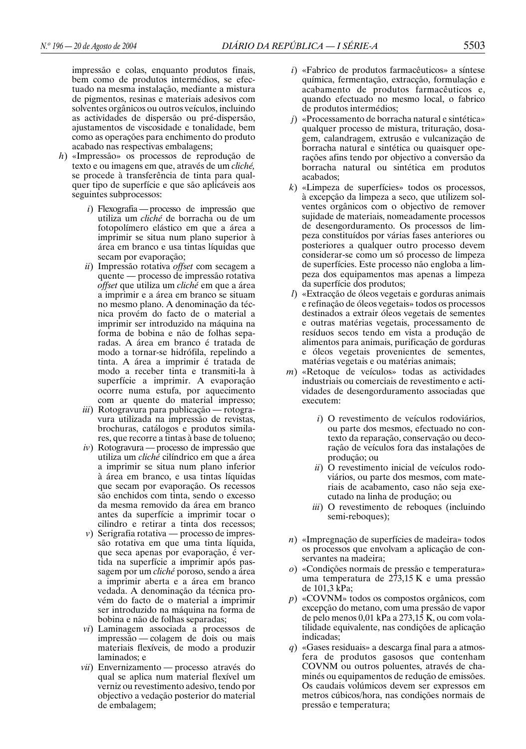impressão e colas, enquanto produtos finais, bem como de produtos intermédios, se efectuado na mesma instalação, mediante a mistura de pigmentos, resinas e materiais adesivos com solventes orgânicos ou outros veículos, incluindo as actividades de dispersão ou pré-dispersão, ajustamentos de viscosidade e tonalidade, bem como as operações para enchimento do produto acabado nas respectivas embalagens;

- *h*) «Impressão» os processos de reprodução de texto e ou imagens em que, através de um *cliché,* se procede à transferência de tinta para qualquer tipo de superfície e que são aplicáveis aos seguintes subprocessos:
	- *i*) Flexografia processo de impressão que utiliza um *cliché* de borracha ou de um fotopolímero elástico em que a área a imprimir se situa num plano superior à área em branco e usa tintas líquidas que secam por evaporação;
	- *ii*) Impressão rotativa *offset* com secagem a quente — processo de impressão rotativa *offset* que utiliza um *cliché* em que a área a imprimir e a área em branco se situam no mesmo plano. A denominação da técnica provém do facto de o material a imprimir ser introduzido na máquina na forma de bobina e não de folhas separadas. A área em branco é tratada de modo a tornar-se hidrófila, repelindo a tinta. A área a imprimir é tratada de modo a receber tinta e transmiti-la à superfície a imprimir. A evaporação ocorre numa estufa, por aquecimento com ar quente do material impresso;
	- *iii*) Rotogravura para publicação rotogravura utilizada na impressão de revistas, brochuras, catálogos e produtos similares, que recorre a tintas à base de tolueno;
	- *iv*) Rotogravura processo de impressão que utiliza um *cliché* cilíndrico em que a área a imprimir se situa num plano inferior à área em branco, e usa tintas líquidas que secam por evaporação. Os recessos são enchidos com tinta, sendo o excesso da mesma removido da área em branco antes da superfície a imprimir tocar o cilindro e retirar a tinta dos recessos;
	- *v*) Serigrafia rotativa processo de impressão rotativa em que uma tinta líquida, que seca apenas por evaporação, é vertida na superfície a imprimir após passagem por um *cliché* poroso, sendo a área a imprimir aberta e a área em branco vedada. A denominação da técnica provém do facto de o material a imprimir ser introduzido na máquina na forma de bobina e não de folhas separadas;
	- *vi*) Laminagem associada a processos de impressão — colagem de dois ou mais materiais flexíveis, de modo a produzir laminados; e
	- *vii*) Envernizamento processo através do qual se aplica num material flexível um verniz ou revestimento adesivo, tendo por objectivo a vedação posterior do material de embalagem;
- *i*) «Fabrico de produtos farmacêuticos» a síntese química, fermentação, extracção, formulação e acabamento de produtos farmacêuticos e, quando efectuado no mesmo local, o fabrico de produtos intermédios;
- *j*) «Processamento de borracha natural e sintética» qualquer processo de mistura, trituração, dosagem, calandragem, extrusão e vulcanização de borracha natural e sintética ou quaisquer operações afins tendo por objectivo a conversão da borracha natural ou sintética em produtos acabados;
- *k*) «Limpeza de superfícies» todos os processos, à excepção da limpeza a seco, que utilizem solventes orgânicos com o objectivo de remover sujidade de materiais, nomeadamente processos de desengorduramento. Os processos de limpeza constituídos por várias fases anteriores ou posteriores a qualquer outro processo devem considerar-se como um só processo de limpeza de superfícies. Este processo não engloba a limpeza dos equipamentos mas apenas a limpeza da superfície dos produtos;
- *l*) «Extracção de óleos vegetais e gorduras animais e refinação de óleos vegetais» todos os processos destinados a extrair óleos vegetais de sementes e outras matérias vegetais, processamento de resíduos secos tendo em vista a produção de alimentos para animais, purificação de gorduras e óleos vegetais provenientes de sementes, matérias vegetais e ou matérias animais;
- *m*) «Retoque de veículos» todas as actividades industriais ou comerciais de revestimento e actividades de desengorduramento associadas que executem:
	- *i*) O revestimento de veículos rodoviários, ou parte dos mesmos, efectuado no contexto da reparação, conservação ou decoração de veículos fora das instalações de produção; ou
	- *ii*) O revestimento inicial de veículos rodoviários, ou parte dos mesmos, com materiais de acabamento, caso não seja executado na linha de produção; ou
	- *iii*) O revestimento de reboques (incluindo semi-reboques);
- *n*) «Impregnação de superfícies de madeira» todos os processos que envolvam a aplicação de conservantes na madeira;
- *o*) «Condições normais de pressão e temperatura» uma temperatura de 273,15 K e uma pressão de 101,3 kPa;
- *p*) «COVNM» todos os compostos orgânicos, com excepção do metano, com uma pressão de vapor de pelo menos 0,01 kPa a 273,15 K, ou com volatilidade equivalente, nas condições de aplicação indicadas;
- *q*) «Gases residuais» a descarga final para a atmosfera de produtos gasosos que contenham COVNM ou outros poluentes, através de chaminés ou equipamentos de redução de emissões. Os caudais volúmicos devem ser expressos em metros cúbicos/hora, nas condições normais de pressão e temperatura;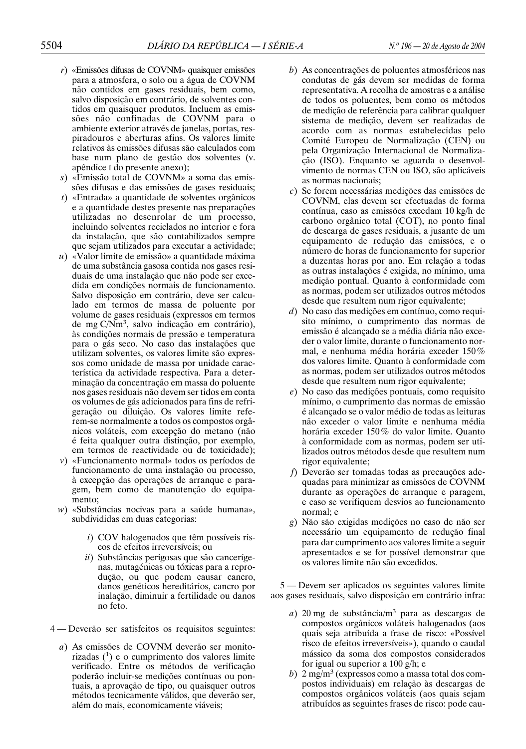- *r*) «Emissões difusas de COVNM» quaisquer emissões para a atmosfera, o solo ou a água de COVNM não contidos em gases residuais, bem como, salvo disposição em contrário, de solventes contidos em quaisquer produtos. Incluem as emissões não confinadas de COVNM para o ambiente exterior através de janelas, portas, respiradouros e aberturas afins. Os valores limite relativos às emissões difusas são calculados com base num plano de gestão dos solventes (v. apêndice I do presente anexo);
- *s*) «Emissão total de COVNM» a soma das emissões difusas e das emissões de gases residuais;
- *t*) «Entrada» a quantidade de solventes orgânicos e a quantidade destes presente nas preparações utilizadas no desenrolar de um processo, incluindo solventes reciclados no interior e fora da instalação, que são contabilizados sempre que sejam utilizados para executar a actividade;
- *u*) «Valor limite de emissão» a quantidade máxima de uma substância gasosa contida nos gases residuais de uma instalação que não pode ser excedida em condições normais de funcionamento. Salvo disposição em contrário, deve ser calculado em termos de massa de poluente por volume de gases residuais (expressos em termos de mg C/Nm3 , salvo indicação em contrário), às condições normais de pressão e temperatura para o gás seco. No caso das instalações que utilizam solventes, os valores limite são expressos como unidade de massa por unidade característica da actividade respectiva. Para a determinação da concentração em massa do poluente nos gases residuais não devem ser tidos em conta os volumes de gás adicionados para fins de refrigeração ou diluição. Os valores limite referem-se normalmente a todos os compostos orgânicos voláteis, com excepção do metano (não é feita qualquer outra distinção, por exemplo, em termos de reactividade ou de toxicidade);
- *v*) «Funcionamento normal» todos os períodos de funcionamento de uma instalação ou processo, à excepção das operações de arranque e paragem, bem como de manutenção do equipamento;
- *w*) «Substâncias nocivas para a saúde humana», subdivididas em duas categorias:
	- *i*) COV halogenados que têm possíveis riscos de efeitos irreversíveis; ou
	- *ii*) Substâncias perigosas que são cancerígenas, mutagénicas ou tóxicas para a reprodução, ou que podem causar cancro, danos genéticos hereditários, cancro por inalação, diminuir a fertilidade ou danos no feto.
- 4 Deverão ser satisfeitos os requisitos seguintes:
	- *a*) As emissões de COVNM deverão ser monitorizadas (<sup>1</sup>) e o cumprimento dos valores limite verificado. Entre os métodos de verificação poderão incluir-se medições contínuas ou pontuais, a aprovação de tipo, ou quaisquer outros métodos tecnicamente válidos, que deverão ser, além do mais, economicamente viáveis;
- *b*) As concentrações de poluentes atmosféricos nas condutas de gás devem ser medidas de forma representativa. A recolha de amostras e a análise de todos os poluentes, bem como os métodos de medição de referência para calibrar qualquer sistema de medição, devem ser realizadas de acordo com as normas estabelecidas pelo Comité Europeu de Normalização (CEN) ou pela Organização Internacional de Normalização (ISO). Enquanto se aguarda o desenvolvimento de normas CEN ou ISO, são aplicáveis as normas nacionais;
- *c*) Se forem necessárias medições das emissões de COVNM, elas devem ser efectuadas de forma contínua, caso as emissões excedam 10 kg/h de carbono orgânico total (COT), no ponto final de descarga de gases residuais, a jusante de um equipamento de redução das emissões, e o número de horas de funcionamento for superior a duzentas horas por ano. Em relação a todas as outras instalações é exigida, no mínimo, uma medição pontual. Quanto à conformidade com as normas, podem ser utilizados outros métodos desde que resultem num rigor equivalente;
- *d*) No caso das medições em contínuo, como requisito mínimo, o cumprimento das normas de emissão é alcançado se a média diária não exceder o valor limite, durante o funcionamento normal, e nenhuma média horária exceder 150% dos valores limite. Quanto à conformidade com as normas, podem ser utilizados outros métodos desde que resultem num rigor equivalente;
- *e*) No caso das medições pontuais, como requisito mínimo, o cumprimento das normas de emissão é alcançado se o valor médio de todas as leituras não exceder o valor limite e nenhuma média horária exceder 150% do valor limite. Quanto à conformidade com as normas, podem ser utilizados outros métodos desde que resultem num rigor equivalente;
- *f*) Deverão ser tomadas todas as precauções adequadas para minimizar as emissões de COVNM durante as operações de arranque e paragem, e caso se verifiquem desvios ao funcionamento normal; e
- *g*) Não são exigidas medições no caso de não ser necessário um equipamento de redução final para dar cumprimento aos valores limite a seguir apresentados e se for possível demonstrar que os valores limite não são excedidos.

5 — Devem ser aplicados os seguintes valores limite aos gases residuais, salvo disposição em contrário infra:

- *a*) 20 mg de substância/m<sup>3</sup> para as descargas de compostos orgânicos voláteis halogenados (aos quais seja atribuída a frase de risco: «Possível risco de efeitos irreversíveis»), quando o caudal mássico da soma dos compostos considerados for igual ou superior a 100 g/h; e
- *b*)  $2 \text{ mg/m}^3$  (expressos como a massa total dos compostos individuais) em relação às descargas de compostos orgânicos voláteis (aos quais sejam atribuídos as seguintes frases de risco: pode cau-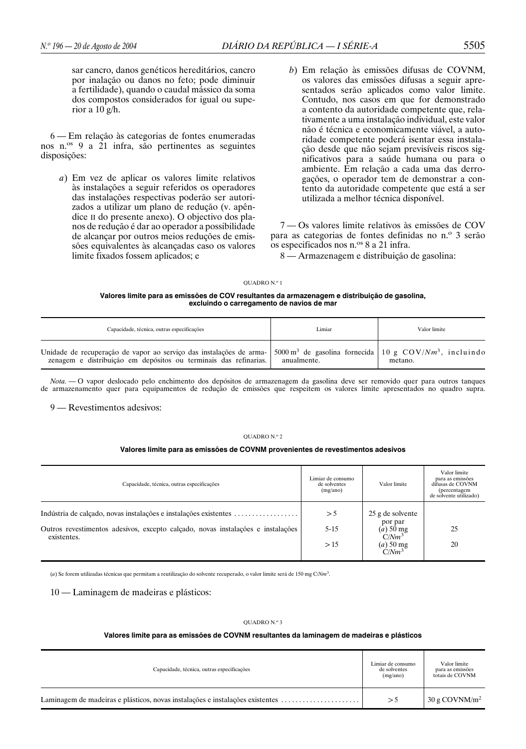sar cancro, danos genéticos hereditários, cancro por inalação ou danos no feto; pode diminuir a fertilidade), quando o caudal mássico da soma dos compostos considerados for igual ou superior a 10 g/h.

6 — Em relação às categorias de fontes enumeradas nos n.<sup>os</sup> 9 a 21 infra, são pertinentes as seguintes disposições:

- *a*) Em vez de aplicar os valores limite relativos às instalações a seguir referidos os operadores das instalações respectivas poderão ser autorizados a utilizar um plano de redução (v. apêndice II do presente anexo). O objectivo dos planos de redução é dar ao operador a possibilidade de alcançar por outros meios reduções de emissões equivalentes às alcançadas caso os valores limite fixados fossem aplicados; e
- *b*) Em relação às emissões difusas de COVNM, os valores das emissões difusas a seguir apresentados serão aplicados como valor limite. Contudo, nos casos em que for demonstrado a contento da autoridade competente que, relativamente a uma instalação individual, este valor não é técnica e economicamente viável, a autoridade competente poderá isentar essa instalação desde que não sejam previsíveis riscos significativos para a saúde humana ou para o ambiente. Em relação a cada uma das derrogações, o operador tem de demonstrar a contento da autoridade competente que está a ser utilizada a melhor técnica disponível.

7 — Os valores limite relativos às emissões de COV para as categorias de fontes definidas no n.º 3 serão os especificados nos n.<sup>os</sup> 8 a 21 infra.

8 — Armazenagem e distribuição de gasolina:

### QUADRO N.º 1

### **Valores limite para as emissões de COV resultantes da armazenagem e distribuição de gasolina, excluindo o carregamento de navios de mar**

| Capacidade, técnica, outras especificações                                                                                                                                                                             | Limiar      | Valor limite |
|------------------------------------------------------------------------------------------------------------------------------------------------------------------------------------------------------------------------|-------------|--------------|
| Unidade de recuperação de vapor ao serviço das instalações de arma- 5000 m <sup>3</sup> de gasolina fornecida 10 g COV/Nm <sup>3</sup> , incluindo<br>zenagem e distribuição em depósitos ou terminais das refinarias. | anualmente. | metano.      |

*Nota.* — O vapor deslocado pelo enchimento dos depósitos de armazenagem da gasolina deve ser removido quer para outros tanques de armazenamento quer para equipamentos de redução de emissões que respeitem os valores limite apresentados no quadro supra.

9 — Revestimentos adesivos:

### QUADRO N.º 2

### **Valores limite para as emissões de COVNM provenientes de revestimentos adesivos**

| Valor limite<br>para as emissões<br>difusas de COVNM<br>(percentagem<br>de solvente utilizado) |
|------------------------------------------------------------------------------------------------|
|                                                                                                |
|                                                                                                |
| 25                                                                                             |
|                                                                                                |
| 20                                                                                             |
|                                                                                                |

(*a*) Se forem utilizadas técnicas que permitam a reutilização do solvente recuperado, o valor limite será de 150 mg C/*Nm*<sup>3</sup> .

10 — Laminagem de madeiras e plásticos:

#### OUADRO N.º 3

### **Valores limite para as emissões de COVNM resultantes da laminagem de madeiras e plásticos**

| Capacidade, técnica, outras especificações                                    | Limiar de consumo<br>de solventes<br>(mg/ano) | Valor limite<br>para as emissões<br>totais de COVNM |
|-------------------------------------------------------------------------------|-----------------------------------------------|-----------------------------------------------------|
| Laminagem de madeiras e plásticos, novas instalações e instalações existentes | > 5                                           | $30 g$ COVNM/m <sup>2</sup>                         |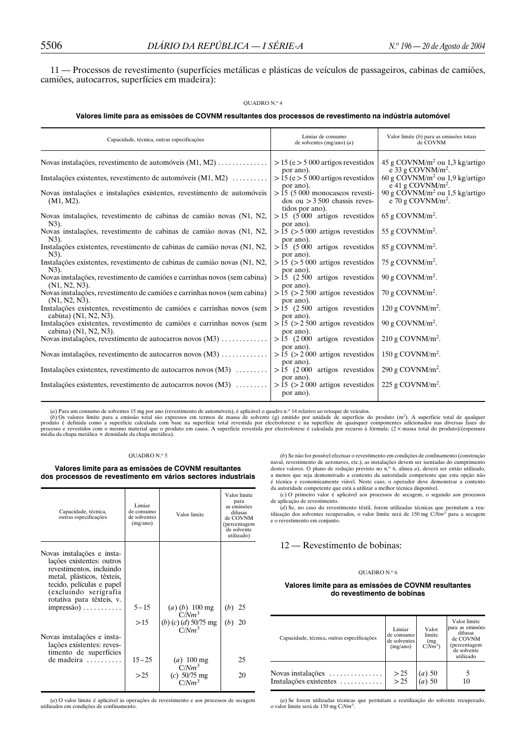11 — Processos de revestimento (superfícies metálicas e plásticas de veículos de passageiros, cabinas de camiões, camiões, autocarros, superfícies em madeira):

### QUADRO N.º 4

### **Valores limite para as emissões de COVNM resultantes dos processos de revestimento na indústria automóvel**

| Capacidade, técnica, outras especificações                                                        | Limiar de consumo<br>de solventes (mg/ano) $(a)$                                             | Valor limite (b) para as emissões totais<br>de COVNM                          |
|---------------------------------------------------------------------------------------------------|----------------------------------------------------------------------------------------------|-------------------------------------------------------------------------------|
| Novas instalações, revestimento de automóveis (M1, M2)                                            | $> 15$ (e $> 5000$ artigos revestidos<br>por ano).                                           | 45 g COVNM/m <sup>2</sup> ou 1,3 kg/artigo<br>e 33 g COVNM/m <sup>2</sup> .   |
| Instalações existentes, revestimento de automóveis (M1, M2)                                       | $> 15$ (e $> 5$ 000 artigos revestidos<br>por ano).                                          | 60 g COVNM/m <sup>2</sup> ou 1,9 kg/artigo<br>$e$ 41 g COVNM/m <sup>2</sup> . |
| Novas instalações e instalações existentes, revestimento de automóveis<br>$(M1, M2)$ .            | $> 15$ (5 000 monocascos revesti-<br>$\cos \omega$ > 3 500 chassis reves-<br>tidos por ano). | 90 g COVNM/m <sup>2</sup> ou 1,5 kg/artigo<br>e 70 g COVNM/m <sup>2</sup> .   |
| Novas instalações, revestimento de cabinas de camião novas (N1, N2,<br>$N3)$ .                    | $> 15$ (5 000 artigos revestidos<br>por ano).                                                | $65$ g COVNM/m <sup>2</sup> .                                                 |
| Novas instalações, revestimento de cabinas de camião novas (N1, N2,<br>$N3)$ .                    | $> 15$ ( $> 5000$ artigos revestidos<br>por ano).                                            | 55 g COVNM/ $m^2$ .                                                           |
| Instalações existentes, revestimento de cabinas de camião novas (N1, N2,<br>N3).                  | $> 15$ (5 000 artigos revestidos<br>por ano).                                                | $85$ g COVNM/m <sup>2</sup> .                                                 |
| Instalações existentes, revestimento de cabinas de camião novas (N1, N2,<br>$N3$ ).               | $> 15$ ( $> 5000$ artigos revestidos<br>por ano).                                            | 75 g COVNM/m <sup>2</sup> .                                                   |
| Novas instalações, revestimento de camiões e carrinhas novos (sem cabina)<br>$(N1, N2, N3)$ .     | $> 15$ (2.500 artigos revestidos<br>por ano).                                                | 90 g COVNM/m <sup>2</sup> .                                                   |
| Novas instalações, revestimento de camiões e carrinhas novos (sem cabina)<br>$(N1, N2, N3)$ .     | $> 15$ ( $> 2500$ artigos revestidos<br>por ano).                                            | 70 g COVNM/ $m^2$ .                                                           |
| Instalações existentes, revestimento de camiões e carrinhas novos (sem<br>cabina) (N1, N2, N3).   | $> 15$ (2.500 artigos revestidos<br>por ano).                                                | 120 g COVNM/m <sup>2</sup> .                                                  |
| Instalações existentes, revestimento de camiões e carrinhas novos (sem<br>cabina) (N1, N2, N3).   | $> 15$ ( $> 2500$ artigos revestidos<br>por ano).                                            | 90 g COVNM/m <sup>2</sup> .                                                   |
| Novas instalações, revestimento de autocarros novos (M3)                                          | $> 15$ (2000 artigos revestidos<br>por ano).                                                 | $210 \text{ g }$ COVNM/m <sup>2</sup> .                                       |
| Novas instalações, revestimento de autocarros novos (M3)                                          | $> 15$ ( $> 2000$ artigos revestidos<br>por ano).                                            | 150 g COVNM/m <sup>2</sup> .                                                  |
| Instalações existentes, revestimento de autocarros novos (M3)                                     | $> 15$ (2000 artigos revestidos<br>por ano).                                                 | $290$ g COVNM/m <sup>2</sup> .                                                |
| Instalações existentes, revestimento de autocarros novos (M3)    > 15 (> 2 000 artigos revestidos | por ano).                                                                                    | 225 g COVNM/m <sup>2</sup> .                                                  |

(a) Para um consumo de solventes 15 mg por ano (revestimento de automóveis), é aplicável o quadro n.º 14 relativo ao retoque de veículos.<br>
(b) Os valores limite para a emissão total são expressos em termos de massa de sol

#### QUADRO N.º 5

**Valores limite para as emissões de COVNM resultantes dos processos de revestimento em vários sectores industriais**

| Capacidade, técnica,<br>outras especificações                                                                                                                                                                                                     | Limiar<br>de consumo<br>de solventes<br>(mg/ano) | Valor limite                                                                     | Valor limite<br>para<br>as emissões<br>difusas<br>de COVNM<br>(percentagem<br>de solvente<br>utilizado) |
|---------------------------------------------------------------------------------------------------------------------------------------------------------------------------------------------------------------------------------------------------|--------------------------------------------------|----------------------------------------------------------------------------------|---------------------------------------------------------------------------------------------------------|
| Novas instalações e insta-<br>lações existentes: outros<br>revestimentos, incluindo<br>metal, plásticos, têxteis,<br>tecido, películas e papel<br>(excluindo serigrafia<br>rotativa para têxteis, v.<br>$impress\tilde{a}o) \ldots \ldots \ldots$ | $5 - 15$<br>>15                                  | ( <i>a</i> ) ( <i>b</i> ) 100 mg<br>$C/Nm^3$<br>(b) (c) (d) 50/75 mg<br>$C/Nm^3$ | (b) 25<br>(b) 20                                                                                        |
| Novas instalações e insta-<br>lações existentes: reves-<br>timento de superfícies                                                                                                                                                                 |                                                  |                                                                                  |                                                                                                         |
| $de$ madeira $\dots \dots$                                                                                                                                                                                                                        | $15 - 25$                                        | (a) $100 \text{ mg}$<br>C/Nm <sup>3</sup>                                        | 25                                                                                                      |
|                                                                                                                                                                                                                                                   | >25                                              | $(c) 50/75$ mg<br>C/Nm <sup>3</sup>                                              | 20                                                                                                      |

(*a*) O valor limite é aplicável às operações de revestimento e aos processos de secagem utilizados em condições de confinamento.

(*b*) Se não for possível efectuar o revestimento em condições de confinamento (construção naval, revestimento de aeronaves, etc.), as instalações devem ser isentadas do cumprimento destes valores. O plano de redução previsto no n.º 6, alínea *a*), deverá ser então utilizado, a menos que seja demonstrado a contento da autoridade competente que esta opção não é técnica e economicamente viável. Neste caso, o operador deve demonstrar a contento da autoridade competente que está a utilizar a melhor técnica disponível.

(*c*) O primeiro valor é aplicável aos processos de secagem, o segundo aos processos de aplicação de revestimento.

(*d*) Se, no caso do revestimento têxtil, forem utilizadas técnicas que permitam a reu-<br>tilização dos solventes recuperados, o valor limite será de 150 mg C/*Nm*<sup>3</sup> para a secagem e o revestimento em conjunto.

### 12 — Revestimento de bobinas:

### QUADRO N.º 6

### **Valores limite para as emissões de COVNM resultantes do revestimento de bobinas**

| Capacidade, técnica, outras especificações            | Limiar<br>de consumo<br>de solventes<br>(mg/ano) | Valor<br>limite<br>(mg)<br>$C/Nm^3$ | Valor limite<br>para as emissões<br>difusas<br>de COVNM<br>(percentagem<br>de solvente<br>utilizado |
|-------------------------------------------------------|--------------------------------------------------|-------------------------------------|-----------------------------------------------------------------------------------------------------|
| Novas instalações<br>.<br>Instalações existentes<br>. | $>$ 25<br>$>$ 25                                 | (a) 50<br>$(a)$ 50                  | 10                                                                                                  |

(*a*) Se forem utilizadas técnicas que permitam a reutilização do solvente recuperado, o valor limite será de 150 mg C/*Nm*<sup>3</sup> .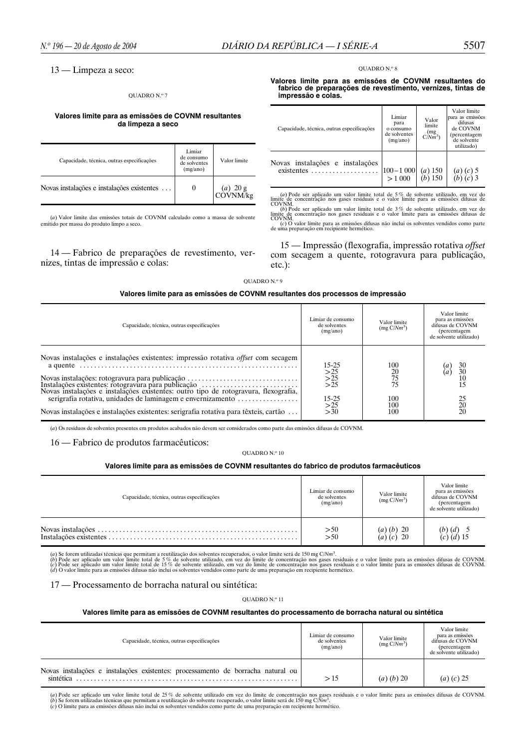13 — Limpeza a seco:

#### OUADRO N.º 7

#### **Valores limite para as emissões de COVNM resultantes da limpeza a seco**

| Capacidade, técnica, outras especificações | Limiar<br>de consumo<br>de solventes<br>(mg/ano) | Valor limite           |
|--------------------------------------------|--------------------------------------------------|------------------------|
| Novas instalações e instalações existentes |                                                  | $(a) 20 g$<br>COVNM/kg |

(*a*) Valor limite das emissões totais de COVNM calculado como a massa de solvente emitido por massa do produto limpo a seco.

14 — Fabrico de preparações de revestimento, vernizes, tintas de impressão e colas:

### QUADRO N.o 8

#### **Valores limite para as emissões de COVNM resultantes do fabrico de preparações de revestimento, vernizes, tintas de impressão e colas.**

| Capacidade, técnica, outras especificações         | Limiar<br>para<br>o consumo<br>de solventes<br>(mg/ano) | Valor<br>limite<br>(mg)<br>$C/Nm^3$ | Valor limite<br>para as emissões<br>difusas<br>de COVNM<br>(percentagem<br>de solvente<br>utilizado) |
|----------------------------------------------------|---------------------------------------------------------|-------------------------------------|------------------------------------------------------------------------------------------------------|
| Novas instalações e instalações                    | $ 100 - 1000 $                                          | $(a)$ 150                           | $(a)$ $(c)$ 5                                                                                        |
| $exists \dots \dots \dots \dots \dots \dots \dots$ | > 1000                                                  | (b) 150                             | (b) $(c)$ 3                                                                                          |

(a) Pode ser aplicado um valor limite total de 5 % de solvente utilizado, em vez do limite de concentração nos gases residuais e o valor límite para as emissões difusas de (b) Pode ser aplicado um valor limite total de 3

15 — Impressão (flexografia, impressão rotativa *offset* com secagem a quente, rotogravura para publicação, etc.):

OUADRO N.º 9

### **Valores limite para as emissões de COVNM resultantes dos processos de impressão**

| Capacidade, técnica, outras especificações                                                                                                                                                                                                      | Limiar de consumo<br>de solventes<br>(mg/ano)             | Valor limite<br>$(mg C/Nm^3)$                     | Valor limite<br>para as emissões<br>difusas de COVNM<br>(percentagem<br>de solvente utilizado) |
|-------------------------------------------------------------------------------------------------------------------------------------------------------------------------------------------------------------------------------------------------|-----------------------------------------------------------|---------------------------------------------------|------------------------------------------------------------------------------------------------|
| Novas instalações e instalações existentes: impressão rotativa <i>offset</i> com secagem<br>serigrafia rotativa, unidades de laminagem e envernizamento<br>Novas instalações e instalações existentes: serigrafia rotativa para têxteis, cartão | 15-25<br>$>25$<br>$>25$<br>>25<br>$15 - 25$<br>>25<br>>30 | 100<br>20<br>$\frac{75}{75}$<br>100<br>100<br>100 | 30<br>$\begin{pmatrix} a \\ a \end{pmatrix}$<br>30<br>25<br>20<br>20                           |

(*a*) Os resíduos de solventes presentes em produtos acabados não devem ser considerados como parte das emissões difusas de COVNM.

16 — Fabrico de produtos farmacêuticos:

#### $OIIADRON<sup>o</sup> 10$

### **Valores limite para as emissões de COVNM resultantes do fabrico de produtos farmacêuticos**

| Capacidade, técnica, outras especificações | Limiar de consumo<br>de solventes<br>(mg/ano) | Valor limite<br>$(mg C/Nm^3)$ | Valor limite<br>para as emissões<br>difusas de COVNM<br>(percentagem<br>de solvente utilizado) |
|--------------------------------------------|-----------------------------------------------|-------------------------------|------------------------------------------------------------------------------------------------|
|                                            | >50<br>>50                                    | $(a) (b) 20$<br>$(a) (c) 20$  | ( <i>b</i> ) ( <i>d</i> ) 5<br>( <i>c</i> ) ( <i>d</i> ) 15                                    |

(a) Se forem utilizadas técnicas que permitam a reutilização dos solventes recuperados, o valor limite será de 150 mg C/Nm<sup>3</sup>.<br>(b) Pode ser aplicado um valor limite total de 5 % de solvente utilizado, em vez do limite de c

### 17 — Processamento de borracha natural ou sintética:

### OUADRO N.º 11

### **Valores limite para as emissões de COVNM resultantes do processamento de borracha natural ou sintética**

| Capacidade, técnica, outras especificações                                                    | Limiar de consumo<br>de solventes<br>(mg/ano) | Valor limite<br>$(mg C/Nm^3)$ | Valor limite<br>para as emissões<br>difusas de COVNM<br>(percentagem<br>de solvente utilizado) |
|-----------------------------------------------------------------------------------------------|-----------------------------------------------|-------------------------------|------------------------------------------------------------------------------------------------|
| Novas instalações e instalações existentes: processamento de borracha natural ou<br>sintética | >15                                           | $(a)$ $(b)$ 20                | $(a)$ $(c)$ 25                                                                                 |

(*a*) Pode ser aplicado um valor limite total de 25 % de solvente utilizado em vez do limite de concentração nos gases residuais e o valor limite para as emissões difusas de COVNM. (b) Se forem utilizadas técnicas que permitam a reutilização do solvente recuperado, o valor limite será de 150 mg C/Ñm<sup>3</sup>.<br>(c) O limite para as emissões difusas não inclui os solventes vendidos como parte de uma preparaçã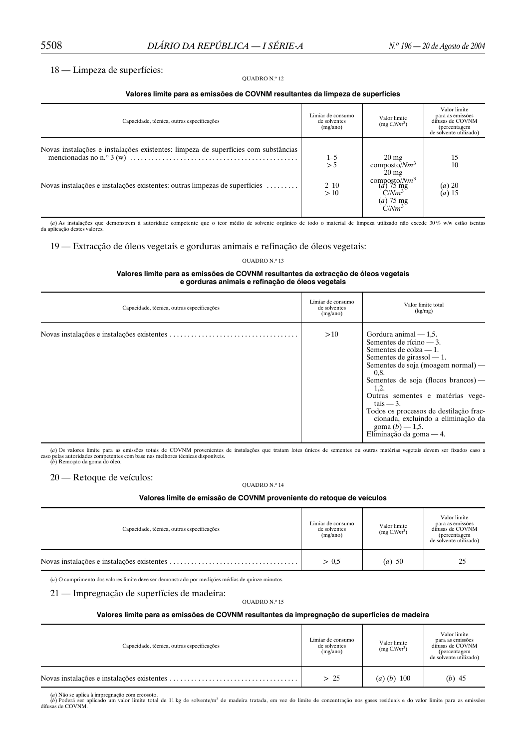### 18 — Limpeza de superfícies:

### QUADRO N.º 12

### **Valores limite para as emissões de COVNM resultantes da limpeza de superfícies**

| Capacidade, técnica, outras especificações                                                                                                                       | Limiar de consumo<br>de solventes<br>(mg/ano) | Valor limite<br>$(mg C/Nm^3)$                                                                                                                     | Valor limite<br>para as emissões<br>difusas de COVNM<br>(percentagem<br>de solvente utilizado) |
|------------------------------------------------------------------------------------------------------------------------------------------------------------------|-----------------------------------------------|---------------------------------------------------------------------------------------------------------------------------------------------------|------------------------------------------------------------------------------------------------|
| Novas instalações e instalações existentes: limpeza de superfícies com substâncias<br>Novas instalações e instalações existentes: outras limpezas de superfícies | $\frac{1-5}{5}$<br>$2 - 10$<br>>10            | $20 \text{ mg}$<br>composto/ $Nm^3$<br>$20 \text{ mg}$<br>composto/ $Nm^3$<br>( <i>d</i> ) 75 mg<br>C/N $m^3$<br>$(a)$ 75 mg<br>C/Nm <sup>3</sup> | 15<br>10<br>(a) 20<br>(a) 15                                                                   |

(*a*) As instalações que demonstrem à autoridade competente que o teor médio de solvente orgânico de todo o material de limpeza utilizado não excede 30% w/w estão isentas da aplicação destes valores.

### 19 — Extracção de óleos vegetais e gorduras animais e refinação de óleos vegetais:

### QUADRO N.º 13

### **Valores limite para as emissões de COVNM resultantes da extracção de óleos vegetais e gorduras animais e refinação de óleos vegetais**

| Capacidade, técnica, outras especificações | Limiar de consumo<br>de solventes<br>(mg/ano) | Valor limite total<br>(kg/mg)                                                                                                                                                                                                                                                                                                                                                                      |
|--------------------------------------------|-----------------------------------------------|----------------------------------------------------------------------------------------------------------------------------------------------------------------------------------------------------------------------------------------------------------------------------------------------------------------------------------------------------------------------------------------------------|
|                                            | >10                                           | Gordura animal $-1.5$ .<br>Sementes de rícino $-3$ .<br>Sementes de colza $-1$ .<br>Sementes de girasso $l - 1$ .<br>Sementes de soja (moagem normal) —<br>0.8.<br>Sementes de soja (flocos brancos) —<br>1,2.<br>Outras sementes e matérias vege-<br>tais $-3$ .<br>Todos os processos de destilação frac-<br>cionada, excluindo a eliminação da<br>goma $(b) - 1.5$ .<br>Eliminação da goma — 4. |

(a) Os valores limite para as emissões totais de COVNM provenientes de instalações que tratam lotes únicos de sementes ou outras matérias vegetais devem ser fixados caso a<br>caso pelas autoridades competentes com base nas me

### 20 — Retoque de veículos:

### QUADRO N.º 14

### **Valores limite de emissão de COVNM proveniente do retoque de veículos**

| Capacidade, técnica, outras especificações | Limiar de consumo<br>de solventes<br>(mg/ano) | Valor limite<br>$(mg C/Nm^3)$ | Valor limite<br>para as emissões<br>difusas de COVNM<br>(percentagem<br>de solvente utilizado) |
|--------------------------------------------|-----------------------------------------------|-------------------------------|------------------------------------------------------------------------------------------------|
|                                            | > 0.5                                         | (a) 50                        |                                                                                                |

(*a*) O cumprimento dos valores limite deve ser demonstrado por medições médias de quinze minutos.

### 21 — Impregnação de superfícies de madeira:

### QUADRO N.º 15

### **Valores limite para as emissões de COVNM resultantes da impregnação de superfícies de madeira**

| Capacidade, técnica, outras especificações | Limiar de consumo<br>de solventes<br>(mg/ano) | Valor limite<br>$(mg C/Nm^3)$ | Valor limite<br>para as emissões<br>difusas de COVNM<br>(percentagem<br>de solvente utilizado) |
|--------------------------------------------|-----------------------------------------------|-------------------------------|------------------------------------------------------------------------------------------------|
|                                            | > 25                                          | $(a)$ (b) 100                 | $(b)$ 45                                                                                       |

(*a*) Não se aplica à impregnação com creosoto.

(*b*) Poderá ser aplicado um valor limite total de 11 kg de solvente/m3 de madeira tratada, em vez do limite de concentração nos gases residuais e do valor limite para as emissões difusas de COVNM.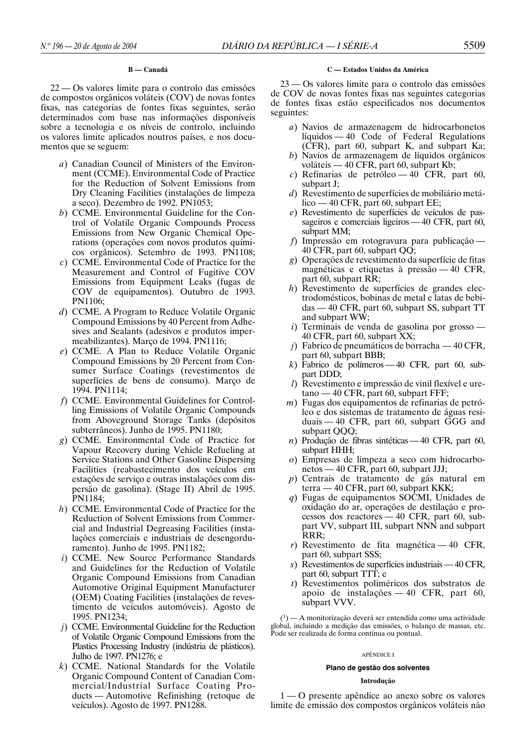### **B — Canadá**

22 — Os valores limite para o controlo das emissões de compostos orgânicos voláteis (COV) de novas fontes fixas, nas categorias de fontes fixas seguintes, serão determinados com base nas informações disponíveis sobre a tecnologia e os níveis de controlo, incluindo os valores limite aplicados noutros países, e nos documentos que se seguem:

- *a*) Canadian Council of Ministers of the Environment (CCME). Environmental Code of Practice for the Reduction of Solvent Emissions from Dry Cleaning Facilities (instalações de limpeza a seco). Dezembro de 1992. PN1053;
- *b*) CCME. Environmental Guideline for the Control of Volatile Organic Compounds Process Emissions from New Organic Chemical Operations (operações com novos produtos químicos orgânicos). Setembro de 1993. PN1108;
- *c*) CCME. Environmental Code of Practice for the Measurement and Control of Fugitive COV Emissions from Equipment Leaks (fugas de COV de equipamentos). Outubro de 1993. PN1106;
- *d*) CCME. A Program to Reduce Volatile Organic Compound Emissions by 40 Percent from Adhesives and Sealants (adesivos e produtos impermeabilizantes). Março de 1994. PN1116;
- *e*) CCME. A Plan to Reduce Volatile Organic Compound Emissions by 20 Percent from Consumer Surface Coatings (revestimentos de superfícies de bens de consumo). Março de 1994. PN1114;
- *f*) CCME. Environmental Guidelines for Controlling Emissions of Volatile Organic Compounds from Aboveground Storage Tanks (depósitos subterrâneos). Junho de 1995. PN1180;
- *g*) CCME. Environmental Code of Practice for Vapour Recovery during Vehicle Refueling at Service Stations and Other Gasoline Dispersing Facilities (reabastecimento dos veículos em estações de serviço e outras instalações com dispersão de gasolina). (Stage II) Abril de 1995. PN1184;
- *h*) CCME. Environmental Code of Practice for the Reduction of Solvent Emissions from Commercial and Industrial Degreasing Facilities (instalações comerciais e industriais de desengorduramento). Junho de 1995. PN1182;
- *i*) CCME. New Source Performance Standards and Guidelines for the Reduction of Volatile Organic Compound Emissions from Canadian Automotive Original Equipment Manufacturer (OEM) Coating Facilities (instalações de revestimento de veículos automóveis). Agosto de 1995. PN1234;
- *j*) CCME. Environmental Guideline for the Reduction of Volatile Organic Compound Emissions from the Plastics Processing Industry (indústria de plásticos). Julho de 1997. PN1276; e
- *k*) CCME. National Standards for the Volatile Organic Compound Content of Canadian Commercial/Industrial Surface Coating Products — Automotive Refinishing (retoque de veículos). Agosto de 1997. PN1288.

#### **C — Estados Unidos da América**

23 — Os valores limite para o controlo das emissões de COV de novas fontes fixas nas seguintes categorias de fontes fixas estão especificados nos documentos seguintes:

- *a*) Navios de armazenagem de hidrocarbonetos líquidos — 40 Code of Federal Regulations (CFR), part 60, subpart K, and subpart Ka;
- *b*) Navios de armazenagem de líquidos orgânicos voláteis — 40 CFR, part 60, subpart Kb;
- *c*) Refinarias de petróleo 40 CFR, part 60, subpart J;
- *d*) Revestimento de superfícies de mobiliário metálico — 40 CFR, part 60, subpart EE;
- *e*) Revestimento de superfícies de veículos de passageiros e comerciais ligeiros — 40 CFR, part 60, subpart MM;
- *f*) Impressão em rotogravura para publicação 40 CFR, part 60, subpart QQ;
- *g*) Operações de revestimento da superfície de fitas magnéticas e etiquetas à pressão — 40 CFR, part 60, subpart RR;
- *h*) Revestimento de superfícies de grandes electrodomésticos, bobinas de metal e latas de bebidas — 40 CFR, part 60, subpart SS, subpart TT and subpart WW;
- *i*) Terminais de venda de gasolina por grosso 40 CFR, part 60, subpart XX;
- *j*) Fabrico de pneumáticos de borracha 40 CFR, part 60, subpart BBB;
- *k*) Fabrico de polímeros 40 CFR, part 60, subpart DDD;
- *l*) Revestimento e impressão de vinil flexível e uretano — 40 CFR, part 60, subpart FFF;
- *m*) Fugas dos equipamentos de refinarias de petróleo e dos sistemas de tratamento de águas residuais — 40 CFR, part 60, subpart GGG and subpart QQQ;
- *n*) Produção de fibras sintéticas 40 CFR, part 60, subpart HHH;
- *o*) Empresas de limpeza a seco com hidrocarbonetos — 40 CFR, part 60, subpart JJJ;
- *p*) Centrais de tratamento de gás natural em terra — 40 CFR, part 60, subpart KKK;
- *q*) Fugas de equipamentos SOCMI, Unidades de oxidação do ar, operações de destilação e processos dos reactores — 40 CFR, part 60, subpart VV, subpart III, subpart NNN and subpart RRR;
- *r*) Revestimento de fita magnética 40 CFR, part 60, subpart SSS;
- *s*) Revestimentos de superfícies industriais 40 CFR, part 60, subpart TTT; e
- *t*) Revestimentos poliméricos dos substratos de apoio de instalações — 40 CFR, part 60, subpart VVV.

 $(^1$ ) — A monitorização deverá ser entendida como uma actividade global, incluindo a medição das emissões, o balanço de massas, etc. Pode ser realizada de forma contínua ou pontual.

### APÊNDICE I

### **Plano de gestão dos solventes**

### **Introdução**

1 — O presente apêndice ao anexo sobre os valores limite de emissão dos compostos orgânicos voláteis não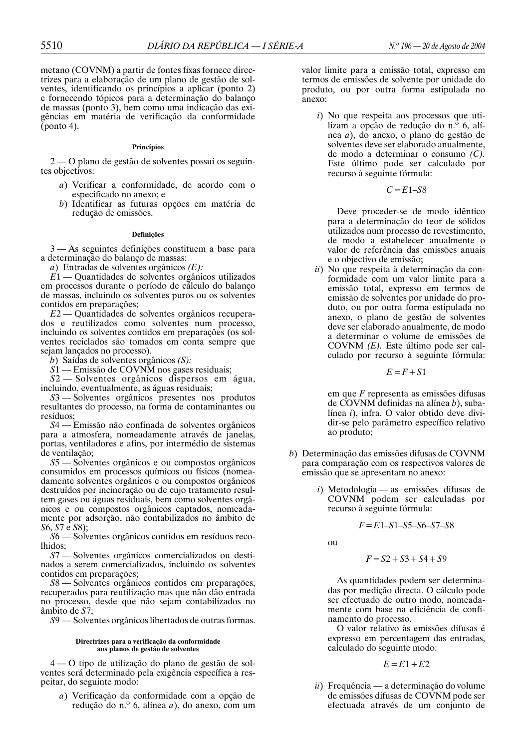metano (COVNM) a partir de fontes fixas fornece directrizes para a elaboração de um plano de gestão de solventes, identificando os princípios a aplicar (ponto 2) e fornecendo tópicos para a determinação do balanço de massas (ponto 3), bem como uma indicação das exigências em matéria de verificação da conformidade (ponto 4).

### **Princípios**

2 — O plano de gestão de solventes possui os seguintes objectivos:

- *a*) Verificar a conformidade, de acordo com o especificado no anexo; e
- *b*) Identificar as futuras opções em matéria de redução de emissões.

### **Definições**

3 — As seguintes definições constituem a base para a determinação do balanço de massas:

*a*) Entradas de solventes orgânicos *(E):*

*E*1 — Quantidades de solventes orgânicos utilizados em processos durante o período de cálculo do balanço de massas, incluindo os solventes puros ou os solventes contidos em preparações;

*E*2 — Quantidades de solventes orgânicos recuperados e reutilizados como solventes num processo, incluindo os solventes contidos em preparações (os solventes reciclados são tomados em conta sempre que sejam lançados no processo).

*b*) Saídas de solventes orgânicos *(S):*

*S*1 — Emissão de COVNM nos gases residuais;

*S*2 — Solventes orgânicos dispersos em água, incluindo, eventualmente, as águas residuais;

*S*3 — Solventes orgânicos presentes nos produtos resultantes do processo, na forma de contaminantes ou resíduos;

*S*4 — Emissão não confinada de solventes orgânicos para a atmosfera, nomeadamente através de janelas, portas, ventiladores e afins, por intermédio de sistemas de ventilação;

*S*5 — Solventes orgânicos e ou compostos orgânicos consumidos em processos químicos ou físicos (nomeadamente solventes orgânicos e ou compostos orgânicos destruídos por incineração ou de cujo tratamento resultem gases ou águas residuais, bem como solventes orgânicos e ou compostos orgânicos captados, nomeadamente por adsorção, não contabilizados no âmbito de *S*6, *S*7 e *S*8);

*S*6 — Solventes orgânicos contidos em resíduos recolhidos;

*S*7 — Solventes orgânicos comercializados ou destinados a serem comercializados, incluindo os solventes contidos em preparações;

*S*8 — Solventes orgânicos contidos em preparações, recuperados para reutilização mas que não dão entrada no processo, desde que não sejam contabilizados no âmbito de *S*7;

*S*9 — Solventes orgânicos libertados de outras formas.

#### **Directrizes para a verificação da conformidade aos planos de gestão de solventes**

4 — O tipo de utilização do plano de gestão de solventes será determinado pela exigência específica a respeitar, do seguinte modo:

*a*) Verificação da conformidade com a opção de redução do n.º 6, alínea *a*), do anexo, com um valor limite para a emissão total, expresso em termos de emissões de solvente por unidade do produto, ou por outra forma estipulada no anexo:

*i*) No que respeita aos processos que utilizam a opção de redução do n. $\overline{0}$  6, alínea *a*), do anexo, o plano de gestão de solventes deve ser elaborado anualmente, de modo a determinar o consumo *(C).* Este último pode ser calculado por recurso à seguinte fórmula:

$$
C = E1 - S8
$$

Deve proceder-se de modo idêntico para a determinação do teor de sólidos utilizados num processo de revestimento, de modo a estabelecer anualmente o valor de referência das emissões anuais e o objectivo de emissão;

*ii*) No que respeita à determinação da conformidade com um valor limite para a emissão total, expresso em termos de emissão de solventes por unidade do produto, ou por outra forma estipulada no anexo, o plano de gestão de solventes deve ser elaborado anualmente, de modo a determinar o volume de emissões de COVNM *(E).* Este último pode ser calculado por recurso à seguinte fórmula:

$$
E = F + S1
$$

em que *F* representa as emissões difusas de COVNM definidas na alínea *b*), subalínea *i*), infra. O valor obtido deve dividir-se pelo parâmetro específico relativo ao produto;

- *b*) Determinação das emissões difusas de COVNM para comparação com os respectivos valores de emissão que se apresentam no anexo:
	- *i*) Metodologia as emissões difusas de COVNM podem ser calculadas por recurso à seguinte fórmula:

$$
F = E1 - S1 - S5 - S6 - S7 - S8
$$

ou

$$
F = S2 + S3 + S4 + S9
$$

As quantidades podem ser determinadas por medição directa. O cálculo pode ser efectuado de outro modo, nomeadamente com base na eficiência de confinamento do processo.

O valor relativo às emissões difusas é expresso em percentagem das entradas, calculado do seguinte modo:

$$
E = E1 + E2
$$

*ii*) Frequência — a determinação do volume de emissões difusas de COVNM pode ser efectuada através de um conjunto de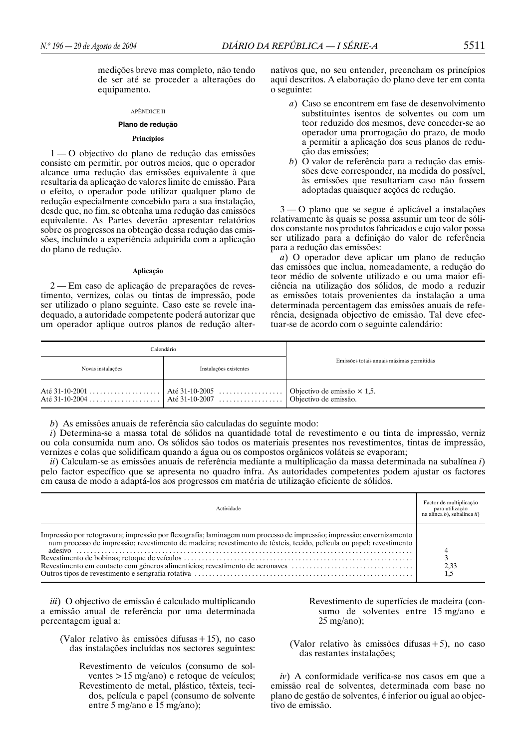medições breve mas completo, não tendo de ser até se proceder a alterações do equipamento.

#### APÊNDICE II

### **Plano de redução**

#### **Princípios**

1 — O objectivo do plano de redução das emissões consiste em permitir, por outros meios, que o operador alcance uma redução das emissões equivalente à que resultaria da aplicação de valores limite de emissão. Para o efeito, o operador pode utilizar qualquer plano de redução especialmente concebido para a sua instalação, desde que, no fim, se obtenha uma redução das emissões equivalente. As Partes deverão apresentar relatórios sobre os progressos na obtenção dessa redução das emissões, incluindo a experiência adquirida com a aplicação do plano de redução.

#### **Aplicação**

2 — Em caso de aplicação de preparações de revestimento, vernizes, colas ou tintas de impressão, pode ser utilizado o plano seguinte. Caso este se revele inadequado, a autoridade competente poderá autorizar que um operador aplique outros planos de redução alternativos que, no seu entender, preencham os princípios aqui descritos. A elaboração do plano deve ter em conta o seguinte:

- *a*) Caso se encontrem em fase de desenvolvimento substituintes isentos de solventes ou com um teor reduzido dos mesmos, deve conceder-se ao operador uma prorrogação do prazo, de modo a permitir a aplicação dos seus planos de redução das emissões;
- *b*) O valor de referência para a redução das emissões deve corresponder, na medida do possível, às emissões que resultariam caso não fossem adoptadas quaisquer acções de redução.

3 — O plano que se segue é aplicável a instalações relativamente às quais se possa assumir um teor de sólidos constante nos produtos fabricados e cujo valor possa ser utilizado para a definição do valor de referência para a redução das emissões:

*a*) O operador deve aplicar um plano de redução das emissões que inclua, nomeadamente, a redução do teor médio de solvente utilizado e ou uma maior eficiência na utilização dos sólidos, de modo a reduzir as emissões totais provenientes da instalação a uma determinada percentagem das emissões anuais de referência, designada objectivo de emissão. Tal deve efectuar-se de acordo com o seguinte calendário:

|                   | Calendário             |                                           |
|-------------------|------------------------|-------------------------------------------|
| Novas instalações | Instalações existentes | Emissões totais anuais máximas permitidas |
|                   |                        |                                           |

*b*) As emissões anuais de referência são calculadas do seguinte modo:

*i*) Determina-se a massa total de sólidos na quantidade total de revestimento e ou tinta de impressão, verniz ou cola consumida num ano. Os sólidos são todos os materiais presentes nos revestimentos, tintas de impressão, vernizes e colas que solidificam quando a água ou os compostos orgânicos voláteis se evaporam;

*ii*) Calculam-se as emissões anuais de referência mediante a multiplicação da massa determinada na subalínea *i*) pelo factor específico que se apresenta no quadro infra. As autoridades competentes podem ajustar os factores em causa de modo a adaptá-los aos progressos em matéria de utilização eficiente de sólidos.

| Actividade                                                                                                                                                                                                                                   | Factor de multiplicação<br>para utilização<br>na alínea $b$ ), subalínea $ii$ ) |
|----------------------------------------------------------------------------------------------------------------------------------------------------------------------------------------------------------------------------------------------|---------------------------------------------------------------------------------|
| Impressão por retogravura; impressão por flexografia; laminagem num processo de impressão; impressão; envernizamento<br>num processo de impressão, revestimento de madeira; revestimento de têxteis, tecido, película ou papel; revestimento | 2,33                                                                            |

*iii*) O objectivo de emissão é calculado multiplicando a emissão anual de referência por uma determinada percentagem igual a:

(Valor relativo às emissões difusas+15), no caso das instalações incluídas nos sectores seguintes:

Revestimento de veículos (consumo de solventes  $> 15$  mg/ano) e retoque de veículos; Revestimento de metal, plástico, têxteis, tecidos, película e papel (consumo de solvente entre 5 mg/ano e 15 mg/ano);

Revestimento de superfícies de madeira (consumo de solventes entre 15 mg/ano e 25 mg/ano);

(Valor relativo às emissões difusas+5), no caso das restantes instalações;

*iv*) A conformidade verifica-se nos casos em que a emissão real de solventes, determinada com base no plano de gestão de solventes, é inferior ou igual ao objectivo de emissão.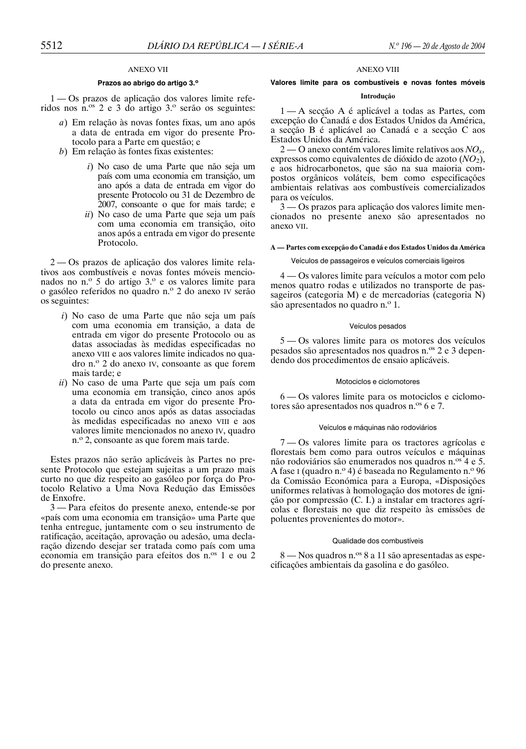### ANEXO VII

### **Prazos ao abrigo do artigo 3.o**

1 — Os prazos de aplicação dos valores limite referidos nos n. $\delta$  2 e 3 do artigo 3. $\delta$  serão os seguintes:

- *a*) Em relação às novas fontes fixas, um ano após a data de entrada em vigor do presente Protocolo para a Parte em questão; e
- *b*) Em relação às fontes fixas existentes:
	- *i*) No caso de uma Parte que não seja um país com uma economia em transição, um ano após a data de entrada em vigor do presente Protocolo ou 31 de Dezembro de 2007, consoante o que for mais tarde; e
	- *ii*) No caso de uma Parte que seja um país com uma economia em transição, oito anos após a entrada em vigor do presente Protocolo.

2 — Os prazos de aplicação dos valores limite relativos aos combustíveis e novas fontes móveis mencionados no n.º 5 do artigo 3.º e os valores limite para o gasóleo referidos no quadro n.º 2 do anexo IV serão os seguintes:

- *i*) No caso de uma Parte que não seja um país com uma economia em transição, a data de entrada em vigor do presente Protocolo ou as datas associadas às medidas especificadas no anexo VIII e aos valores limite indicados no qua $d$ ro n. $^{\circ}$  2 do anexo IV, consoante as que forem mais tarde; e
- *ii*) No caso de uma Parte que seja um país com uma economia em transição, cinco anos após a data da entrada em vigor do presente Protocolo ou cinco anos após as datas associadas às medidas especificadas no anexo VIII e aos valores limite mencionados no anexo IV, quadro n.<sup>o</sup> 2, consoante as que forem mais tarde.

Estes prazos não serão aplicáveis às Partes no presente Protocolo que estejam sujeitas a um prazo mais curto no que diz respeito ao gasóleo por força do Protocolo Relativo a Uma Nova Redução das Emissões de Enxofre.

3 — Para efeitos do presente anexo, entende-se por «país com uma economia em transição» uma Parte que tenha entregue, juntamente com o seu instrumento de ratificação, aceitação, aprovação ou adesão, uma declaração dizendo desejar ser tratada como país com uma economia em transição para efeitos dos n.<sup>os</sup> 1 e ou 2 do presente anexo.

### ANEXO VIII

# **Valores limite para os combustíveis e novas fontes móveis**

### **Introdução**

1 — A secção A é aplicável a todas as Partes, com excepção do Canadá e dos Estados Unidos da América, a secção B é aplicável ao Canadá e a secção C aos Estados Unidos da América.

2 — O anexo contém valores limite relativos aos *NOx ,* expressos como equivalentes de dióxido de azoto (*NO*2), e aos hidrocarbonetos, que são na sua maioria compostos orgânicos voláteis, bem como especificações ambientais relativas aos combustíveis comercializados para os veículos.

3 — Os prazos para aplicação dos valores limite mencionados no presente anexo são apresentados no anexo VII.

### **A — Partes com excepção do Canadá e dos Estados Unidos da América**

#### Veículos de passageiros e veículos comerciais ligeiros

4 — Os valores limite para veículos a motor com pelo menos quatro rodas e utilizados no transporte de passageiros (categoria M) e de mercadorias (categoria N) são apresentados no quadro n.º 1.

#### Veículos pesados

5 — Os valores limite para os motores dos veículos pesados são apresentados nos quadros n.<sup>os</sup> 2 e 3 dependendo dos procedimentos de ensaio aplicáveis.

#### Motociclos e ciclomotores

6 — Os valores limite para os motociclos e ciclomotores são apresentados nos quadros n.<sup>os</sup> 6 e 7.

#### Veículos e máquinas não rodoviários

7 — Os valores limite para os tractores agrícolas e florestais bem como para outros veículos e máquinas não rodoviários são enumerados nos quadros n.<sup>os 4</sup> e 5. A fase I (quadro n.º 4) é baseada no Regulamento n.º 96 da Comissão Económica para a Europa, «Disposições uniformes relativas à homologação dos motores de ignição por compressão (C. I.) a instalar em tractores agrícolas e florestais no que diz respeito às emissões de poluentes provenientes do motor».

#### Qualidade dos combustíveis

8 — Nos quadros n.<sup>os</sup> 8 a 11 são apresentadas as especificações ambientais da gasolina e do gasóleo.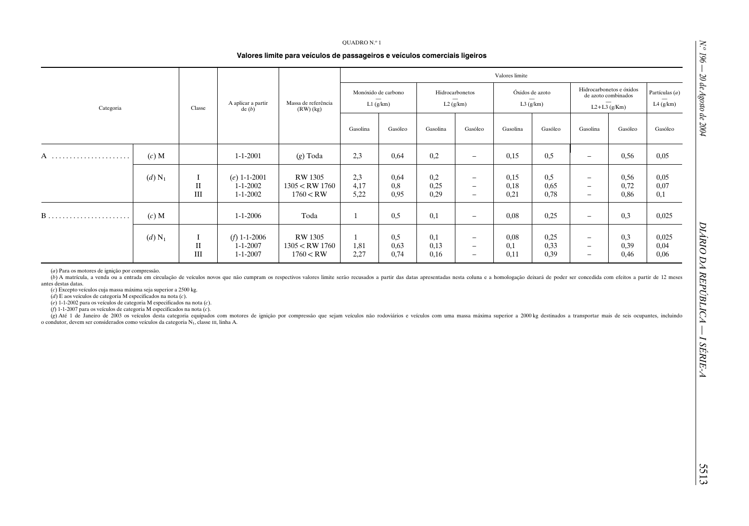### **Valores limite para veículos de passageiros <sup>e</sup> veículos comerciais ligeiros**

|                 |                      |                                       |                                                    |                                                 |                     | Valores limite              |                     |                                                                           |                      |                                                                  |                                                                                  |                               |                       |
|-----------------|----------------------|---------------------------------------|----------------------------------------------------|-------------------------------------------------|---------------------|-----------------------------|---------------------|---------------------------------------------------------------------------|----------------------|------------------------------------------------------------------|----------------------------------------------------------------------------------|-------------------------------|-----------------------|
| Categoria       |                      | A aplicar a partir<br>Classe<br>de(b) | Massa de referência<br>(RW)(kg)                    | Monóxido de carbono<br>L1(g/km)                 |                     | Hidrocarbonetos<br>L2(g/km) |                     | Óxidos de azoto<br>L3(g/km)                                               |                      | Hidrocarbonetos e óxidos<br>de azoto combinados<br>$L2+L3(g/Km)$ |                                                                                  | Partículas (a)<br>L4 $(g/km)$ |                       |
|                 |                      |                                       |                                                    |                                                 | Gasolina            | Gasóleo                     | Gasolina            | Gasóleo                                                                   | Gasolina             | Gasóleo                                                          | Gasolina                                                                         | Gasóleo                       | Gasóleo               |
| A               | $(c)$ M              |                                       | $1 - 1 - 2001$                                     | $(g)$ Toda                                      | 2,3                 | 0,64                        | 0,2                 | $\qquad \qquad -$                                                         | 0.15                 | 0.5                                                              | $\overline{\phantom{m}}$                                                         | 0,56                          | 0,05                  |
|                 | $(d)$ N <sub>1</sub> | $_{II}$<br>III                        | $(e)$ 1-1-2001<br>$1 - 1 - 2002$<br>$1 - 1 - 2002$ | <b>RW</b> 1305<br>$1305 <$ RW 1760<br>1760 < RW | 2,3<br>4,17<br>5,22 | 0,64<br>0,8<br>0,95         | 0,2<br>0,25<br>0,29 | $\overline{\phantom{0}}$<br>$\overline{\phantom{0}}$<br>$\qquad \qquad -$ | 0,15<br>0,18<br>0,21 | 0.5<br>0.65<br>0,78                                              | $\overline{\phantom{m}}$<br>$\overline{\phantom{m}}$<br>$\overline{\phantom{m}}$ | 0,56<br>0,72<br>0,86          | 0,05<br>0,07<br>0,1   |
| $B \ldots$<br>. | $(c)$ M              |                                       | $1 - 1 - 2006$                                     | Toda                                            | -1                  | 0,5                         | 0,1                 | $\overline{\phantom{0}}$                                                  | 0,08                 | 0,25                                                             | -                                                                                | 0,3                           | 0,025                 |
|                 | $(d)$ N <sub>1</sub> | $\mathbf{I}$<br>III                   | $(f)$ 1-1-2006<br>$1 - 1 - 2007$<br>$1 - 1 - 2007$ | <b>RW</b> 1305<br>$1305 <$ RW 1760<br>1760 < RW | 1,81<br>2,27        | 0,5<br>0,63<br>0,74         | 0,1<br>0,13<br>0,16 | $\overline{\phantom{0}}$                                                  | 0,08<br>0,1<br>0,11  | 0,25<br>0,33<br>0,39                                             | -<br>$\qquad \qquad -$<br>-                                                      | 0,3<br>0,39<br>0,46           | 0,025<br>0,04<br>0,06 |

(*a*) Para os motores de ignição por compressão.

(b) A matrícula, a venda ou a entrada em circulação de veículos novos que não cumpram os respectivos valores limite serão recusados a partir das datas apresentadas nesta coluna e a homologação deixará de poder ser concedid antes destas datas.

(*c*) Excepto veículos cuja massa máxima seja superior <sup>a</sup> 2500 kg.

(*d*) <sup>E</sup> aos veículos de categoria <sup>M</sup> especificados na nota (*c*). (*e*) 1-1-2002 para os veículos de categoria <sup>M</sup> especificados na nota (*c*).

(*f*) 1-1-2007 para os veículos de categoria <sup>M</sup> especificados na nota (*c*).

(g) Até 1 de Janeiro de 2003 os veículos desta categoria equipados com motores de ignição por compressão que sejam veículos não rodoviários e veículos com uma massa máxima superior a 2000 kg destinados a transportar mais d <sup>o</sup> condutor, devem ser considerados como veículos da categoria N1, classe III, linha A.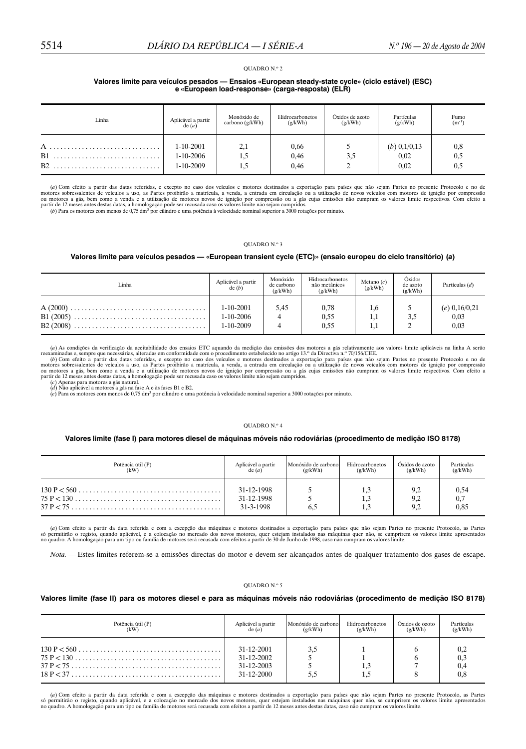#### **Valores limite para veículos pesados — Ensaios «European steady-state cycle» (ciclo estável) (ESC) e «European load-response» (carga-resposta) (ELR)**

| Linha             | Aplicável a partir                  | Monóxido de       | Hidrocarbonetos      | Óxidos de azoto | Partículas                     | Fumo              |
|-------------------|-------------------------------------|-------------------|----------------------|-----------------|--------------------------------|-------------------|
|                   | de(a)                               | carbono $(g/kWh)$ | (g/kWh)              | (g/kWh)         | (g/kWh)                        | $(m^{-1})$        |
| $A$<br>$B1$<br>B2 | 1-10-2001<br>1-10-2006<br>1-10-2009 | 2,1<br>1,5<br>1,5 | 0,66<br>0,46<br>0,46 | 3,5             | (b) $0,1/0,13$<br>0,02<br>0,02 | 0,8<br>0,5<br>0,5 |

(a) Com efeito a partir das datas referidas, e excepto no caso dos veículos e motores destinados a exportação para países que não sejam Partes no presente Protocolo e no de<br>motores sobressalentes de veículos a uso, as Part

(*b*) Para os motores com menos de 0,75 dm<sup>3</sup> por cilindro e uma potência à velocidade nominal superior a 3000 rotações por minuto.

#### QUADRO N.º 3

#### **Valores limite para veículos pesados — «European transient cycle (ETC)» (ensaio europeu do ciclo transitório) (***a***)**

| Linha | Aplicável a partir<br>de(b)           | Monóxido<br>de carbono<br>(g/kWh) | Hidrocarbonetos<br>não metânicos<br>(g/kWh) | Metano $(c)$<br>(g/kWh) | Oxidos<br>de azoto<br>(g/kWh) | Partículas $(d)$                |
|-------|---------------------------------------|-----------------------------------|---------------------------------------------|-------------------------|-------------------------------|---------------------------------|
|       | 1-10-2001<br>$1-10-2006$<br>1-10-2009 | 5,45                              | 0,78<br>0,55<br>0,55                        | 1,6<br>1.1<br>1.1       | 3.5                           | $(e)$ 0,16/0,21<br>0,03<br>0,03 |

(a) As condições da verificação da aceitabilidade dos ensaios ETC aquando da medição das emissões dos motores a gás relativamente aos valores limite aplicáveis na linha A serão<br>reexaminadas e, sempre que necessárias, alter

ou motores a gás, bem como a venda e a utilização de motores novos de ignição por compressão ou a gás cujas emissões não cumpram os valores limite respectivos. Com efeito a<br>partir de 12 meses antes destas datas, a homologa

(*c*) Apenas para motores a gás natural. (*d*) Não aplicável a motores a gás na fase A e às fases B1 e B2.

(*e*) Para os motores com menos de 0,75 dm3 por cilindro e uma potência à velocidade nominal superior a 3000 rotações por minuto.

#### QUADRO N.o 4

#### **Valores limite (fase I) para motores diesel de máquinas móveis não rodoviárias (procedimento de medição ISO 8178)**

| Potência útil (P)                                                                                                                                                                                                     | Aplicável a partir                    | Monóxido de carbono | Hidrocarbonetos | Óxidos de azoto   | Partículas          |
|-----------------------------------------------------------------------------------------------------------------------------------------------------------------------------------------------------------------------|---------------------------------------|---------------------|-----------------|-------------------|---------------------|
| (kW)                                                                                                                                                                                                                  | de(a)                                 | (g/kWh)             | (g/kWh)         | (g/kWh)           | (g/kWh)             |
| $130 \text{ P} < 560 \ldots \ldots \ldots \ldots \ldots \ldots \ldots \ldots \ldots \ldots \ldots \ldots$<br>$75 \text{ P} < 130 \ldots \ldots \ldots \ldots \ldots \ldots \ldots \ldots \ldots \ldots \ldots \ldots$ | 31-12-1998<br>31-12-1998<br>31-3-1998 | 6.5                 |                 | 9,2<br>9,2<br>9.2 | 0,54<br>0,7<br>0.85 |

(a) Com efeito a partir da data referida e com a excepção das máquinas e motores destinados a exportação para países que não sejam Partes no presente Protocolo, as Partes no presente Protocolo, as Partes no presente de de

*Nota.* — Estes limites referem-se a emissões directas do motor e devem ser alcançados antes de qualquer tratamento dos gases de escape.

#### QUADRO N.o 5

#### **Valores limite (fase II) para os motores diesel e para as máquinas móveis não rodoviárias (procedimento de medição ISO 8178)**

| Potência útil (P)                                                                                                                                                                                                                                                                                                        | Aplicável a partir<br>de $(a)$                       | Monóxido de carbonol | Hidrocarbonetos                 | Óxidos de ozoto | Partículas |
|--------------------------------------------------------------------------------------------------------------------------------------------------------------------------------------------------------------------------------------------------------------------------------------------------------------------------|------------------------------------------------------|----------------------|---------------------------------|-----------------|------------|
| (kW)                                                                                                                                                                                                                                                                                                                     |                                                      | (g/kWh)              | $\left(\frac{\rho}{kWh}\right)$ | (g/kWh)         | (g/kWh)    |
| $130 \text{ P} < 560 \ldots \ldots \ldots \ldots \ldots \ldots \ldots \ldots \ldots \ldots \ldots$<br>$75 \text{ P} < 130 \ldots \ldots \ldots \ldots \ldots \ldots \ldots \ldots \ldots \ldots \ldots \ldots$<br>$18 P < 37 \ldots \ldots \ldots \ldots \ldots \ldots \ldots \ldots \ldots \ldots \ldots \ldots \ldots$ | 31-12-2001<br>31-12-2002<br>31-12-2003<br>31-12-2000 |                      |                                 |                 |            |

(*a*) Com efeito a partir da data referida e com a excepção das máquinas e motores destinados a exportação para países que não sejam Partes no presente Protocolo, as Partes só permitirão o registo, quando aplicável, e a colocação no mercado dos novos motores, quer estejam instalados nas máquinas quer não, se cumprirem os valores limite apresentados<br>no quadro. A homologação para um tipo ou fam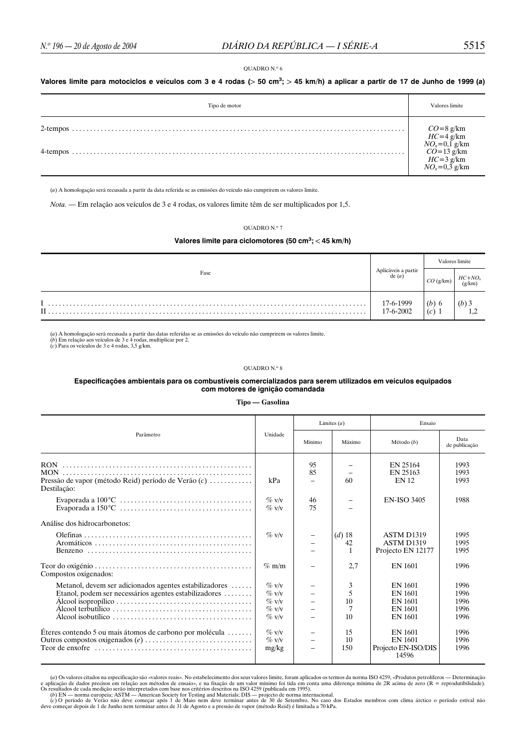**Valores limite para motociclos e veículos com3e4 rodas (**1 **50 cm3;** 1 **45 km/h) a aplicar a partir de 17 de Junho de 1999 (***a***)**

| Tipo de motor        | Valores limite                                                                                  |
|----------------------|-------------------------------------------------------------------------------------------------|
| 2-tempos<br>4-tempos | $CO=8$ g/km<br>$HC=4$ g/km<br>$NO_x=0,1$ g/km<br>$CO=13$ g/km<br>$HC=3$ g/km<br>$NO_x=0,3$ g/km |

(*a*) A homologação será recusada a partir da data referida se as emissões do veículo não cumprirem os valores limite.

*Nota.* — Em relação aos veículos de 3 e 4 rodas, os valores limite têm de ser multiplicados por 1,5.

#### QUADRO N.º 7

### **Valores limite para ciclomotores (50 cm3;** ! **45 km/h)**

|       |                                 | Valores limite |                       |
|-------|---------------------------------|----------------|-----------------------|
| Fase  | Aplicáveis a partir<br>de $(a)$ | $CO$ (g/km)    | $HC + NO_x$<br>(g/km) |
| $\Pi$ | 17-6-1999<br>17-6-2002          | (b)6<br>(c)    | $(b)$ 3               |

(*a*) A homologação será recusada a partir das datas referidas se as emissões do veículo não cumprirem os valores limite. (*b*) Em relação aos veículos de3e4 rodas, multiplicar por 2.

(*c*) Para os veículos de3e4 rodas, 3,5 g/km.

#### QUADRO N.º 8

### **Especificações ambientais para os combustíveis comercializados para serem utilizados em veículos equipados com motores de ignição comandada**

### **Tipo — Gasolina**

|                                                                                                                 |                                                          | Limites $(a)$ |                     | Ensaio                                              |                                      |
|-----------------------------------------------------------------------------------------------------------------|----------------------------------------------------------|---------------|---------------------|-----------------------------------------------------|--------------------------------------|
| Parâmetro                                                                                                       | Unidade                                                  | Mínimo        | Máximo              | Método $(b)$                                        | Data<br>de publicação                |
| Pressão de vapor (método Reid) período de Verão $(c)$<br>Destilação:                                            | kPa                                                      | 95<br>85      | 60                  | EN 25164<br>EN 25163<br><b>EN 12</b>                | 1993<br>1993<br>1993                 |
|                                                                                                                 | $\%$ v/v<br>$\%$ v/v                                     | 46<br>75      |                     | <b>EN-ISO 3405</b>                                  | 1988                                 |
| Análise dos hidrocarbonetos:                                                                                    |                                                          |               |                     |                                                     |                                      |
|                                                                                                                 | $\%$ v/v                                                 |               | $(d)$ 18<br>42<br>1 | ASTM D1319<br>ASTM D1319<br>Projecto EN 12177       | 1995<br>1995<br>1995                 |
| Compostos oxigenados:                                                                                           | $\%$ m/m                                                 |               | 2,7                 | EN 1601                                             | 1996                                 |
| Metanol, devem ser adicionados agentes estabilizadores<br>Etanol, podem ser necessários agentes estabilizadores | $\%$ v/v<br>$\%$ v/v<br>$\%$ v/v<br>$\%$ v/v<br>$\%$ v/v |               | 3<br>5<br>10<br>10  | EN 1601<br>EN 1601<br>EN 1601<br>EN 1601<br>EN 1601 | 1996<br>1996<br>1996<br>1996<br>1996 |
| Éteres contendo 5 ou mais átomos de carbono por molécula $\dots\dots$                                           | $\%$ v/v<br>$\%$ v/v<br>mg/kg                            |               | 15<br>10<br>150     | EN 1601<br>EN 1601<br>Projecto EN-ISO/DIS<br>14596  | 1996<br>1996<br>1996                 |

(a) Os valores citados na especificação são «valores reais». No estabelecimento dos seus valores limite, foram aplicados os termos da norma ISO 4259, «Produtos petrolíferos — Determinação و aplicação são «valores relação s

b) EN — norma europeia; ASTM — American Society for Testing and Materials; DIS — projecto de norma internacional.<br>(c) O período de Verão não deve começar após 1 de Maio nem deve terminar antes de 30 de Setembro. No caso do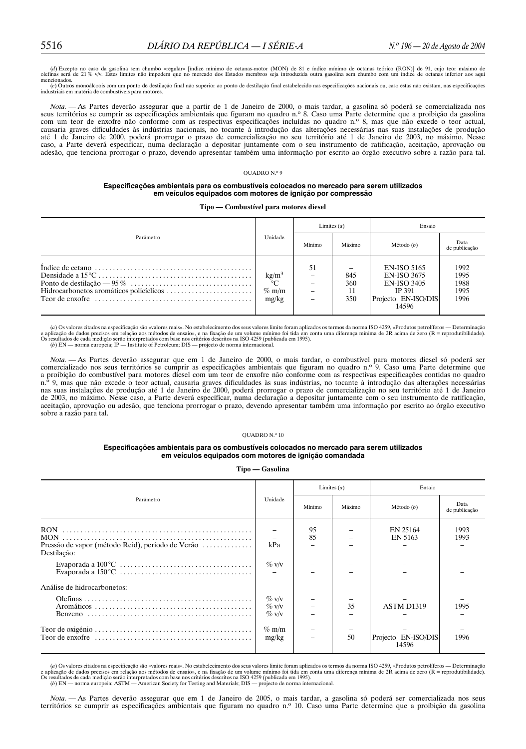(d) Excepto no caso da gasolina sem chumbo «regular» [índice mínimo de octanas-motor (MON) de 81 e índice mínimo de octanas teórico (RON)] de 91, cujo teor máximo de octanas inferior aos aqui<br>olefinas será de 21 % v/v. Est e comunhado com um ponto de destilação final não superior ao ponto de destilação final estabelecido nas especificações nacionais ou, caso estas não existam, nas especificações nacionais ou estas não existam, nas especifica industriais em matéria de combustíveis para motores.

*Nota.* — As Partes deverão assegurar que a partir de 1 de Janeiro de 2000, o mais tardar, a gasolina só poderá se comercializada nos<br>seus territórios se cumprir as especificações ambientais que figuram no quadro n.º 8. Ca com um teor de enxofre não conforme com as respectivas especificações incluídas no quadro n.º 8, mas que não excede o teor actual, causaria graves dificuldades às indústrias nacionais, no tocante à introdução das alterações necessárias nas suas instalações de produção até 1 de Janeiro de 2000, poderá prorrogar o prazo de comercialização no seu território até 1 de Janeiro de 2003, no máximo. Nesse caso, a Parte deverá especificar, numa declaração a depositar juntamente com o seu instrumento de ratificação, aceitação, aprovação ou adesão, que tenciona prorrogar o prazo, devendo apresentar também uma informação por escrito ao órgão executivo sobre a razão para tal.

#### QUADRO N.º 9

#### **Especificações ambientais para os combustíveis colocados no mercado para serem utilizados em veículos equipados com motores de ignição por compressão**

### **Tipo — Combustível para motores diesel**

| Parâmetro | Unidade                                               | Limites $(a)$ |                   | Ensaio                                                                                                   |                                      |
|-----------|-------------------------------------------------------|---------------|-------------------|----------------------------------------------------------------------------------------------------------|--------------------------------------|
|           |                                                       | Mínimo        | Máximo            | Método $(b)$                                                                                             | Data<br>de publicação                |
|           | $\frac{\text{kg/m}^3}{\text{C}}$<br>$\%$ m/m<br>mg/kg | 51            | 845<br>360<br>350 | <b>EN-ISO 5165</b><br><b>EN-ISO 3675</b><br><b>EN-ISO 3405</b><br>IP 391<br>Projecto EN-ISO/DIS<br>14596 | 1992<br>1995<br>1988<br>1995<br>1996 |

(a) Os valores citados na especificação são «valores reais». No estabelecimento dos seus valores limite foram aplicados os termos da norma ISO 4259, «Produtos petrolíferos — Determinação<br>Os resultados de dados precisos em

*Nota.* — As Partes deverão assegurar que em 1 de Janeiro de 2000, o mais tardar, o combustível para motores diesel só poderá ser<br>comercializado nos seus territórios se cumprir as especificações ambientais que figuram no q a proibição do combustível para motores diesel com um teor de enxofre não conforme com as respectivas especificações contidas no quadro<br>n.º 9, mas que não excede o teor actual, causaria graves dificuldades às suas indústri nas suas instalações de produção até 1 de Janeiro de 2000, poderá prorrogar o prazo de comercialização no seu território até 1 de Janeiro de 2003, no máximo. Nesse caso, a Parte deverá especificar, numa declaração a depositar juntamente com o seu instrumento de ratificação, aceitação, aprovação ou adesão, que tenciona prorrogar o prazo, devendo apresentar também uma informação por escrito ao órgão executivo sobre a razão para tal.

### QUADRO N.º 10

#### **Especificações ambientais para os combustíveis colocados no mercado para serem utilizados em veículos equipados com motores de ignição comandada**

**Tipo — Gasolina**

| Parâmetro                                                                                   | Unidade                          | Limites $(a)$ |        | Ensaio                       |                       |
|---------------------------------------------------------------------------------------------|----------------------------------|---------------|--------|------------------------------|-----------------------|
|                                                                                             |                                  | Mínimo        | Máximo | Método $(b)$                 | Data<br>de publicação |
| <b>RON</b><br><b>MON</b><br>Pressão de vapor (método Reid), período de Verão<br>Destilação: | kPa                              | 95<br>85      |        | EN 25164<br>EN 5163          | 1993<br>1993          |
|                                                                                             | $\%$ v/v                         |               |        |                              |                       |
| Análise de hidrocarbonetos:                                                                 |                                  |               |        |                              |                       |
|                                                                                             | $\%$ v/v<br>$\%$ v/v<br>$\%$ v/v |               | 35     | ASTM D <sub>1319</sub>       | 1995                  |
|                                                                                             | $\%$ m/m<br>mg/kg                |               | 50     | Projecto EN-ISO/DIS<br>14596 | 1996                  |

(a) Os valores citados na especificação são «valores reais». No estabelecimento dos seus valores limite foram aplicados os termos da norma ISO 4259, «Produtos petrolíferos — Determinação aplicação aos métodos de eastions d

*Nota.* — As Partes deverão assegurar que em 1 de Janeiro de 2005, o mais tardar, a gasolina só poderá ser comercializada nos seus territórios se cumprir as especificações ambientais que figuram no quadro n.º 10. Caso uma Parte determine que a proibição da gasolina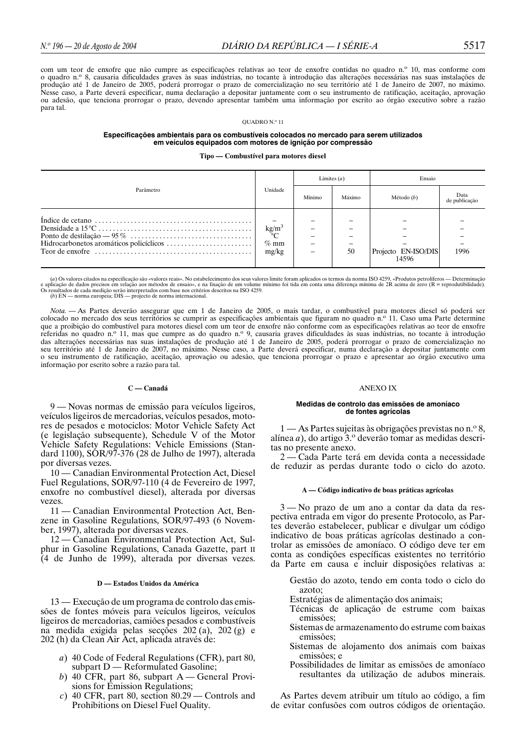com um teor de enxofre que não cumpre as especificações relativas ao teor de enxofre contidas no quadro n.º 10, mas conforme com o quadro n.º 8, causaria dificuldades graves às suas indústrias, no tocante à introdução das alterações necessárias nas suas instalações de produção até 1 de Janeiro de 2005, poderá prorrogar o prazo de comercialização no seu território até 1 de Janeiro de 2007, no máximo. Nesse caso, a Parte deverá especificar, numa declaração a depositar juntamente com o seu instrumento de ratificação, aceitação, aprovação ou adesão, que tenciona prorrogar o prazo, devendo apresentar também uma informação por escrito ao órgão executivo sobre a razão para tal.

#### QUADRO N.º 11

#### **Especificações ambientais para os combustíveis colocados no mercado para serem utilizados em veículos equipados com motores de ignição por compressão**

**Tipo — Combustível para motores diesel**

| Parâmetro                                                                                             | Unidade                                             | Limites $(a)$ |        | Ensaio                       |                       |
|-------------------------------------------------------------------------------------------------------|-----------------------------------------------------|---------------|--------|------------------------------|-----------------------|
|                                                                                                       |                                                     | Mínimo        | Máximo | Método $(b)$                 | Data<br>de publicação |
| Teor de enxofre $\dots \dots \dots \dots \dots \dots \dots \dots \dots \dots \dots \dots \dots \dots$ | $\frac{\text{kg/m}^3}{\text{C}}$<br>$%$ mm<br>mg/kg |               | 50     | Projecto EN-ISO/DIS<br>14596 | 1996                  |

a) Os valores citados na especificação são «valores reais». No estabelecimento dos seus valores limite foram aplicados os termos da norma ISO 4259, «Produtos petrolíferos — Determinação ae aplicação de dados precisos em re Os resultados de cada medição serão interpretados com base nos critérios descritos na ISO 4259. (*b*) EN — norma europeia; DIS — projecto de norma internacional.

*Nota.* — As Partes deverão assegurar que em 1 de Janeiro de 2005, o mais tardar, o combustível para motores diesel só poderá ser colocado no mercado dos seus territórios se cumprir as especificações ambientais que figuram que a proibição do combustível para motores diesel com um teor de enxofre não conforme com as especificações relativas ao teor de enxofre<br>referidas no quadro n.º 11, mas que cumpre as do quadro n.º 9, causaria graves dific das alterações necessárias nas suas instalações de produção até 1 de Janeiro de 2005, poderá prorrogar o prazo de comercialização no seu território até 1 de Janeiro de 2007, no máximo. Nesse caso, a Parte deverá especificar, numa declaração a depositar juntamente com o seu instrumento de ratificação, aceitação, aprovação ou adesão, que tenciona prorrogar o prazo e apresentar ao órgão executivo uma informação por escrito sobre a razão para tal.

#### **C — Canadá**

9 — Novas normas de emissão para veículos ligeiros, veículos ligeiros de mercadorias, veículos pesados, motores de pesados e motociclos: Motor Vehicle Safety Act (e legislação subsequente), Schedule V of the Motor Vehicle Safety Regulations: Vehicle Emissions (Standard 1100), SOR/97-376 (28 de Julho de 1997), alterada por diversas vezes.

10 — Canadian Environmental Protection Act, Diesel Fuel Regulations, SOR/97-110 (4 de Fevereiro de 1997, enxofre no combustível diesel), alterada por diversas vezes.

11 — Canadian Environmental Protection Act, Benzene in Gasoline Regulations, SOR/97-493 (6 November, 1997), alterada por diversas vezes.

12 — Canadian Environmental Protection Act, Sulphur in Gasoline Regulations, Canada Gazette, part II (4 de Junho de 1999), alterada por diversas vezes.

#### **D — Estados Unidos da América**

13 — Execução de um programa de controlo das emissões de fontes móveis para veículos ligeiros, veículos ligeiros de mercadorias, camiões pesados e combustíveis na medida exigida pelas secções 202 (a), 202 (g) e 202 (h) da Clean Air Act, aplicada através de:

- *a*) 40 Code of Federal Regulations (CFR), part 80, subpart D — Reformulated Gasoline;
- *b*) 40 CFR, part 86, subpart A General Provisions for Emission Regulations;
- *c*) 40 CFR, part 80, section 80.29 Controls and Prohibitions on Diesel Fuel Quality.

#### ANEXO IX

#### **Medidas de controlo das emissões de amoníaco de fontes agrícolas**

 $1 - As$  Partes sujeitas às obrigações previstas no n.<sup>o</sup> 8, alínea  $a$ ), do artigo  $3.°$  deverão tomar as medidas descritas no presente anexo.

2 — Cada Parte terá em devida conta a necessidade de reduzir as perdas durante todo o ciclo do azoto.

#### **A — Código indicativo de boas práticas agrícolas**

3 — No prazo de um ano a contar da data da respectiva entrada em vigor do presente Protocolo, as Partes deverão estabelecer, publicar e divulgar um código indicativo de boas práticas agrícolas destinado a controlar as emissões de amoníaco. O código deve ter em conta as condições específicas existentes no território da Parte em causa e incluir disposições relativas a:

- Gestão do azoto, tendo em conta todo o ciclo do azoto;
- Estratégias de alimentação dos animais;
- Técnicas de aplicação de estrume com baixas emissões;
- Sistemas de armazenamento do estrume com baixas emissões;
- Sistemas de alojamento dos animais com baixas emissões; e
- Possibilidades de limitar as emissões de amoníaco resultantes da utilização de adubos minerais.

As Partes devem atribuir um título ao código, a fim de evitar confusões com outros códigos de orientação.